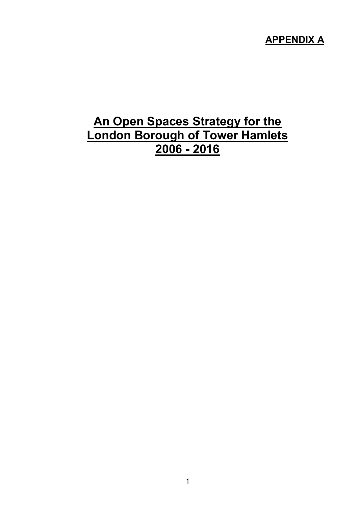## APPENDIX A

## An Open Spaces Strategy for the London Borough of Tower Hamlets 2006 - 2016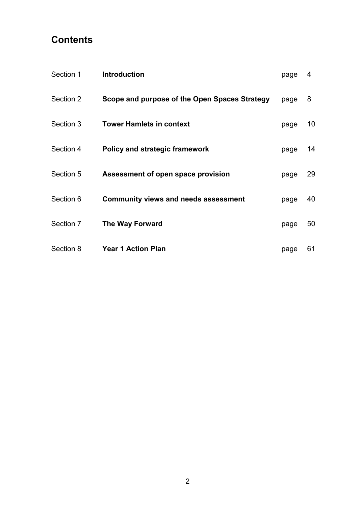## **Contents**

| Section 1 | <b>Introduction</b>                           | page | 4  |
|-----------|-----------------------------------------------|------|----|
| Section 2 | Scope and purpose of the Open Spaces Strategy | page | 8  |
| Section 3 | <b>Tower Hamlets in context</b>               | page | 10 |
| Section 4 | <b>Policy and strategic framework</b>         | page | 14 |
| Section 5 | Assessment of open space provision            | page | 29 |
| Section 6 | <b>Community views and needs assessment</b>   | page | 40 |
| Section 7 | <b>The Way Forward</b>                        | page | 50 |
| Section 8 | <b>Year 1 Action Plan</b>                     | page | 61 |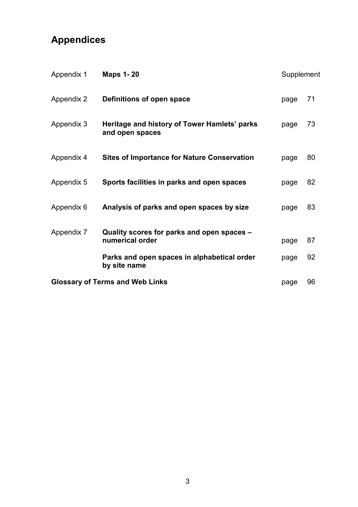# Appendices

| Appendix 1 | <b>Maps 1-20</b>                                                | Supplement |    |
|------------|-----------------------------------------------------------------|------------|----|
| Appendix 2 | Definitions of open space                                       | page       | 71 |
| Appendix 3 | Heritage and history of Tower Hamlets' parks<br>and open spaces | page       | 73 |
| Appendix 4 | <b>Sites of Importance for Nature Conservation</b>              | page       | 80 |
| Appendix 5 | Sports facilities in parks and open spaces                      | page       | 82 |
| Appendix 6 | Analysis of parks and open spaces by size                       | page       | 83 |
| Appendix 7 | Quality scores for parks and open spaces -<br>numerical order   | page       | 87 |
|            | Parks and open spaces in alphabetical order<br>by site name     | page       | 92 |
|            | <b>Glossary of Terms and Web Links</b>                          | page       | 96 |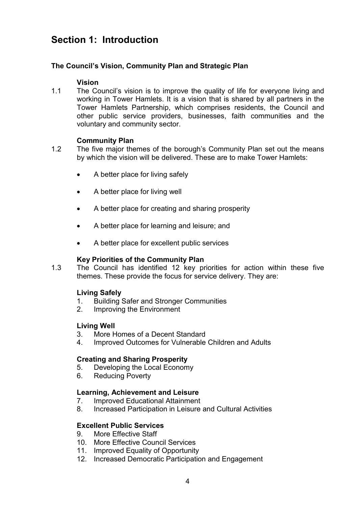## Section 1: Introduction

#### The Council's Vision, Community Plan and Strategic Plan

#### Vision

1.1 The Council's vision is to improve the quality of life for everyone living and working in Tower Hamlets. It is a vision that is shared by all partners in the Tower Hamlets Partnership, which comprises residents, the Council and other public service providers, businesses, faith communities and the voluntary and community sector.

#### Community Plan

- 1.2 The five major themes of the borough's Community Plan set out the means by which the vision will be delivered. These are to make Tower Hamlets:
	- A better place for living safely
	- A better place for living well
	- A better place for creating and sharing prosperity
	- A better place for learning and leisure; and
	- A better place for excellent public services

#### Key Priorities of the Community Plan

1.3 The Council has identified 12 key priorities for action within these five themes. These provide the focus for service delivery. They are:

#### Living Safely

- 1. Building Safer and Stronger Communities
- 2. Improving the Environment

#### Living Well

- 3. More Homes of a Decent Standard
- 4. Improved Outcomes for Vulnerable Children and Adults

#### Creating and Sharing Prosperity

- 5. Developing the Local Economy
- 6. Reducing Poverty

#### Learning, Achievement and Leisure

- 7. Improved Educational Attainment
- 8. Increased Participation in Leisure and Cultural Activities

#### Excellent Public Services

- 9. More Effective Staff
- 10. More Effective Council Services
- 11. Improved Equality of Opportunity
- 12. Increased Democratic Participation and Engagement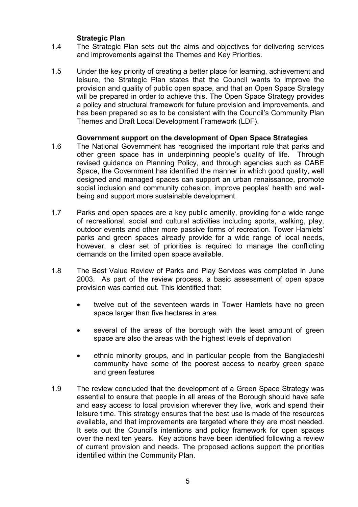#### **Strategic Plan**

- 1.4 The Strategic Plan sets out the aims and objectives for delivering services and improvements against the Themes and Key Priorities.
- 1.5 Under the key priority of creating a better place for learning, achievement and leisure, the Strategic Plan states that the Council wants to improve the provision and quality of public open space, and that an Open Space Strategy will be prepared in order to achieve this. The Open Space Strategy provides a policy and structural framework for future provision and improvements, and has been prepared so as to be consistent with the Council's Community Plan Themes and Draft Local Development Framework (LDF).

#### Government support on the development of Open Space Strategies

- 1.6 The National Government has recognised the important role that parks and other green space has in underpinning people's quality of life. Through revised guidance on Planning Policy, and through agencies such as CABE Space, the Government has identified the manner in which good quality, well designed and managed spaces can support an urban renaissance, promote social inclusion and community cohesion, improve peoples' health and wellbeing and support more sustainable development.
- 1.7 Parks and open spaces are a key public amenity, providing for a wide range of recreational, social and cultural activities including sports, walking, play, outdoor events and other more passive forms of recreation. Tower Hamlets' parks and green spaces already provide for a wide range of local needs, however, a clear set of priorities is required to manage the conflicting demands on the limited open space available.
- 1.8 The Best Value Review of Parks and Play Services was completed in June 2003. As part of the review process, a basic assessment of open space provision was carried out. This identified that:
	- twelve out of the seventeen wards in Tower Hamlets have no green space larger than five hectares in area
	- several of the areas of the borough with the least amount of green space are also the areas with the highest levels of deprivation
	- ethnic minority groups, and in particular people from the Bangladeshi community have some of the poorest access to nearby green space and green features
- 1.9 The review concluded that the development of a Green Space Strategy was essential to ensure that people in all areas of the Borough should have safe and easy access to local provision wherever they live, work and spend their leisure time. This strategy ensures that the best use is made of the resources available, and that improvements are targeted where they are most needed. It sets out the Council's intentions and policy framework for open spaces over the next ten years. Key actions have been identified following a review of current provision and needs. The proposed actions support the priorities identified within the Community Plan.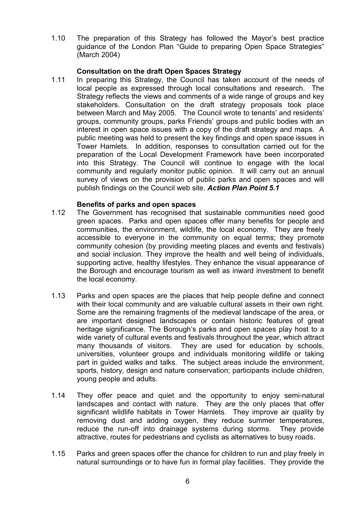1.10 The preparation of this Strategy has followed the Mayor's best practice guidance of the London Plan "Guide to preparing Open Space Strategies" (March 2004)

#### Consultation on the draft Open Spaces Strategy

1.11 In preparing this Strategy, the Council has taken account of the needs of local people as expressed through local consultations and research. The Strategy reflects the views and comments of a wide range of groups and key stakeholders. Consultation on the draft strategy proposals took place between March and May 2005. The Council wrote to tenants' and residents' groups, community groups, parks Friends' groups and public bodies with an interest in open space issues with a copy of the draft strategy and maps. A public meeting was held to present the key findings and open space issues in Tower Hamlets. In addition, responses to consultation carried out for the preparation of the Local Development Framework have been incorporated into this Strategy. The Council will continue to engage with the local community and regularly monitor public opinion. It will carry out an annual survey of views on the provision of public parks and open spaces and will publish findings on the Council web site. Action Plan Point 5.1

#### Benefits of parks and open spaces

- 1.12 The Government has recognised that sustainable communities need good green spaces. Parks and open spaces offer many benefits for people and communities, the environment, wildlife, the local economy. They are freely accessible to everyone in the community on equal terms; they promote community cohesion (by providing meeting places and events and festivals) and social inclusion. They improve the health and well being of individuals, supporting active, healthy lifestyles. They enhance the visual appearance of the Borough and encourage tourism as well as inward investment to benefit the local economy.
- 1.13 Parks and open spaces are the places that help people define and connect with their local community and are valuable cultural assets in their own right. Some are the remaining fragments of the medieval landscape of the area, or are important designed landscapes or contain historic features of great heritage significance. The Borough's parks and open spaces play host to a wide variety of cultural events and festivals throughout the year, which attract many thousands of visitors. They are used for education by schools, universities, volunteer groups and individuals monitoring wildlife or taking part in guided walks and talks. The subject areas include the environment, sports, history, design and nature conservation; participants include children, young people and adults.
- 1.14 They offer peace and quiet and the opportunity to enjoy semi-natural landscapes and contact with nature. They are the only places that offer significant wildlife habitats in Tower Hamlets. They improve air quality by removing dust and adding oxygen, they reduce summer temperatures, reduce the run-off into drainage systems during storms. They provide attractive, routes for pedestrians and cyclists as alternatives to busy roads.
- 1.15 Parks and green spaces offer the chance for children to run and play freely in natural surroundings or to have fun in formal play facilities. They provide the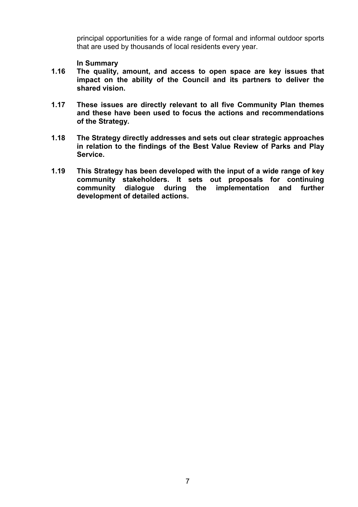principal opportunities for a wide range of formal and informal outdoor sports that are used by thousands of local residents every year.

#### In Summary

- 1.16 The quality, amount, and access to open space are key issues that impact on the ability of the Council and its partners to deliver the shared vision.
- 1.17 These issues are directly relevant to all five Community Plan themes and these have been used to focus the actions and recommendations of the Strategy.
- 1.18 The Strategy directly addresses and sets out clear strategic approaches in relation to the findings of the Best Value Review of Parks and Play Service.
- 1.19 This Strategy has been developed with the input of a wide range of key community stakeholders. It sets out proposals for continuing community dialogue during the implementation and further development of detailed actions.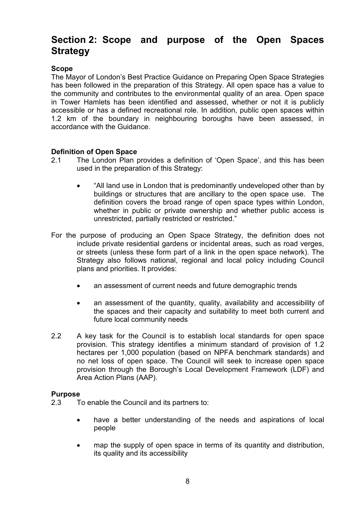## Section 2: Scope and purpose of the Open Spaces **Strategy**

#### Scope

The Mayor of London's Best Practice Guidance on Preparing Open Space Strategies has been followed in the preparation of this Strategy. All open space has a value to the community and contributes to the environmental quality of an area. Open space in Tower Hamlets has been identified and assessed, whether or not it is publicly accessible or has a defined recreational role. In addition, public open spaces within 1.2 km of the boundary in neighbouring boroughs have been assessed, in accordance with the Guidance.

#### Definition of Open Space

- 2.1 The London Plan provides a definition of 'Open Space', and this has been used in the preparation of this Strategy:
	- "All land use in London that is predominantly undeveloped other than by buildings or structures that are ancillary to the open space use. The definition covers the broad range of open space types within London, whether in public or private ownership and whether public access is unrestricted, partially restricted or restricted."
- For the purpose of producing an Open Space Strategy, the definition does not include private residential gardens or incidental areas, such as road verges, or streets (unless these form part of a link in the open space network). The Strategy also follows national, regional and local policy including Council plans and priorities. It provides:
	- an assessment of current needs and future demographic trends
	- an assessment of the quantity, quality, availability and accessibility of the spaces and their capacity and suitability to meet both current and future local community needs
- 2.2 A key task for the Council is to establish local standards for open space provision. This strategy identifies a minimum standard of provision of 1.2 hectares per 1,000 population (based on NPFA benchmark standards) and no net loss of open space. The Council will seek to increase open space provision through the Borough's Local Development Framework (LDF) and Area Action Plans (AAP).

#### Purpose

- 2.3 To enable the Council and its partners to:
	- have a better understanding of the needs and aspirations of local people
	- map the supply of open space in terms of its quantity and distribution, its quality and its accessibility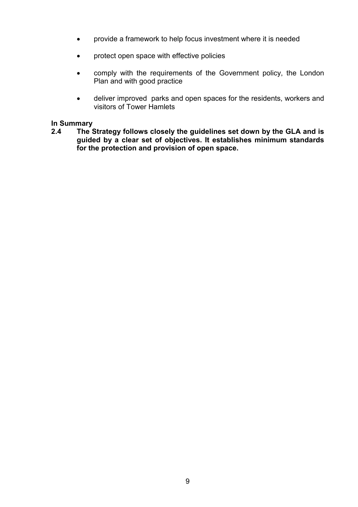- provide a framework to help focus investment where it is needed
- protect open space with effective policies
- comply with the requirements of the Government policy, the London Plan and with good practice
- deliver improved parks and open spaces for the residents, workers and visitors of Tower Hamlets

# In Summary<br>2.4 The S

The Strategy follows closely the guidelines set down by the GLA and is guided by a clear set of objectives. It establishes minimum standards for the protection and provision of open space.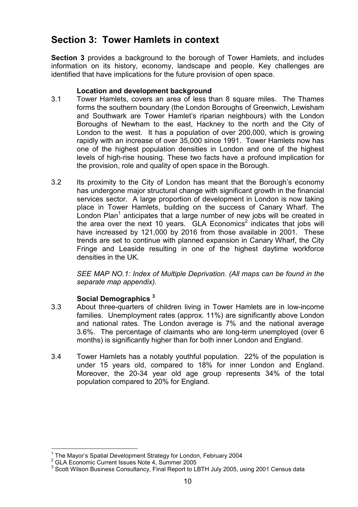## Section 3: Tower Hamlets in context

Section 3 provides a background to the borough of Tower Hamlets, and includes information on its history, economy, landscape and people. Key challenges are identified that have implications for the future provision of open space.

#### Location and development background

- 3.1 Tower Hamlets, covers an area of less than 8 square miles. The Thames forms the southern boundary (the London Boroughs of Greenwich, Lewisham and Southwark are Tower Hamlet's riparian neighbours) with the London Boroughs of Newham to the east, Hackney to the north and the City of London to the west. It has a population of over 200,000, which is growing rapidly with an increase of over 35,000 since 1991. Tower Hamlets now has one of the highest population densities in London and one of the highest levels of high-rise housing. These two facts have a profound implication for the provision, role and quality of open space in the Borough.
- 3.2 Its proximity to the City of London has meant that the Borough's economy has undergone major structural change with significant growth in the financial services sector. A large proportion of development in London is now taking place in Tower Hamlets, building on the success of Canary Wharf. The London Plan<sup>1</sup> anticipates that a large number of new jobs will be created in the area over the next 10 years. GLA Economics<sup>2</sup> indicates that jobs will have increased by 121,000 by 2016 from those available in 2001. These trends are set to continue with planned expansion in Canary Wharf, the City Fringe and Leaside resulting in one of the highest daytime workforce densities in the UK.

SEE MAP NO.1: Index of Multiple Deprivation. (All maps can be found in the separate map appendix).

#### Social Demographics<sup>3</sup>

- 3.3 About three-quarters of children living in Tower Hamlets are in low-income families. Unemployment rates (approx. 11%) are significantly above London and national rates. The London average is 7% and the national average 3.6%. The percentage of claimants who are long-term unemployed (over 6 months) is significantly higher than for both inner London and England.
- 3.4 Tower Hamlets has a notably youthful population. 22% of the population is under 15 years old, compared to 18% for inner London and England. Moreover, the 20-34 year old age group represents 34% of the total population compared to 20% for England.

 $\overline{a}$ <sup>1</sup> The Mayor's Spatial Development Strategy for London, February 2004

 $2<sup>2</sup>$  GLA Economic Current Issues Note 4, Summer 2005

 $^3$  Scott Wilson Business Consultancy, Final Report to LBTH July 2005, using 2001 Census data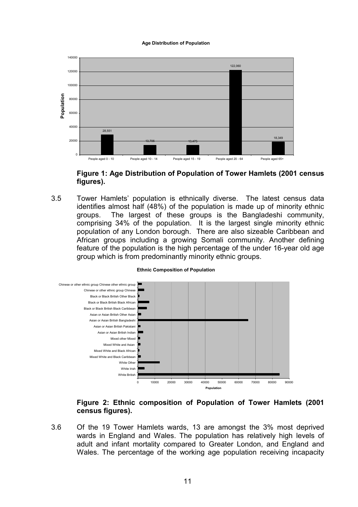#### Age Distribution of Population



Figure 1: Age Distribution of Population of Tower Hamlets (2001 census figures).

3.5 Tower Hamlets' population is ethnically diverse. The latest census data identifies almost half (48%) of the population is made up of minority ethnic groups. The largest of these groups is the Bangladeshi community, comprising 34% of the population. It is the largest single minority ethnic population of any London borough. There are also sizeable Caribbean and African groups including a growing Somali community. Another defining feature of the population is the high percentage of the under 16-year old age group which is from predominantly minority ethnic groups.



#### Ethnic Composition of Population

#### Figure 2: Ethnic composition of Population of Tower Hamlets (2001 census figures).

3.6 Of the 19 Tower Hamlets wards, 13 are amongst the 3% most deprived wards in England and Wales. The population has relatively high levels of adult and infant mortality compared to Greater London, and England and Wales. The percentage of the working age population receiving incapacity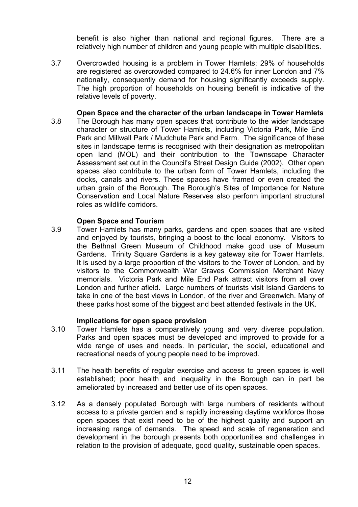benefit is also higher than national and regional figures. There are a relatively high number of children and young people with multiple disabilities.

- 3.7 Overcrowded housing is a problem in Tower Hamlets; 29% of households are registered as overcrowded compared to 24.6% for inner London and 7% nationally, consequently demand for housing significantly exceeds supply. The high proportion of households on housing benefit is indicative of the relative levels of poverty.
- Open Space and the character of the urban landscape in Tower Hamlets 3.8 The Borough has many open spaces that contribute to the wider landscape character or structure of Tower Hamlets, including Victoria Park, Mile End Park and Millwall Park / Mudchute Park and Farm. The significance of these sites in landscape terms is recognised with their designation as metropolitan open land (MOL) and their contribution to the Townscape Character Assessment set out in the Council's Street Design Guide (2002). Other open spaces also contribute to the urban form of Tower Hamlets, including the docks, canals and rivers. These spaces have framed or even created the urban grain of the Borough. The Borough's Sites of Importance for Nature Conservation and Local Nature Reserves also perform important structural roles as wildlife corridors.

#### Open Space and Tourism

3.9 Tower Hamlets has many parks, gardens and open spaces that are visited and enjoyed by tourists, bringing a boost to the local economy. Visitors to the Bethnal Green Museum of Childhood make good use of Museum Gardens. Trinity Square Gardens is a key gateway site for Tower Hamlets. It is used by a large proportion of the visitors to the Tower of London, and by visitors to the Commonwealth War Graves Commission Merchant Navy memorials. Victoria Park and Mile End Park attract visitors from all over London and further afield. Large numbers of tourists visit Island Gardens to take in one of the best views in London, of the river and Greenwich. Many of these parks host some of the biggest and best attended festivals in the UK.

#### Implications for open space provision

- 3.10 Tower Hamlets has a comparatively young and very diverse population. Parks and open spaces must be developed and improved to provide for a wide range of uses and needs. In particular, the social, educational and recreational needs of young people need to be improved.
- 3.11 The health benefits of regular exercise and access to green spaces is well established; poor health and inequality in the Borough can in part be ameliorated by increased and better use of its open spaces.
- 3.12 As a densely populated Borough with large numbers of residents without access to a private garden and a rapidly increasing daytime workforce those open spaces that exist need to be of the highest quality and support an increasing range of demands. The speed and scale of regeneration and development in the borough presents both opportunities and challenges in relation to the provision of adequate, good quality, sustainable open spaces.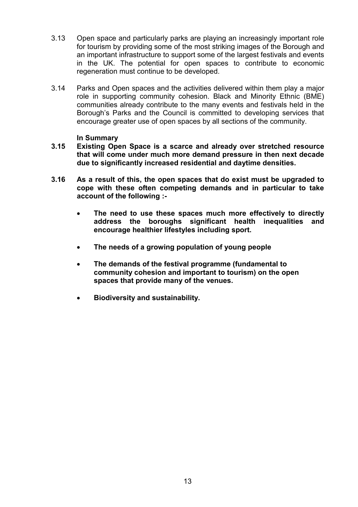- 3.13 Open space and particularly parks are playing an increasingly important role for tourism by providing some of the most striking images of the Borough and an important infrastructure to support some of the largest festivals and events in the UK. The potential for open spaces to contribute to economic regeneration must continue to be developed.
- 3.14 Parks and Open spaces and the activities delivered within them play a major role in supporting community cohesion. Black and Minority Ethnic (BME) communities already contribute to the many events and festivals held in the Borough's Parks and the Council is committed to developing services that encourage greater use of open spaces by all sections of the community.

#### In Summary

- 3.15 Existing Open Space is a scarce and already over stretched resource that will come under much more demand pressure in then next decade due to significantly increased residential and daytime densities.
- 3.16 As a result of this, the open spaces that do exist must be upgraded to cope with these often competing demands and in particular to take account of the following :-
	- The need to use these spaces much more effectively to directly address the boroughs significant health inequalities and encourage healthier lifestyles including sport.
	- The needs of a growing population of young people
	- The demands of the festival programme (fundamental to community cohesion and important to tourism) on the open spaces that provide many of the venues.
	- Biodiversity and sustainability.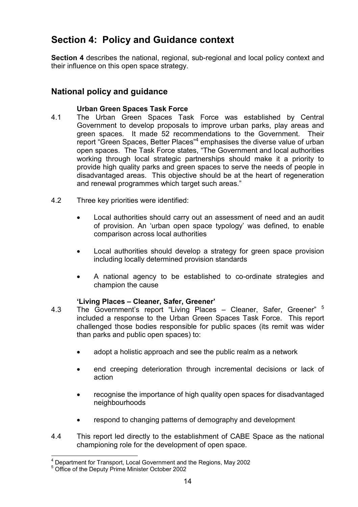## Section 4: Policy and Guidance context

Section 4 describes the national, regional, sub-regional and local policy context and their influence on this open space strategy.

### National policy and guidance

#### Urban Green Spaces Task Force

- 4.1 The Urban Green Spaces Task Force was established by Central Government to develop proposals to improve urban parks, play areas and green spaces. It made 52 recommendations to the Government. Their report "Green Spaces, Better Places"<sup>4</sup> emphasises the diverse value of urban open spaces. The Task Force states, "The Government and local authorities working through local strategic partnerships should make it a priority to provide high quality parks and green spaces to serve the needs of people in disadvantaged areas. This objective should be at the heart of regeneration and renewal programmes which target such areas."
- 4.2 Three key priorities were identified:
	- Local authorities should carry out an assessment of need and an audit of provision. An 'urban open space typology' was defined, to enable comparison across local authorities
	- Local authorities should develop a strategy for green space provision including locally determined provision standards
	- A national agency to be established to co-ordinate strategies and champion the cause

#### 'Living Places – Cleaner, Safer, Greener'

- 4.3 The Government's report "Living Places Cleaner, Safer, Greener" <sup>5</sup> included a response to the Urban Green Spaces Task Force. This report challenged those bodies responsible for public spaces (its remit was wider than parks and public open spaces) to:
	- adopt a holistic approach and see the public realm as a network
	- end creeping deterioration through incremental decisions or lack of action
	- recognise the importance of high quality open spaces for disadvantaged neighbourhoods
	- respond to changing patterns of demography and development
- 4.4 This report led directly to the establishment of CABE Space as the national championing role for the development of open space.

 4 Department for Transport, Local Government and the Regions, May 2002

<sup>5</sup> Office of the Deputy Prime Minister October 2002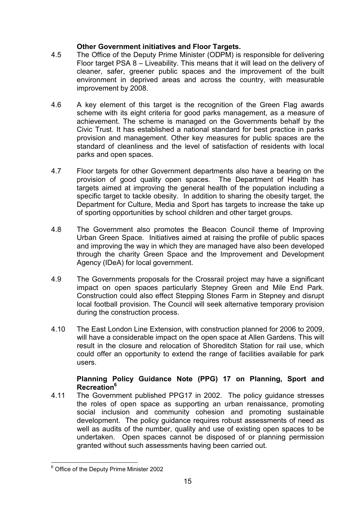#### Other Government initiatives and Floor Targets.

- 4.5 The Office of the Deputy Prime Minister (ODPM) is responsible for delivering Floor target PSA 8 – Liveability. This means that it will lead on the delivery of cleaner, safer, greener public spaces and the improvement of the built environment in deprived areas and across the country, with measurable improvement by 2008.
- 4.6 A key element of this target is the recognition of the Green Flag awards scheme with its eight criteria for good parks management, as a measure of achievement. The scheme is managed on the Governments behalf by the Civic Trust. It has established a national standard for best practice in parks provision and management. Other key measures for public spaces are the standard of cleanliness and the level of satisfaction of residents with local parks and open spaces.
- 4.7 Floor targets for other Government departments also have a bearing on the provision of good quality open spaces. The Department of Health has targets aimed at improving the general health of the population including a specific target to tackle obesity. In addition to sharing the obesity target, the Department for Culture, Media and Sport has targets to increase the take up of sporting opportunities by school children and other target groups.
- 4.8 The Government also promotes the Beacon Council theme of Improving Urban Green Space. Initiatives aimed at raising the profile of public spaces and improving the way in which they are managed have also been developed through the charity Green Space and the Improvement and Development Agency (IDeA) for local government.
- 4.9 The Governments proposals for the Crossrail project may have a significant impact on open spaces particularly Stepney Green and Mile End Park. Construction could also effect Stepping Stones Farm in Stepney and disrupt local football provision. The Council will seek alternative temporary provision during the construction process.
- 4.10 The East London Line Extension, with construction planned for 2006 to 2009, will have a considerable impact on the open space at Allen Gardens. This will result in the closure and relocation of Shoreditch Station for rail use, which could offer an opportunity to extend the range of facilities available for park users.

#### Planning Policy Guidance Note (PPG) 17 on Planning, Sport and Recreation<sup>6</sup>

4.11 The Government published PPG17 in 2002. The policy guidance stresses the roles of open space as supporting an urban renaissance, promoting social inclusion and community cohesion and promoting sustainable development. The policy guidance requires robust assessments of need as well as audits of the number, quality and use of existing open spaces to be undertaken. Open spaces cannot be disposed of or planning permission granted without such assessments having been carried out.

 $\overline{a}$ <sup>6</sup> Office of the Deputy Prime Minister 2002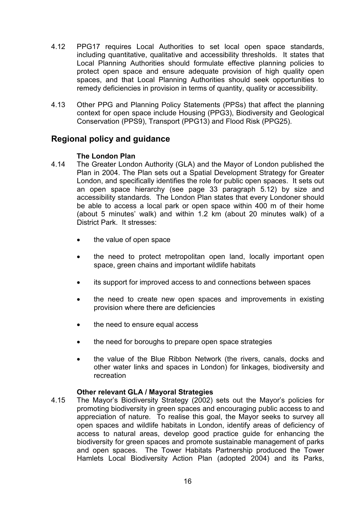- 4.12 PPG17 requires Local Authorities to set local open space standards, including quantitative, qualitative and accessibility thresholds. It states that Local Planning Authorities should formulate effective planning policies to protect open space and ensure adequate provision of high quality open spaces, and that Local Planning Authorities should seek opportunities to remedy deficiencies in provision in terms of quantity, quality or accessibility.
- 4.13 Other PPG and Planning Policy Statements (PPSs) that affect the planning context for open space include Housing (PPG3), Biodiversity and Geological Conservation (PPS9), Transport (PPG13) and Flood Risk (PPG25).

### Regional policy and guidance

#### The London Plan

- 4.14 The Greater London Authority (GLA) and the Mayor of London published the Plan in 2004. The Plan sets out a Spatial Development Strategy for Greater London, and specifically identifies the role for public open spaces. It sets out an open space hierarchy (see page 33 paragraph 5.12) by size and accessibility standards. The London Plan states that every Londoner should be able to access a local park or open space within 400 m of their home (about 5 minutes' walk) and within 1.2 km (about 20 minutes walk) of a District Park. It stresses:
	- the value of open space
	- the need to protect metropolitan open land, locally important open space, green chains and important wildlife habitats
	- its support for improved access to and connections between spaces
	- the need to create new open spaces and improvements in existing provision where there are deficiencies
	- the need to ensure equal access
	- the need for boroughs to prepare open space strategies
	- the value of the Blue Ribbon Network (the rivers, canals, docks and other water links and spaces in London) for linkages, biodiversity and recreation

#### Other relevant GLA / Mayoral Strategies

4.15 The Mayor's Biodiversity Strategy (2002) sets out the Mayor's policies for promoting biodiversity in green spaces and encouraging public access to and appreciation of nature. To realise this goal, the Mayor seeks to survey all open spaces and wildlife habitats in London, identify areas of deficiency of access to natural areas, develop good practice guide for enhancing the biodiversity for green spaces and promote sustainable management of parks and open spaces. The Tower Habitats Partnership produced the Tower Hamlets Local Biodiversity Action Plan (adopted 2004) and its Parks,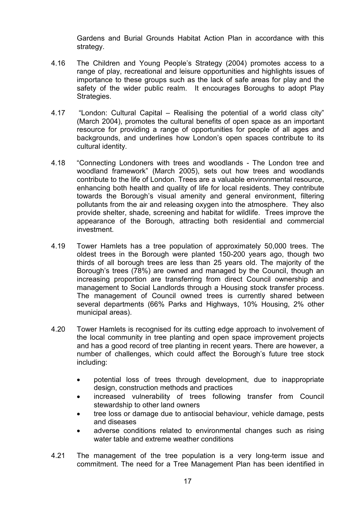Gardens and Burial Grounds Habitat Action Plan in accordance with this strategy.

- 4.16 The Children and Young People's Strategy (2004) promotes access to a range of play, recreational and leisure opportunities and highlights issues of importance to these groups such as the lack of safe areas for play and the safety of the wider public realm. It encourages Boroughs to adopt Play Strategies.
- 4.17 "London: Cultural Capital Realising the potential of a world class city" (March 2004), promotes the cultural benefits of open space as an important resource for providing a range of opportunities for people of all ages and backgrounds, and underlines how London's open spaces contribute to its cultural identity.
- 4.18 "Connecting Londoners with trees and woodlands The London tree and woodland framework" (March 2005), sets out how trees and woodlands contribute to the life of London. Trees are a valuable environmental resource, enhancing both health and quality of life for local residents. They contribute towards the Borough's visual amenity and general environment, filtering pollutants from the air and releasing oxygen into the atmosphere. They also provide shelter, shade, screening and habitat for wildlife. Trees improve the appearance of the Borough, attracting both residential and commercial investment.
- 4.19 Tower Hamlets has a tree population of approximately 50,000 trees. The oldest trees in the Borough were planted 150-200 years ago, though two thirds of all borough trees are less than 25 years old. The majority of the Borough's trees (78%) are owned and managed by the Council, though an increasing proportion are transferring from direct Council ownership and management to Social Landlords through a Housing stock transfer process. The management of Council owned trees is currently shared between several departments (66% Parks and Highways, 10% Housing, 2% other municipal areas).
- 4.20 Tower Hamlets is recognised for its cutting edge approach to involvement of the local community in tree planting and open space improvement projects and has a good record of tree planting in recent years. There are however, a number of challenges, which could affect the Borough's future tree stock including:
	- potential loss of trees through development, due to inappropriate design, construction methods and practices
	- increased vulnerability of trees following transfer from Council stewardship to other land owners
	- tree loss or damage due to antisocial behaviour, vehicle damage, pests and diseases
	- adverse conditions related to environmental changes such as rising water table and extreme weather conditions
- 4.21 The management of the tree population is a very long-term issue and commitment. The need for a Tree Management Plan has been identified in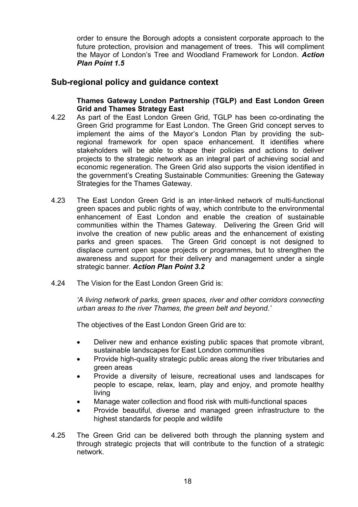order to ensure the Borough adopts a consistent corporate approach to the future protection, provision and management of trees. This will compliment the Mayor of London's Tree and Woodland Framework for London. Action Plan Point 1.5

#### Sub-regional policy and guidance context

Thames Gateway London Partnership (TGLP) and East London Green Grid and Thames Strategy East

- 4.22 As part of the East London Green Grid, TGLP has been co-ordinating the Green Grid programme for East London. The Green Grid concept serves to implement the aims of the Mayor's London Plan by providing the subregional framework for open space enhancement. It identifies where stakeholders will be able to shape their policies and actions to deliver projects to the strategic network as an integral part of achieving social and economic regeneration. The Green Grid also supports the vision identified in the government's Creating Sustainable Communities: Greening the Gateway Strategies for the Thames Gateway.
- 4.23 The East London Green Grid is an inter-linked network of multi-functional green spaces and public rights of way, which contribute to the environmental enhancement of East London and enable the creation of sustainable communities within the Thames Gateway. Delivering the Green Grid will involve the creation of new public areas and the enhancement of existing parks and green spaces. The Green Grid concept is not designed to displace current open space projects or programmes, but to strengthen the awareness and support for their delivery and management under a single strategic banner. Action Plan Point 3.2
- 4.24 The Vision for the East London Green Grid is:

'A living network of parks, green spaces, river and other corridors connecting urban areas to the river Thames, the green belt and beyond.'

The objectives of the East London Green Grid are to:

- Deliver new and enhance existing public spaces that promote vibrant, sustainable landscapes for East London communities
- Provide high-quality strategic public areas along the river tributaries and green areas
- Provide a diversity of leisure, recreational uses and landscapes for people to escape, relax, learn, play and enjoy, and promote healthy living
- Manage water collection and flood risk with multi-functional spaces
- Provide beautiful, diverse and managed green infrastructure to the highest standards for people and wildlife
- 4.25 The Green Grid can be delivered both through the planning system and through strategic projects that will contribute to the function of a strategic network.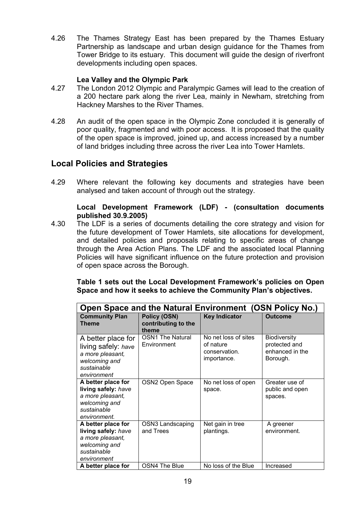4.26 The Thames Strategy East has been prepared by the Thames Estuary Partnership as landscape and urban design guidance for the Thames from Tower Bridge to its estuary. This document will guide the design of riverfront developments including open spaces.

#### Lea Valley and the Olympic Park

- 4.27 The London 2012 Olympic and Paralympic Games will lead to the creation of a 200 hectare park along the river Lea, mainly in Newham, stretching from Hackney Marshes to the River Thames.
- 4.28 An audit of the open space in the Olympic Zone concluded it is generally of poor quality, fragmented and with poor access. It is proposed that the quality of the open space is improved, joined up, and access increased by a number of land bridges including three across the river Lea into Tower Hamlets.

#### Local Policies and Strategies

4.29 Where relevant the following key documents and strategies have been analysed and taken account of through out the strategy.

#### Local Development Framework (LDF) - (consultation documents published 30.9.2005)

4.30 The LDF is a series of documents detailing the core strategy and vision for the future development of Tower Hamlets, site allocations for development, and detailed policies and proposals relating to specific areas of change through the Area Action Plans. The LDF and the associated local Planning Policies will have significant influence on the future protection and provision of open space across the Borough.

#### Table 1 sets out the Local Development Framework's policies on Open Space and how it seeks to achieve the Community Plan's objectives.

| Open Space and the Natural Environment (OSN Policy No.)                                                       |                                              |                                                                   |                                                                     |  |  |
|---------------------------------------------------------------------------------------------------------------|----------------------------------------------|-------------------------------------------------------------------|---------------------------------------------------------------------|--|--|
| <b>Community Plan</b><br><b>Theme</b>                                                                         | Policy (OSN)<br>contributing to the<br>theme | <b>Key Indicator</b>                                              | <b>Outcome</b>                                                      |  |  |
| A better place for<br>living safely: have<br>a more pleasant,<br>welcoming and<br>sustainable<br>environment  | <b>OSN1 The Natural</b><br>Environment       | No net loss of sites<br>of nature<br>conservation.<br>importance. | <b>Biodiversity</b><br>protected and<br>enhanced in the<br>Borough. |  |  |
| A better place for<br>living safely: have<br>a more pleasant,<br>welcoming and<br>sustainable<br>environment. | OSN2 Open Space                              | No net loss of open<br>space.                                     | Greater use of<br>public and open<br>spaces.                        |  |  |
| A better place for<br>living safely: have<br>a more pleasant,<br>welcoming and<br>sustainable<br>environment  | OSN3 Landscaping<br>and Trees                | Net gain in tree<br>plantings.                                    | A greener<br>environment.                                           |  |  |
| A better place for                                                                                            | OSN4 The Blue                                | No loss of the Blue                                               | Increased                                                           |  |  |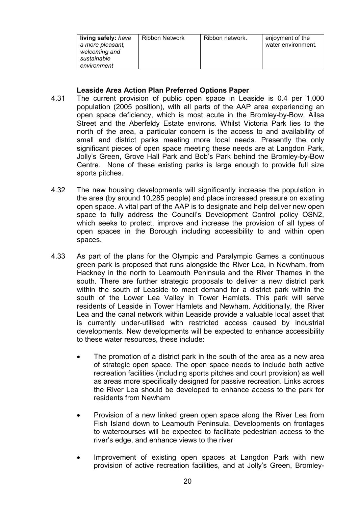| living safely: have<br>a more pleasant,<br>welcoming and<br>sustainable<br>environment | Ribbon Network | Ribbon network. | enjoyment of the<br>water environment. |
|----------------------------------------------------------------------------------------|----------------|-----------------|----------------------------------------|
|----------------------------------------------------------------------------------------|----------------|-----------------|----------------------------------------|

#### Leaside Area Action Plan Preferred Options Paper

- 4.31 The current provision of public open space in Leaside is 0.4 per 1,000 population (2005 position), with all parts of the AAP area experiencing an open space deficiency, which is most acute in the Bromley-by-Bow, Ailsa Street and the Aberfeldy Estate environs. Whilst Victoria Park lies to the north of the area, a particular concern is the access to and availability of small and district parks meeting more local needs. Presently the only significant pieces of open space meeting these needs are at Langdon Park, Jolly's Green, Grove Hall Park and Bob's Park behind the Bromley-by-Bow Centre. None of these existing parks is large enough to provide full size sports pitches.
- 4.32 The new housing developments will significantly increase the population in the area (by around 10,285 people) and place increased pressure on existing open space. A vital part of the AAP is to designate and help deliver new open space to fully address the Council's Development Control policy OSN2, which seeks to protect, improve and increase the provision of all types of open spaces in the Borough including accessibility to and within open spaces.
- 4.33 As part of the plans for the Olympic and Paralympic Games a continuous green park is proposed that runs alongside the River Lea, in Newham, from Hackney in the north to Leamouth Peninsula and the River Thames in the south. There are further strategic proposals to deliver a new district park within the south of Leaside to meet demand for a district park within the south of the Lower Lea Valley in Tower Hamlets. This park will serve residents of Leaside in Tower Hamlets and Newham. Additionally, the River Lea and the canal network within Leaside provide a valuable local asset that is currently under-utilised with restricted access caused by industrial developments. New developments will be expected to enhance accessibility to these water resources, these include:
	- The promotion of a district park in the south of the area as a new area of strategic open space. The open space needs to include both active recreation facilities (including sports pitches and court provision) as well as areas more specifically designed for passive recreation. Links across the River Lea should be developed to enhance access to the park for residents from Newham
	- Provision of a new linked green open space along the River Lea from Fish Island down to Leamouth Peninsula. Developments on frontages to watercourses will be expected to facilitate pedestrian access to the river's edge, and enhance views to the river
	- Improvement of existing open spaces at Langdon Park with new provision of active recreation facilities, and at Jolly's Green, Bromley-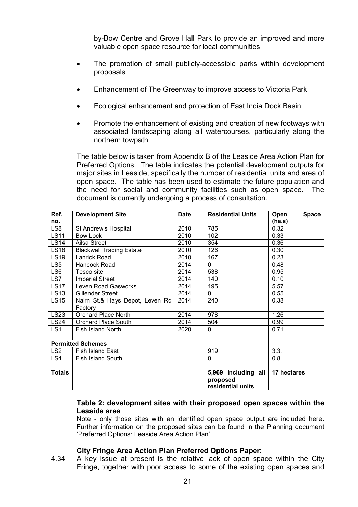by-Bow Centre and Grove Hall Park to provide an improved and more valuable open space resource for local communities

- The promotion of small publicly-accessible parks within development proposals
- Enhancement of The Greenway to improve access to Victoria Park
- Ecological enhancement and protection of East India Dock Basin
- Promote the enhancement of existing and creation of new footways with associated landscaping along all watercourses, particularly along the northern towpath

The table below is taken from Appendix B of the Leaside Area Action Plan for Preferred Options. The table indicates the potential development outputs for major sites in Leaside, specifically the number of residential units and area of open space. The table has been used to estimate the future population and the need for social and community facilities such as open space. The document is currently undergoing a process of consultation.

| Ref.            | <b>Development Site</b>         | <b>Date</b> | <b>Residential Units</b>      | <b>Space</b><br>Open |
|-----------------|---------------------------------|-------------|-------------------------------|----------------------|
| no.             |                                 |             |                               | (ha.s)               |
| LS8             | St Andrew's Hospital            | 2010        | 785                           | 0.32                 |
| <b>LS11</b>     | Bow Lock                        | 2010        | 102                           | 0.33                 |
| <b>LS14</b>     | Ailsa Street                    | 2010        | 354                           | 0.36                 |
| <b>LS18</b>     | <b>Blackwall Trading Estate</b> | 2010        | 126                           | 0.30                 |
| <b>LS19</b>     | Lanrick Road                    | 2010        | 167                           | 0.23                 |
| LS <sub>5</sub> | Hancock Road                    | 2014        | $\Omega$                      | 0.48                 |
| LS <sub>6</sub> | Tesco site                      | 2014        | 538                           | 0.95                 |
| LS7             | <b>Imperial Street</b>          | 2014        | 140                           | 0.10                 |
| <b>LS17</b>     | Leven Road Gasworks             | 2014        | 195                           | 5.57                 |
| <b>LS13</b>     | <b>Gillender Street</b>         | 2014        | $\mathbf{0}$                  | 0.55                 |
| <b>LS15</b>     | Nairn St.& Hays Depot, Leven Rd | 2014        | 240                           | 0.38                 |
|                 | Factory                         |             |                               |                      |
| <b>LS23</b>     | Orchard Place North             | 2014        | 978                           | 1.26                 |
| <b>LS24</b>     | <b>Orchard Place South</b>      | 2014        | 504                           | 0.99                 |
| LS1             | Fish Island North               | 2020        | 0                             | 0.71                 |
|                 |                                 |             |                               |                      |
|                 | <b>Permitted Schemes</b>        |             |                               |                      |
| LS <sub>2</sub> | Fish Island East                |             | 919                           | 3.3.                 |
| LS4             | Fish Island South               |             | 0                             | 0.8                  |
|                 |                                 |             |                               |                      |
| <b>Totals</b>   |                                 |             | 5,969 including all           | 17 hectares          |
|                 |                                 |             | proposed<br>residential units |                      |

#### Table 2: development sites with their proposed open spaces within the Leaside area

Note - only those sites with an identified open space output are included here. Further information on the proposed sites can be found in the Planning document 'Preferred Options: Leaside Area Action Plan'.

#### City Fringe Area Action Plan Preferred Options Paper:

4.34 A key issue at present is the relative lack of open space within the City Fringe, together with poor access to some of the existing open spaces and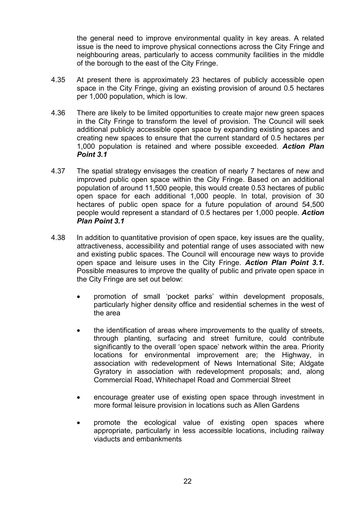the general need to improve environmental quality in key areas. A related issue is the need to improve physical connections across the City Fringe and neighbouring areas, particularly to access community facilities in the middle of the borough to the east of the City Fringe.

- 4.35 At present there is approximately 23 hectares of publicly accessible open space in the City Fringe, giving an existing provision of around 0.5 hectares per 1,000 population, which is low.
- 4.36 There are likely to be limited opportunities to create major new green spaces in the City Fringe to transform the level of provision. The Council will seek additional publicly accessible open space by expanding existing spaces and creating new spaces to ensure that the current standard of 0.5 hectares per 1,000 population is retained and where possible exceeded. Action Plan Point 3.1
- 4.37 The spatial strategy envisages the creation of nearly 7 hectares of new and improved public open space within the City Fringe. Based on an additional population of around 11,500 people, this would create 0.53 hectares of public open space for each additional 1,000 people. In total, provision of 30 hectares of public open space for a future population of around 54,500 people would represent a standard of 0.5 hectares per 1,000 people. Action Plan Point 3.1
- 4.38 In addition to quantitative provision of open space, key issues are the quality, attractiveness, accessibility and potential range of uses associated with new and existing public spaces. The Council will encourage new ways to provide open space and leisure uses in the City Fringe. Action Plan Point 3.1. Possible measures to improve the quality of public and private open space in the City Fringe are set out below:
	- promotion of small 'pocket parks' within development proposals, particularly higher density office and residential schemes in the west of the area
	- the identification of areas where improvements to the quality of streets, through planting, surfacing and street furniture, could contribute significantly to the overall 'open space' network within the area. Priority locations for environmental improvement are; the Highway, in association with redevelopment of News International Site; Aldgate Gyratory in association with redevelopment proposals; and, along Commercial Road, Whitechapel Road and Commercial Street
	- encourage greater use of existing open space through investment in more formal leisure provision in locations such as Allen Gardens
	- promote the ecological value of existing open spaces where appropriate, particularly in less accessible locations, including railway viaducts and embankments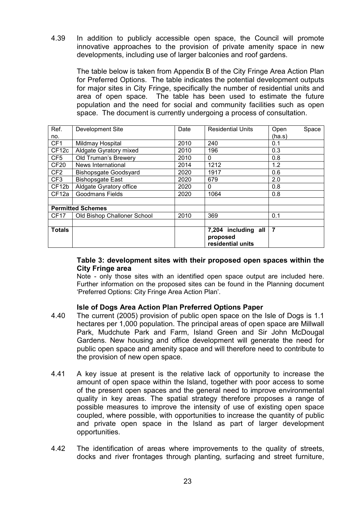4.39 In addition to publicly accessible open space, the Council will promote innovative approaches to the provision of private amenity space in new developments, including use of larger balconies and roof gardens.

The table below is taken from Appendix B of the City Fringe Area Action Plan for Preferred Options. The table indicates the potential development outputs for major sites in City Fringe, specifically the number of residential units and area of open space. The table has been used to estimate the future population and the need for social and community facilities such as open space. The document is currently undergoing a process of consultation.

| Ref.              | Development Site             | Date | <b>Residential Units</b>                             | Open           | Space |
|-------------------|------------------------------|------|------------------------------------------------------|----------------|-------|
| no.               |                              |      |                                                      | (ha.s)         |       |
| CF1               | Mildmay Hospital             | 2010 | 240                                                  | 0.1            |       |
| CF <sub>12c</sub> | Aldgate Gyratory mixed       | 2010 | 196                                                  | 0.3            |       |
| CF5               | Old Truman's Brewery         | 2010 | $\mathbf{0}$                                         | 0.8            |       |
| CF <sub>20</sub>  | News International           | 2014 | 1212                                                 | 1.2            |       |
| CF <sub>2</sub>   | <b>Bishopsgate Goodsyard</b> | 2020 | 1917                                                 | 0.6            |       |
| CF3               | <b>Bishopsgate East</b>      | 2020 | 679                                                  | 2.0            |       |
| CF <sub>12b</sub> | Aldgate Gyratory office      | 2020 | 0                                                    | 0.8            |       |
| CF <sub>12a</sub> | <b>Goodmans Fields</b>       | 2020 | 1064                                                 | 0.8            |       |
|                   |                              |      |                                                      |                |       |
|                   | <b>Permitted Schemes</b>     |      |                                                      |                |       |
| <b>CF17</b>       | Old Bishop Challoner School  | 2010 | 369                                                  | 0.1            |       |
|                   |                              |      |                                                      |                |       |
| <b>Totals</b>     |                              |      | 7,204 including all<br>proposed<br>residential units | $\overline{7}$ |       |

#### Table 3: development sites with their proposed open spaces within the City Fringe area

Note - only those sites with an identified open space output are included here. Further information on the proposed sites can be found in the Planning document 'Preferred Options: City Fringe Area Action Plan'.

#### Isle of Dogs Area Action Plan Preferred Options Paper

- 4.40 The current (2005) provision of public open space on the Isle of Dogs is 1.1 hectares per 1,000 population. The principal areas of open space are Millwall Park, Mudchute Park and Farm, Island Green and Sir John McDougal Gardens. New housing and office development will generate the need for public open space and amenity space and will therefore need to contribute to the provision of new open space.
- 4.41 A key issue at present is the relative lack of opportunity to increase the amount of open space within the Island, together with poor access to some of the present open spaces and the general need to improve environmental quality in key areas. The spatial strategy therefore proposes a range of possible measures to improve the intensity of use of existing open space coupled, where possible, with opportunities to increase the quantity of public and private open space in the Island as part of larger development opportunities.
- 4.42 The identification of areas where improvements to the quality of streets, docks and river frontages through planting, surfacing and street furniture,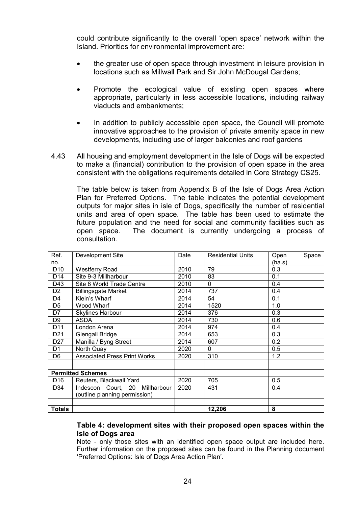could contribute significantly to the overall 'open space' network within the Island. Priorities for environmental improvement are:

- the greater use of open space through investment in leisure provision in locations such as Millwall Park and Sir John McDougal Gardens;
- Promote the ecological value of existing open spaces where appropriate, particularly in less accessible locations, including railway viaducts and embankments;
- In addition to publicly accessible open space, the Council will promote innovative approaches to the provision of private amenity space in new developments, including use of larger balconies and roof gardens
- 4.43 All housing and employment development in the Isle of Dogs will be expected to make a (financial) contribution to the provision of open space in the area consistent with the obligations requirements detailed in Core Strategy CS25.

The table below is taken from Appendix B of the Isle of Dogs Area Action Plan for Preferred Options. The table indicates the potential development outputs for major sites in isle of Dogs, specifically the number of residential units and area of open space. The table has been used to estimate the future population and the need for social and community facilities such as open space. The document is currently undergoing a process of consultation.

| Ref.             | Development Site                    | Date | <b>Residential Units</b> | Open<br>Space |
|------------------|-------------------------------------|------|--------------------------|---------------|
| no.              |                                     |      |                          | (ha.s)        |
| <b>ID10</b>      | <b>Westferry Road</b>               | 2010 | 79                       | 0.3           |
| ID14             | Site 9-3 Millharbour                | 2010 | 83                       | 0.1           |
| ID <sub>43</sub> | Site 8 World Trade Centre           | 2010 | $\Omega$                 | 0.4           |
| ID <sub>2</sub>  | <b>Billingsgate Market</b>          | 2014 | 737                      | 0.4           |
| !D4              | Klein's Wharf                       | 2014 | 54                       | 0.1           |
| ID <sub>5</sub>  | Wood Wharf                          | 2014 | 1520                     | 1.0           |
| ID <sub>7</sub>  | <b>Skylines Harbour</b>             | 2014 | 376                      | 0.3           |
| ID <sub>9</sub>  | <b>ASDA</b>                         | 2014 | 730                      | 0.6           |
| <b>ID11</b>      | London Arena                        | 2014 | 974                      | 0.4           |
| ID <sub>21</sub> | Glengall Bridge                     | 2014 | 653                      | 0.3           |
| ID <sub>27</sub> | Manilla / Byng Street               | 2014 | 607                      | 0.2           |
| ID <sub>1</sub>  | North Quay                          | 2020 | 0                        | 0.5           |
| ID <sub>6</sub>  | <b>Associated Press Print Works</b> | 2020 | 310                      | 1.2           |
|                  |                                     |      |                          |               |
|                  | <b>Permitted Schemes</b>            |      |                          |               |
| ID <sub>16</sub> | Reuters, Blackwall Yard             | 2020 | 705                      | 0.5           |
| ID <sub>34</sub> | Indescon Court, 20 Millharbour      | 2020 | 431                      | 0.4           |
|                  | (outline planning permission)       |      |                          |               |
|                  |                                     |      |                          |               |
| <b>Totals</b>    |                                     |      | 12,206                   | 8             |

#### Table 4: development sites with their proposed open spaces within the Isle of Dogs area

Note - only those sites with an identified open space output are included here. Further information on the proposed sites can be found in the Planning document 'Preferred Options: Isle of Dogs Area Action Plan'.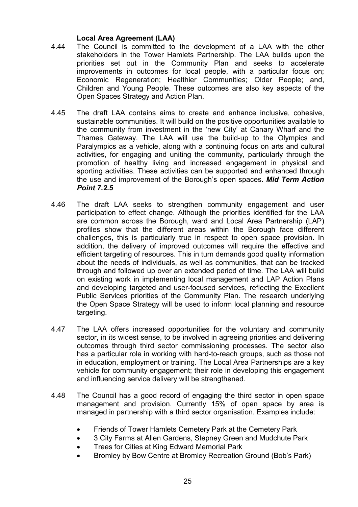#### Local Area Agreement (LAA)

- 4.44 The Council is committed to the development of a LAA with the other stakeholders in the Tower Hamlets Partnership. The LAA builds upon the priorities set out in the Community Plan and seeks to accelerate improvements in outcomes for local people, with a particular focus on; Economic Regeneration; Healthier Communities; Older People; and, Children and Young People. These outcomes are also key aspects of the Open Spaces Strategy and Action Plan.
- 4.45 The draft LAA contains aims to create and enhance inclusive, cohesive, sustainable communities. It will build on the positive opportunities available to the community from investment in the 'new City' at Canary Wharf and the Thames Gateway. The LAA will use the build-up to the Olympics and Paralympics as a vehicle, along with a continuing focus on arts and cultural activities, for engaging and uniting the community, particularly through the promotion of healthy living and increased engagement in physical and sporting activities. These activities can be supported and enhanced through the use and improvement of the Borough's open spaces. Mid Term Action Point 7.2.5
- 4.46 The draft LAA seeks to strengthen community engagement and user participation to effect change. Although the priorities identified for the LAA are common across the Borough, ward and Local Area Partnership (LAP) profiles show that the different areas within the Borough face different challenges, this is particularly true in respect to open space provision. In addition, the delivery of improved outcomes will require the effective and efficient targeting of resources. This in turn demands good quality information about the needs of individuals, as well as communities, that can be tracked through and followed up over an extended period of time. The LAA will build on existing work in implementing local management and LAP Action Plans and developing targeted and user-focused services, reflecting the Excellent Public Services priorities of the Community Plan. The research underlying the Open Space Strategy will be used to inform local planning and resource targeting.
- 4.47 The LAA offers increased opportunities for the voluntary and community sector, in its widest sense, to be involved in agreeing priorities and delivering outcomes through third sector commissioning processes. The sector also has a particular role in working with hard-to-reach groups, such as those not in education, employment or training. The Local Area Partnerships are a key vehicle for community engagement; their role in developing this engagement and influencing service delivery will be strengthened.
- 4.48 The Council has a good record of engaging the third sector in open space management and provision. Currently 15% of open space by area is managed in partnership with a third sector organisation. Examples include:
	- Friends of Tower Hamlets Cemetery Park at the Cemetery Park
	- 3 City Farms at Allen Gardens, Stepney Green and Mudchute Park
	- Trees for Cities at King Edward Memorial Park
	- Bromley by Bow Centre at Bromley Recreation Ground (Bob's Park)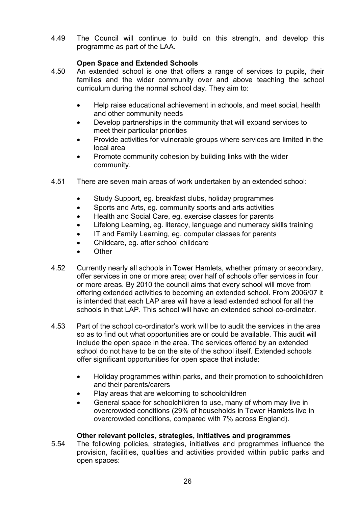4.49 The Council will continue to build on this strength, and develop this programme as part of the LAA.

#### Open Space and Extended Schools

- 4.50 An extended school is one that offers a range of services to pupils, their families and the wider community over and above teaching the school curriculum during the normal school day. They aim to:
	- Help raise educational achievement in schools, and meet social, health and other community needs
	- Develop partnerships in the community that will expand services to meet their particular priorities
	- Provide activities for vulnerable groups where services are limited in the local area
	- Promote community cohesion by building links with the wider community.
- 4.51 There are seven main areas of work undertaken by an extended school:
	- Study Support, eg. breakfast clubs, holiday programmes
	- Sports and Arts, eg. community sports and arts activities
	- Health and Social Care, eg. exercise classes for parents
	- Lifelong Learning, eg. literacy, language and numeracy skills training
	- IT and Family Learning, eg. computer classes for parents
	- Childcare, eg. after school childcare
	- Other
- 4.52 Currently nearly all schools in Tower Hamlets, whether primary or secondary, offer services in one or more area; over half of schools offer services in four or more areas. By 2010 the council aims that every school will move from offering extended activities to becoming an extended school. From 2006/07 it is intended that each LAP area will have a lead extended school for all the schools in that LAP. This school will have an extended school co-ordinator.
- 4.53 Part of the school co-ordinator's work will be to audit the services in the area so as to find out what opportunities are or could be available. This audit will include the open space in the area. The services offered by an extended school do not have to be on the site of the school itself. Extended schools offer significant opportunities for open space that include:
	- Holiday programmes within parks, and their promotion to schoolchildren and their parents/carers
	- Play areas that are welcoming to schoolchildren
	- General space for schoolchildren to use, many of whom may live in overcrowded conditions (29% of households in Tower Hamlets live in overcrowded conditions, compared with 7% across England).

#### Other relevant policies, strategies, initiatives and programmes

5.54 The following policies, strategies, initiatives and programmes influence the provision, facilities, qualities and activities provided within public parks and open spaces: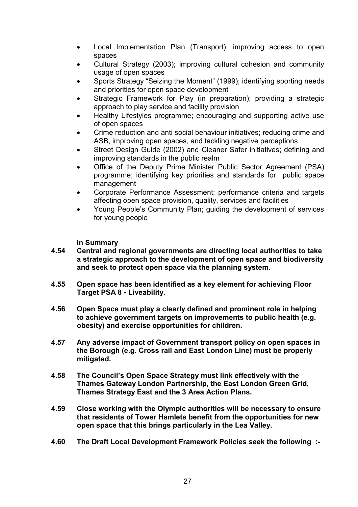- Local Implementation Plan (Transport); improving access to open spaces
- Cultural Strategy (2003); improving cultural cohesion and community usage of open spaces
- Sports Strategy "Seizing the Moment" (1999); identifying sporting needs and priorities for open space development
- Strategic Framework for Play (in preparation); providing a strategic approach to play service and facility provision
- Healthy Lifestyles programme; encouraging and supporting active use of open spaces
- Crime reduction and anti social behaviour initiatives; reducing crime and ASB, improving open spaces, and tackling negative perceptions
- Street Design Guide (2002) and Cleaner Safer initiatives; defining and improving standards in the public realm
- Office of the Deputy Prime Minister Public Sector Agreement (PSA) programme; identifying key priorities and standards for public space management
- Corporate Performance Assessment; performance criteria and targets affecting open space provision, quality, services and facilities
- Young People's Community Plan; guiding the development of services for young people

In Summary

- 4.54 Central and regional governments are directing local authorities to take a strategic approach to the development of open space and biodiversity and seek to protect open space via the planning system.
- 4.55 Open space has been identified as a key element for achieving Floor Target PSA 8 - Liveability.
- 4.56 Open Space must play a clearly defined and prominent role in helping to achieve government targets on improvements to public health (e.g. obesity) and exercise opportunities for children.
- 4.57 Any adverse impact of Government transport policy on open spaces in the Borough (e.g. Cross rail and East London Line) must be properly mitigated.
- 4.58 The Council's Open Space Strategy must link effectively with the Thames Gateway London Partnership, the East London Green Grid, Thames Strategy East and the 3 Area Action Plans.
- 4.59 Close working with the Olympic authorities will be necessary to ensure that residents of Tower Hamlets benefit from the opportunities for new open space that this brings particularly in the Lea Valley.
- 4.60 The Draft Local Development Framework Policies seek the following :-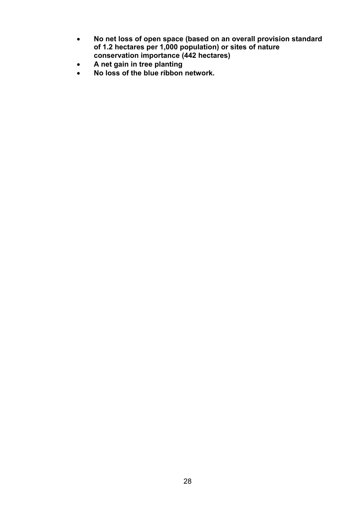- No net loss of open space (based on an overall provision standard of 1.2 hectares per 1,000 population) or sites of nature conservation importance (442 hectares)
- A net gain in tree planting
- No loss of the blue ribbon network.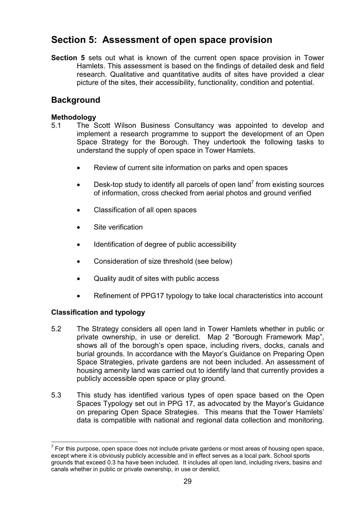## Section 5: Assessment of open space provision

Section 5 sets out what is known of the current open space provision in Tower Hamlets. This assessment is based on the findings of detailed desk and field research. Qualitative and quantitative audits of sites have provided a clear picture of the sites, their accessibility, functionality, condition and potential.

## **Background**

#### Methodology

- 5.1 The Scott Wilson Business Consultancy was appointed to develop and implement a research programme to support the development of an Open Space Strategy for the Borough. They undertook the following tasks to understand the supply of open space in Tower Hamlets.
	- Review of current site information on parks and open spaces
	- Desk-top study to identify all parcels of open land<sup>7</sup> from existing sources of information, cross checked from aerial photos and ground verified
	- Classification of all open spaces
	- Site verification
	- Identification of degree of public accessibility
	- Consideration of size threshold (see below)
	- Quality audit of sites with public access
	- Refinement of PPG17 typology to take local characteristics into account

#### Classification and typology

- 5.2 The Strategy considers all open land in Tower Hamlets whether in public or private ownership, in use or derelict. Map 2 "Borough Framework Map", shows all of the borough's open space, including rivers, docks, canals and burial grounds. In accordance with the Mayor's Guidance on Preparing Open Space Strategies, private gardens are not been included. An assessment of housing amenity land was carried out to identify land that currently provides a publicly accessible open space or play ground.
- 5.3 This study has identified various types of open space based on the Open Spaces Typology set out in PPG 17, as advocated by the Mayor's Guidance on preparing Open Space Strategies. This means that the Tower Hamlets' data is compatible with national and regional data collection and monitoring.

 $\overline{a}$  $<sup>7</sup>$  For this purpose, open space does not include private gardens or most areas of housing open space,</sup> except where it is obviously publicly accessible and in effect serves as a local park. School sports grounds that exceed 0.3 ha have been included. It includes all open land, including rivers, basins and canals whether in public or private ownership, in use or derelict.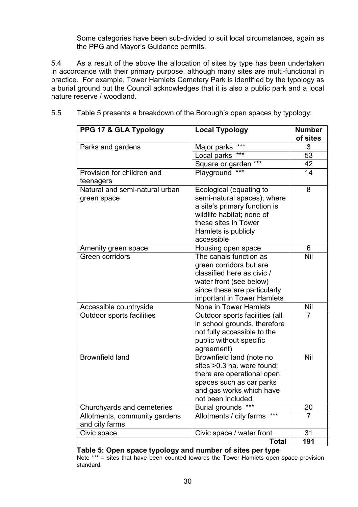Some categories have been sub-divided to suit local circumstances, again as the PPG and Mayor's Guidance permits.

5.4 As a result of the above the allocation of sites by type has been undertaken in accordance with their primary purpose, although many sites are multi-functional in practice. For example, Tower Hamlets Cemetery Park is identified by the typology as a burial ground but the Council acknowledges that it is also a public park and a local nature reserve / woodland.

| PPG 17 & GLA Typology            | <b>Local Typology</b>            | <b>Number</b>  |
|----------------------------------|----------------------------------|----------------|
|                                  |                                  | of sites       |
| Parks and gardens                | ***<br>Major parks               | 3              |
|                                  | Local parks<br>***               | 53             |
|                                  | ***<br>Square or garden          | 42             |
| Provision for children and       | ***<br>Playground                | 14             |
| teenagers                        |                                  |                |
| Natural and semi-natural urban   | Ecological (equating to          | 8              |
| green space                      | semi-natural spaces), where      |                |
|                                  | a site's primary function is     |                |
|                                  | wildlife habitat; none of        |                |
|                                  | these sites in Tower             |                |
|                                  | Hamlets is publicly              |                |
|                                  | accessible                       |                |
| Amenity green space              | Housing open space               | 6              |
| Green corridors                  | The canals function as           | Nil            |
|                                  | green corridors but are          |                |
|                                  | classified here as civic /       |                |
|                                  | water front (see below)          |                |
|                                  | since these are particularly     |                |
|                                  | important in Tower Hamlets       |                |
| Accessible countryside           | None in Tower Hamlets            | Nil            |
| <b>Outdoor sports facilities</b> | Outdoor sports facilities (all   | $\overline{7}$ |
|                                  | in school grounds, therefore     |                |
|                                  | not fully accessible to the      |                |
|                                  | public without specific          |                |
|                                  | agreement)                       |                |
| <b>Brownfield land</b>           | Brownfield land (note no         | Nil            |
|                                  | sites > 0.3 ha. were found;      |                |
|                                  | there are operational open       |                |
|                                  | spaces such as car parks         |                |
|                                  | and gas works which have         |                |
|                                  | not been included                |                |
| Churchyards and cemeteries       | <b>Burial grounds</b>            | 20             |
| Allotments, community gardens    | $***$<br>Allotments / city farms | $\overline{7}$ |
| and city farms                   |                                  |                |
| Civic space                      | Civic space / water front        | 31             |
|                                  | <b>Total</b>                     | 191            |

5.5 Table 5 presents a breakdown of the Borough's open spaces by typology:

Table 5: Open space typology and number of sites per type Note \*\*\* = sites that have been counted towards the Tower Hamlets open space provision standard.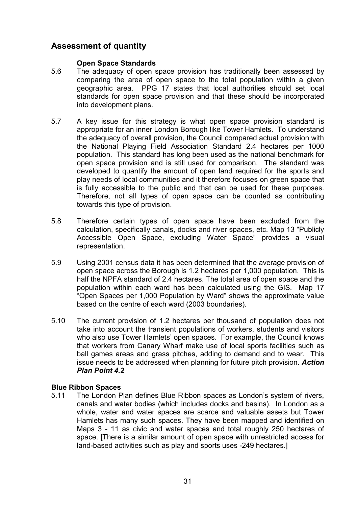### Assessment of quantity

#### Open Space Standards

- 5.6 The adequacy of open space provision has traditionally been assessed by comparing the area of open space to the total population within a given geographic area. PPG 17 states that local authorities should set local standards for open space provision and that these should be incorporated into development plans.
- 5.7 A key issue for this strategy is what open space provision standard is appropriate for an inner London Borough like Tower Hamlets. To understand the adequacy of overall provision, the Council compared actual provision with the National Playing Field Association Standard 2.4 hectares per 1000 population. This standard has long been used as the national benchmark for open space provision and is still used for comparison. The standard was developed to quantify the amount of open land required for the sports and play needs of local communities and it therefore focuses on green space that is fully accessible to the public and that can be used for these purposes. Therefore, not all types of open space can be counted as contributing towards this type of provision.
- 5.8 Therefore certain types of open space have been excluded from the calculation, specifically canals, docks and river spaces, etc. Map 13 "Publicly Accessible Open Space, excluding Water Space" provides a visual representation.
- 5.9 Using 2001 census data it has been determined that the average provision of open space across the Borough is 1.2 hectares per 1,000 population. This is half the NPFA standard of 2.4 hectares. The total area of open space and the population within each ward has been calculated using the GIS. Map 17 "Open Spaces per 1,000 Population by Ward" shows the approximate value based on the centre of each ward (2003 boundaries).
- 5.10 The current provision of 1.2 hectares per thousand of population does not take into account the transient populations of workers, students and visitors who also use Tower Hamlets' open spaces. For example, the Council knows that workers from Canary Wharf make use of local sports facilities such as ball games areas and grass pitches, adding to demand and to wear. This issue needs to be addressed when planning for future pitch provision. Action Plan Point 4.2

#### Blue Ribbon Spaces

5.11 The London Plan defines Blue Ribbon spaces as London's system of rivers, canals and water bodies (which includes docks and basins). In London as a whole, water and water spaces are scarce and valuable assets but Tower Hamlets has many such spaces. They have been mapped and identified on Maps 3 - 11 as civic and water spaces and total roughly 250 hectares of space. [There is a similar amount of open space with unrestricted access for land-based activities such as play and sports uses -249 hectares.]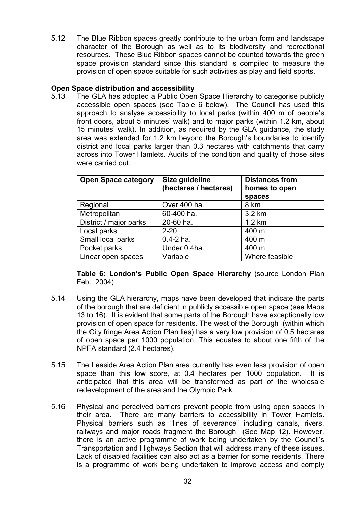5.12 The Blue Ribbon spaces greatly contribute to the urban form and landscape character of the Borough as well as to its biodiversity and recreational resources. These Blue Ribbon spaces cannot be counted towards the green space provision standard since this standard is compiled to measure the provision of open space suitable for such activities as play and field sports.

#### Open Space distribution and accessibility

5.13 The GLA has adopted a Public Open Space Hierarchy to categorise publicly accessible open spaces (see Table 6 below). The Council has used this approach to analyse accessibility to local parks (within 400 m of people's front doors, about 5 minutes' walk) and to major parks (within 1.2 km, about 15 minutes' walk). In addition, as required by the GLA guidance, the study area was extended for 1.2 km beyond the Borough's boundaries to identify district and local parks larger than 0.3 hectares with catchments that carry across into Tower Hamlets. Audits of the condition and quality of those sites were carried out.

| <b>Open Space category</b> | Size guideline<br>(hectares / hectares) | <b>Distances from</b><br>homes to open<br>spaces |
|----------------------------|-----------------------------------------|--------------------------------------------------|
| Regional                   | Over 400 ha.                            | 8 km                                             |
| Metropolitan               | 60-400 ha.                              | 3.2 km                                           |
| District / major parks     | 20-60 ha.                               | $1.2 \text{ km}$                                 |
| Local parks                | $2 - 20$                                | 400 m                                            |
| Small local parks          | $0.4 - 2$ ha.                           | 400 m                                            |
| Pocket parks               | Under 0.4ha.                            | 400 m                                            |
| Linear open spaces         | Variable                                | Where feasible                                   |

Table 6: London's Public Open Space Hierarchy (source London Plan Feb. 2004)

- 5.14 Using the GLA hierarchy, maps have been developed that indicate the parts of the borough that are deficient in publicly accessible open space (see Maps 13 to 16). It is evident that some parts of the Borough have exceptionally low provision of open space for residents. The west of the Borough (within which the City fringe Area Action Plan lies) has a very low provision of 0.5 hectares of open space per 1000 population. This equates to about one fifth of the NPFA standard (2.4 hectares).
- 5.15 The Leaside Area Action Plan area currently has even less provision of open space than this low score, at 0.4 hectares per 1000 population. It is anticipated that this area will be transformed as part of the wholesale redevelopment of the area and the Olympic Park.
- 5.16 Physical and perceived barriers prevent people from using open spaces in their area. There are many barriers to accessibility in Tower Hamlets. Physical barriers such as "lines of severance" including canals, rivers, railways and major roads fragment the Borough (See Map 12). However, there is an active programme of work being undertaken by the Council's Transportation and Highways Section that will address many of these issues. Lack of disabled facilities can also act as a barrier for some residents. There is a programme of work being undertaken to improve access and comply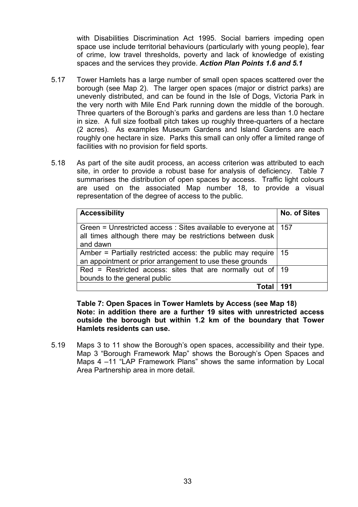with Disabilities Discrimination Act 1995. Social barriers impeding open space use include territorial behaviours (particularly with young people), fear of crime, low travel thresholds, poverty and lack of knowledge of existing spaces and the services they provide. Action Plan Points 1.6 and 5.1

- 5.17 Tower Hamlets has a large number of small open spaces scattered over the borough (see Map 2). The larger open spaces (major or district parks) are unevenly distributed, and can be found in the Isle of Dogs, Victoria Park in the very north with Mile End Park running down the middle of the borough. Three quarters of the Borough's parks and gardens are less than 1.0 hectare in size. A full size football pitch takes up roughly three-quarters of a hectare (2 acres). As examples Museum Gardens and Island Gardens are each roughly one hectare in size. Parks this small can only offer a limited range of facilities with no provision for field sports.
- 5.18 As part of the site audit process, an access criterion was attributed to each site, in order to provide a robust base for analysis of deficiency. Table 7 summarises the distribution of open spaces by access. Traffic light colours are used on the associated Map number 18, to provide a visual representation of the degree of access to the public.

| <b>Accessibility</b>                                                                                                                    | <b>No. of Sites</b> |
|-----------------------------------------------------------------------------------------------------------------------------------------|---------------------|
| Green = Unrestricted access : Sites available to everyone at  <br>all times although there may be restrictions between dusk<br>and dawn | 157                 |
| Amber = Partially restricted access: the public may require<br>an appointment or prior arrangement to use these grounds                 | 15                  |
| Red = Restricted access: sites that are normally out of<br>bounds to the general public                                                 | -19                 |
|                                                                                                                                         | 191                 |

Table 7: Open Spaces in Tower Hamlets by Access (see Map 18) Note: in addition there are a further 19 sites with unrestricted access outside the borough but within 1.2 km of the boundary that Tower Hamlets residents can use.

5.19 Maps 3 to 11 show the Borough's open spaces, accessibility and their type. Map 3 "Borough Framework Map" shows the Borough's Open Spaces and Maps 4 –11 "LAP Framework Plans" shows the same information by Local Area Partnership area in more detail.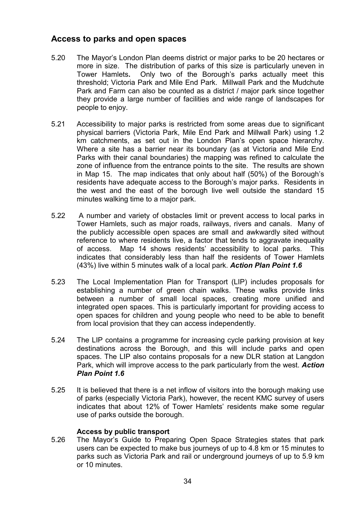#### Access to parks and open spaces

- 5.20 The Mayor's London Plan deems district or major parks to be 20 hectares or more in size. The distribution of parks of this size is particularly uneven in Tower Hamlets. Only two of the Borough's parks actually meet this threshold; Victoria Park and Mile End Park. Millwall Park and the Mudchute Park and Farm can also be counted as a district / major park since together they provide a large number of facilities and wide range of landscapes for people to enjoy.
- 5.21 Accessibility to major parks is restricted from some areas due to significant physical barriers (Victoria Park, Mile End Park and Millwall Park) using 1.2 km catchments, as set out in the London Plan's open space hierarchy. Where a site has a barrier near its boundary (as at Victoria and Mile End Parks with their canal boundaries) the mapping was refined to calculate the zone of influence from the entrance points to the site. The results are shown in Map 15. The map indicates that only about half (50%) of the Borough's residents have adequate access to the Borough's major parks. Residents in the west and the east of the borough live well outside the standard 15 minutes walking time to a major park.
- 5.22 A number and variety of obstacles limit or prevent access to local parks in Tower Hamlets, such as major roads, railways, rivers and canals. Many of the publicly accessible open spaces are small and awkwardly sited without reference to where residents live, a factor that tends to aggravate inequality of access. Map 14 shows residents' accessibility to local parks. This indicates that considerably less than half the residents of Tower Hamlets (43%) live within 5 minutes walk of a local park. Action Plan Point 1.6
- 5.23 The Local Implementation Plan for Transport (LIP) includes proposals for establishing a number of green chain walks. These walks provide links between a number of small local spaces, creating more unified and integrated open spaces. This is particularly important for providing access to open spaces for children and young people who need to be able to benefit from local provision that they can access independently.
- 5.24 The LIP contains a programme for increasing cycle parking provision at key destinations across the Borough, and this will include parks and open spaces. The LIP also contains proposals for a new DLR station at Langdon Park, which will improve access to the park particularly from the west. Action Plan Point 1.6
- 5.25 It is believed that there is a net inflow of visitors into the borough making use of parks (especially Victoria Park), however, the recent KMC survey of users indicates that about 12% of Tower Hamlets' residents make some regular use of parks outside the borough.

#### Access by public transport

5.26 The Mayor's Guide to Preparing Open Space Strategies states that park users can be expected to make bus journeys of up to 4.8 km or 15 minutes to parks such as Victoria Park and rail or underground journeys of up to 5.9 km or 10 minutes.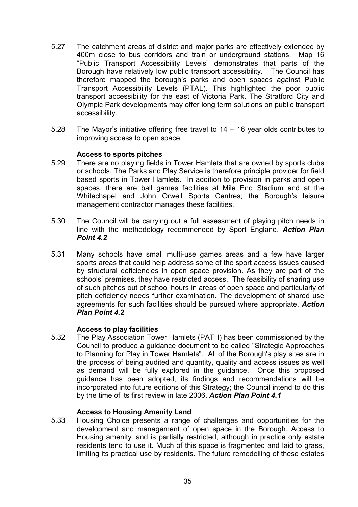- 5.27 The catchment areas of district and major parks are effectively extended by 400m close to bus corridors and train or underground stations. Map 16 "Public Transport Accessibility Levels" demonstrates that parts of the Borough have relatively low public transport accessibility. The Council has therefore mapped the borough's parks and open spaces against Public Transport Accessibility Levels (PTAL). This highlighted the poor public transport accessibility for the east of Victoria Park. The Stratford City and Olympic Park developments may offer long term solutions on public transport accessibility.
- 5.28 The Mayor's initiative offering free travel to 14 16 year olds contributes to improving access to open space.

#### Access to sports pitches

- 5.29 There are no playing fields in Tower Hamlets that are owned by sports clubs or schools. The Parks and Play Service is therefore principle provider for field based sports in Tower Hamlets. In addition to provision in parks and open spaces, there are ball games facilities at Mile End Stadium and at the Whitechapel and John Orwell Sports Centres; the Borough's leisure management contractor manages these facilities.
- 5.30 The Council will be carrying out a full assessment of playing pitch needs in line with the methodology recommended by Sport England. Action Plan Point 4.2
- 5.31 Many schools have small multi-use games areas and a few have larger sports areas that could help address some of the sport access issues caused by structural deficiencies in open space provision. As they are part of the schools' premises, they have restricted access. The feasibility of sharing use of such pitches out of school hours in areas of open space and particularly of pitch deficiency needs further examination. The development of shared use agreements for such facilities should be pursued where appropriate. Action Plan Point 4.2

#### Access to play facilities

5.32 The Play Association Tower Hamlets (PATH) has been commissioned by the Council to produce a guidance document to be called "Strategic Approaches to Planning for Play in Tower Hamlets". All of the Borough's play sites are in the process of being audited and quantity, quality and access issues as well as demand will be fully explored in the guidance. Once this proposed guidance has been adopted, its findings and recommendations will be incorporated into future editions of this Strategy; the Council intend to do this by the time of its first review in late 2006. Action Plan Point 4.1

#### Access to Housing Amenity Land

5.33 Housing Choice presents a range of challenges and opportunities for the development and management of open space in the Borough. Access to Housing amenity land is partially restricted, although in practice only estate residents tend to use it. Much of this space is fragmented and laid to grass, limiting its practical use by residents. The future remodelling of these estates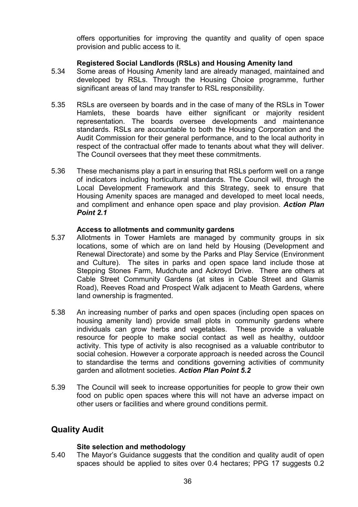offers opportunities for improving the quantity and quality of open space provision and public access to it.

#### Registered Social Landlords (RSLs) and Housing Amenity land

- 5.34 Some areas of Housing Amenity land are already managed, maintained and developed by RSLs. Through the Housing Choice programme, further significant areas of land may transfer to RSL responsibility.
- 5.35 RSLs are overseen by boards and in the case of many of the RSLs in Tower Hamlets, these boards have either significant or majority resident representation. The boards oversee developments and maintenance standards. RSLs are accountable to both the Housing Corporation and the Audit Commission for their general performance, and to the local authority in respect of the contractual offer made to tenants about what they will deliver. The Council oversees that they meet these commitments.
- 5.36 These mechanisms play a part in ensuring that RSLs perform well on a range of indicators including horticultural standards. The Council will, through the Local Development Framework and this Strategy, seek to ensure that Housing Amenity spaces are managed and developed to meet local needs, and compliment and enhance open space and play provision. Action Plan Point 2.1

#### Access to allotments and community gardens

- 5.37 Allotments in Tower Hamlets are managed by community groups in six locations, some of which are on land held by Housing (Development and Renewal Directorate) and some by the Parks and Play Service (Environment and Culture). The sites in parks and open space land include those at Stepping Stones Farm, Mudchute and Ackroyd Drive. There are others at Cable Street Community Gardens (at sites in Cable Street and Glamis Road), Reeves Road and Prospect Walk adjacent to Meath Gardens, where land ownership is fragmented.
- 5.38 An increasing number of parks and open spaces (including open spaces on housing amenity land) provide small plots in community gardens where individuals can grow herbs and vegetables. These provide a valuable resource for people to make social contact as well as healthy, outdoor activity. This type of activity is also recognised as a valuable contributor to social cohesion. However a corporate approach is needed across the Council to standardise the terms and conditions governing activities of community garden and allotment societies. Action Plan Point 5.2
- 5.39 The Council will seek to increase opportunities for people to grow their own food on public open spaces where this will not have an adverse impact on other users or facilities and where ground conditions permit.

### Quality Audit

#### Site selection and methodology

5.40 The Mayor's Guidance suggests that the condition and quality audit of open spaces should be applied to sites over 0.4 hectares; PPG 17 suggests 0.2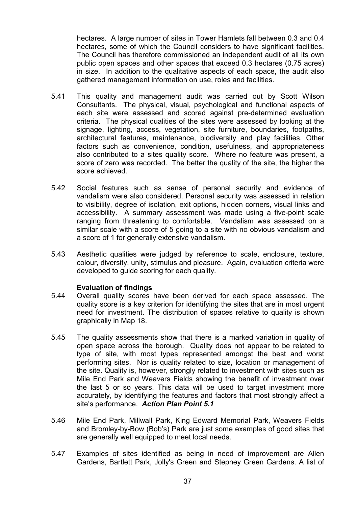hectares. A large number of sites in Tower Hamlets fall between 0.3 and 0.4 hectares, some of which the Council considers to have significant facilities. The Council has therefore commissioned an independent audit of all its own public open spaces and other spaces that exceed 0.3 hectares (0.75 acres) in size. In addition to the qualitative aspects of each space, the audit also gathered management information on use, roles and facilities.

- 5.41 This quality and management audit was carried out by Scott Wilson Consultants. The physical, visual, psychological and functional aspects of each site were assessed and scored against pre-determined evaluation criteria. The physical qualities of the sites were assessed by looking at the signage, lighting, access, vegetation, site furniture, boundaries, footpaths, architectural features, maintenance, biodiversity and play facilities. Other factors such as convenience, condition, usefulness, and appropriateness also contributed to a sites quality score. Where no feature was present, a score of zero was recorded. The better the quality of the site, the higher the score achieved.
- 5.42 Social features such as sense of personal security and evidence of vandalism were also considered. Personal security was assessed in relation to visibility, degree of isolation, exit options, hidden corners, visual links and accessibility. A summary assessment was made using a five-point scale ranging from threatening to comfortable. Vandalism was assessed on a similar scale with a score of 5 going to a site with no obvious vandalism and a score of 1 for generally extensive vandalism.
- 5.43 Aesthetic qualities were judged by reference to scale, enclosure, texture, colour, diversity, unity, stimulus and pleasure. Again, evaluation criteria were developed to guide scoring for each quality.

#### Evaluation of findings

- 5.44 Overall quality scores have been derived for each space assessed. The quality score is a key criterion for identifying the sites that are in most urgent need for investment. The distribution of spaces relative to quality is shown graphically in Map 18.
- 5.45 The quality assessments show that there is a marked variation in quality of open space across the borough. Quality does not appear to be related to type of site, with most types represented amongst the best and worst performing sites. Nor is quality related to size, location or management of the site. Quality is, however, strongly related to investment with sites such as Mile End Park and Weavers Fields showing the benefit of investment over the last 5 or so years. This data will be used to target investment more accurately, by identifying the features and factors that most strongly affect a site's performance. Action Plan Point 5.1
- 5.46 Mile End Park, Millwall Park, King Edward Memorial Park, Weavers Fields and Bromley-by-Bow (Bob's) Park are just some examples of good sites that are generally well equipped to meet local needs.
- 5.47 Examples of sites identified as being in need of improvement are Allen Gardens, Bartlett Park, Jolly's Green and Stepney Green Gardens. A list of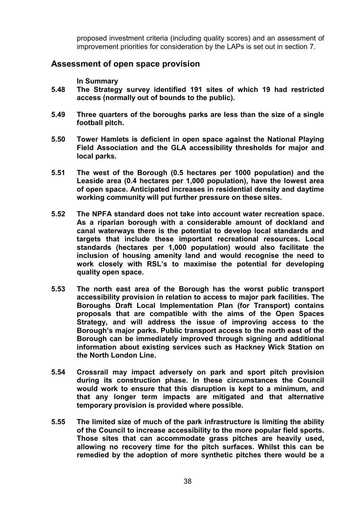proposed investment criteria (including quality scores) and an assessment of improvement priorities for consideration by the LAPs is set out in section 7.

## Assessment of open space provision

In Summary

- 5.48 The Strategy survey identified 191 sites of which 19 had restricted access (normally out of bounds to the public).
- 5.49 Three quarters of the boroughs parks are less than the size of a single football pitch.
- 5.50 Tower Hamlets is deficient in open space against the National Playing Field Association and the GLA accessibility thresholds for major and local parks.
- 5.51 The west of the Borough (0.5 hectares per 1000 population) and the Leaside area (0.4 hectares per 1,000 population), have the lowest area of open space. Anticipated increases in residential density and daytime working community will put further pressure on these sites.
- 5.52 The NPFA standard does not take into account water recreation space. As a riparian borough with a considerable amount of dockland and canal waterways there is the potential to develop local standards and targets that include these important recreational resources. Local standards (hectares per 1,000 population) would also facilitate the inclusion of housing amenity land and would recognise the need to work closely with RSL's to maximise the potential for developing quality open space.
- 5.53 The north east area of the Borough has the worst public transport accessibility provision in relation to access to major park facilities. The Boroughs Draft Local Implementation Plan (for Transport) contains proposals that are compatible with the aims of the Open Spaces Strategy, and will address the issue of improving access to the Borough's major parks. Public transport access to the north east of the Borough can be immediately improved through signing and additional information about existing services such as Hackney Wick Station on the North London Line.
- 5.54 Crossrail may impact adversely on park and sport pitch provision during its construction phase. In these circumstances the Council would work to ensure that this disruption is kept to a minimum, and that any longer term impacts are mitigated and that alternative temporary provision is provided where possible.
- 5.55 The limited size of much of the park infrastructure is limiting the ability of the Council to increase accessibility to the more popular field sports. Those sites that can accommodate grass pitches are heavily used, allowing no recovery time for the pitch surfaces. Whilst this can be remedied by the adoption of more synthetic pitches there would be a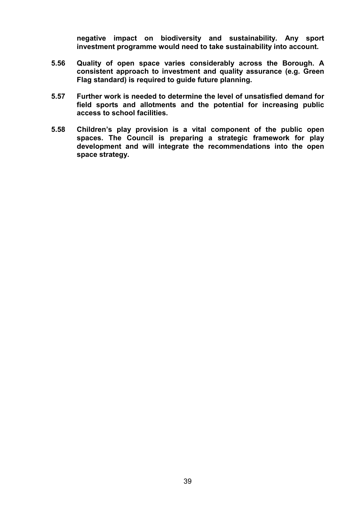negative impact on biodiversity and sustainability. Any sport investment programme would need to take sustainability into account.

- 5.56 Quality of open space varies considerably across the Borough. A consistent approach to investment and quality assurance (e.g. Green Flag standard) is required to guide future planning.
- 5.57 Further work is needed to determine the level of unsatisfied demand for field sports and allotments and the potential for increasing public access to school facilities.
- 5.58 Children's play provision is a vital component of the public open spaces. The Council is preparing a strategic framework for play development and will integrate the recommendations into the open space strategy.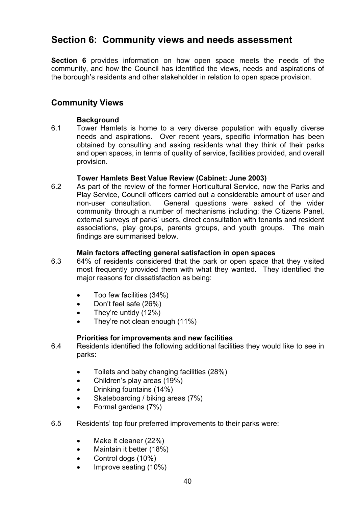## Section 6: Community views and needs assessment

Section 6 provides information on how open space meets the needs of the community, and how the Council has identified the views, needs and aspirations of the borough's residents and other stakeholder in relation to open space provision.

## Community Views

#### **Background**

6.1 Tower Hamlets is home to a very diverse population with equally diverse needs and aspirations. Over recent years, specific information has been obtained by consulting and asking residents what they think of their parks and open spaces, in terms of quality of service, facilities provided, and overall provision.

#### Tower Hamlets Best Value Review (Cabinet: June 2003)

6.2 As part of the review of the former Horticultural Service, now the Parks and Play Service, Council officers carried out a considerable amount of user and non-user consultation. General questions were asked of the wider community through a number of mechanisms including; the Citizens Panel, external surveys of parks' users, direct consultation with tenants and resident associations, play groups, parents groups, and youth groups. The main findings are summarised below.

#### Main factors affecting general satisfaction in open spaces

- 6.3 64% of residents considered that the park or open space that they visited most frequently provided them with what they wanted. They identified the major reasons for dissatisfaction as being:
	- Too few facilities (34%)
	- Don't feel safe (26%)
	- They're untidy  $(12\%)$
	- They're not clean enough (11%)

#### Priorities for improvements and new facilities

- 6.4 Residents identified the following additional facilities they would like to see in parks:
	- Toilets and baby changing facilities (28%)
	- Children's play areas (19%)
	- Drinking fountains (14%)
	- Skateboarding / biking areas (7%)
	- Formal gardens (7%)
- 6.5 Residents' top four preferred improvements to their parks were:
	- Make it cleaner (22%)
	- Maintain it better (18%)
	- Control dogs (10%)
	- Improve seating (10%)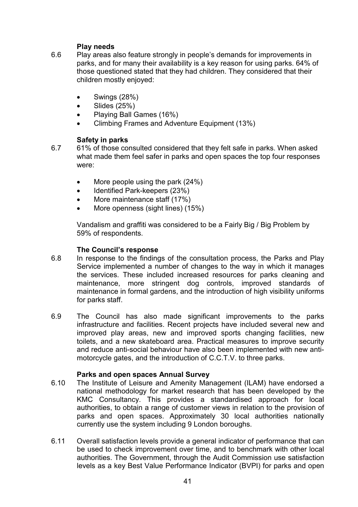## Play needs

- 6.6 Play areas also feature strongly in people's demands for improvements in parks, and for many their availability is a key reason for using parks. 64% of those questioned stated that they had children. They considered that their children mostly enjoyed:
	- Swings (28%)
	- $\bullet$  Slides (25%)
	- Playing Ball Games (16%)
	- Climbing Frames and Adventure Equipment (13%)

## Safety in parks

- 6.7 61% of those consulted considered that they felt safe in parks. When asked what made them feel safer in parks and open spaces the top four responses were:
	- More people using the park (24%)
	- Identified Park-keepers (23%)
	- More maintenance staff (17%)
	- More openness (sight lines) (15%)

Vandalism and graffiti was considered to be a Fairly Big / Big Problem by 59% of respondents.

## The Council's response

- 6.8 In response to the findings of the consultation process, the Parks and Play Service implemented a number of changes to the way in which it manages the services. These included increased resources for parks cleaning and maintenance, more stringent dog controls, improved standards of maintenance in formal gardens, and the introduction of high visibility uniforms for parks staff.
- 6.9 The Council has also made significant improvements to the parks infrastructure and facilities. Recent projects have included several new and improved play areas, new and improved sports changing facilities, new toilets, and a new skateboard area. Practical measures to improve security and reduce anti-social behaviour have also been implemented with new antimotorcycle gates, and the introduction of C.C.T.V. to three parks.

## Parks and open spaces Annual Survey

- 6.10 The Institute of Leisure and Amenity Management (ILAM) have endorsed a national methodology for market research that has been developed by the KMC Consultancy. This provides a standardised approach for local authorities, to obtain a range of customer views in relation to the provision of parks and open spaces. Approximately 30 local authorities nationally currently use the system including 9 London boroughs.
- 6.11 Overall satisfaction levels provide a general indicator of performance that can be used to check improvement over time, and to benchmark with other local authorities. The Government, through the Audit Commission use satisfaction levels as a key Best Value Performance Indicator (BVPI) for parks and open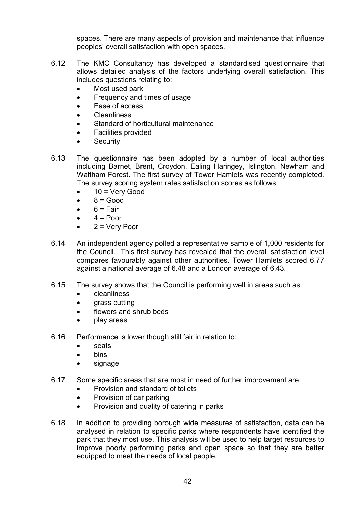spaces. There are many aspects of provision and maintenance that influence peoples' overall satisfaction with open spaces.

- 6.12 The KMC Consultancy has developed a standardised questionnaire that allows detailed analysis of the factors underlying overall satisfaction. This includes questions relating to:
	- Most used park
	- Frequency and times of usage
	- Ease of access
	- Cleanliness
	- Standard of horticultural maintenance
	- Facilities provided
	- **Security**
- 6.13 The questionnaire has been adopted by a number of local authorities including Barnet, Brent, Croydon, Ealing Haringey, Islington, Newham and Waltham Forest. The first survey of Tower Hamlets was recently completed. The survey scoring system rates satisfaction scores as follows:
	- $10 =$  Very Good
	- $\bullet$   $8 = Good$
	- $6 = \text{Fair}$
	- $4 =$  Poor
	- 2 = Very Poor
- 6.14 An independent agency polled a representative sample of 1,000 residents for the Council. This first survey has revealed that the overall satisfaction level compares favourably against other authorities. Tower Hamlets scored 6.77 against a national average of 6.48 and a London average of 6.43.
- 6.15 The survey shows that the Council is performing well in areas such as:
	- cleanliness
	- grass cutting
	- flowers and shrub beds
	- play areas
- 6.16 Performance is lower though still fair in relation to:
	- seats
	- bins
	- signage
- 6.17 Some specific areas that are most in need of further improvement are:
	- Provision and standard of toilets
		- Provision of car parking
	- Provision and quality of catering in parks
- 6.18 In addition to providing borough wide measures of satisfaction, data can be analysed in relation to specific parks where respondents have identified the park that they most use. This analysis will be used to help target resources to improve poorly performing parks and open space so that they are better equipped to meet the needs of local people.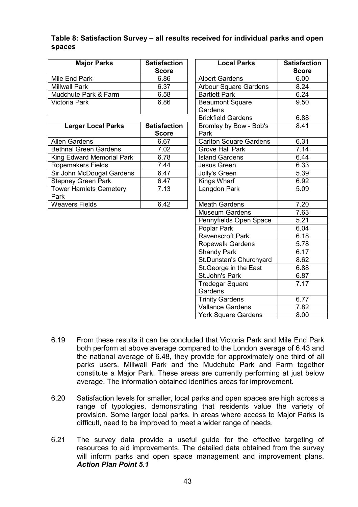#### Table 8: Satisfaction Survey – all results received for individual parks and open spaces

| <b>Major Parks</b>   | <b>Satisfaction</b><br><b>Score</b> | <b>Local Parks</b>                | <b>Satisfact</b><br><b>Score</b> |
|----------------------|-------------------------------------|-----------------------------------|----------------------------------|
| Mile End Park        | 6.86                                | <b>Albert Gardens</b>             | 6.00                             |
| <b>Millwall Park</b> | 6.37                                | <b>Arbour Square Gardens</b>      | 8.24                             |
| Mudchute Park & Farm | 6.58                                | <b>Bartlett Park</b>              | 6.24                             |
| Victoria Park        | 6.86                                | <b>Beaumont Square</b><br>Gardens | 9.50                             |

| <b>Larger Local Parks</b>     | <b>Satisfaction</b> | Bromley by Bow - Bob's        | 8.41 |
|-------------------------------|---------------------|-------------------------------|------|
|                               | <b>Score</b>        | Park                          |      |
| Allen Gardens                 | 6.67                | <b>Carlton Square Gardens</b> | 6.31 |
| <b>Bethnal Green Gardens</b>  | 7.02                | <b>Grove Hall Park</b>        | 7.14 |
| King Edward Memorial Park     | 6.78                | <b>Island Gardens</b>         | 6.44 |
| <b>Ropemakers Fields</b>      | 7.44                | Jesus Green                   | 6.33 |
| Sir John McDougal Gardens     | 6.47                | Jolly's Green                 | 5.39 |
| <b>Stepney Green Park</b>     | 6.47                | Kings Wharf                   | 6.92 |
| <b>Tower Hamlets Cemetery</b> | 7.13                | Langdon Park                  | 5.09 |
| Park                          |                     |                               |      |
| <b>Weavers Fields</b>         | 6.42                | <b>Meath Gardens</b>          | 7.20 |

| <b>Major Parks</b>                    | <b>Satisfaction</b><br><b>Score</b> | <b>Local Parks</b>                | <b>Satisfaction</b><br><b>Score</b> |
|---------------------------------------|-------------------------------------|-----------------------------------|-------------------------------------|
| Mile End Park                         | 6.86                                | <b>Albert Gardens</b>             | 6.00                                |
| <b>Millwall Park</b>                  | 6.37                                | <b>Arbour Square Gardens</b>      | 8.24                                |
| Mudchute Park & Farm                  | 6.58                                | <b>Bartlett Park</b>              | 6.24                                |
| Victoria Park                         | 6.86                                | <b>Beaumont Square</b><br>Gardens | 9.50                                |
|                                       |                                     | <b>Brickfield Gardens</b>         | 6.88                                |
| <b>Larger Local Parks</b>             | <b>Satisfaction</b><br><b>Score</b> | Bromley by Bow - Bob's<br>Park    | 8.41                                |
| Allen Gardens                         | 6.67                                | <b>Carlton Square Gardens</b>     | 6.31                                |
| <b>Bethnal Green Gardens</b>          | 7.02                                | <b>Grove Hall Park</b>            | 7.14                                |
| King Edward Memorial Park             | 6.78                                | <b>Island Gardens</b>             | 6.44                                |
| Ropemakers Fields                     | 7.44                                | Jesus Green                       | 6.33                                |
| Sir John McDougal Gardens             | 6.47                                | Jolly's Green                     | 5.39                                |
| <b>Stepney Green Park</b>             | 6.47                                | Kings Wharf                       | 6.92                                |
| <b>Tower Hamlets Cemetery</b><br>Park | 7.13                                | Langdon Park                      | 5.09                                |
| Weavers Fields                        | 6.42                                | <b>Meath Gardens</b>              | 7.20                                |
|                                       |                                     | <b>Museum Gardens</b>             | 7.63                                |
|                                       |                                     | Pennyfields Open Space            | 5.21                                |
|                                       |                                     | Poplar Park                       | 6.04                                |
|                                       |                                     | Ravenscroft Park                  | 6.18                                |
|                                       |                                     | Ropewalk Gardens                  | 5.78                                |
|                                       |                                     | <b>Shandy Park</b>                | 6.17                                |
|                                       |                                     | St.Dunstan's Churchyard           | 8.62                                |
|                                       |                                     | St. George in the East            | 6.88                                |
|                                       |                                     | St.John's Park                    | 6.87                                |
|                                       |                                     | <b>Tredegar Square</b>            | 7.17                                |
|                                       |                                     | Gardens                           |                                     |
|                                       |                                     | <b>Trinity Gardens</b>            | 6.77                                |
|                                       |                                     | <b>Vallance Gardens</b>           | 7.82                                |
|                                       |                                     | <b>York Square Gardens</b>        | 8.00                                |

- 6.19 From these results it can be concluded that Victoria Park and Mile End Park both perform at above average compared to the London average of 6.43 and the national average of 6.48, they provide for approximately one third of all parks users. Millwall Park and the Mudchute Park and Farm together constitute a Major Park. These areas are currently performing at just below average. The information obtained identifies areas for improvement.
- 6.20 Satisfaction levels for smaller, local parks and open spaces are high across a range of typologies, demonstrating that residents value the variety of provision. Some larger local parks, in areas where access to Major Parks is difficult, need to be improved to meet a wider range of needs.
- 6.21 The survey data provide a useful guide for the effective targeting of resources to aid improvements. The detailed data obtained from the survey will inform parks and open space management and improvement plans. Action Plan Point 5.1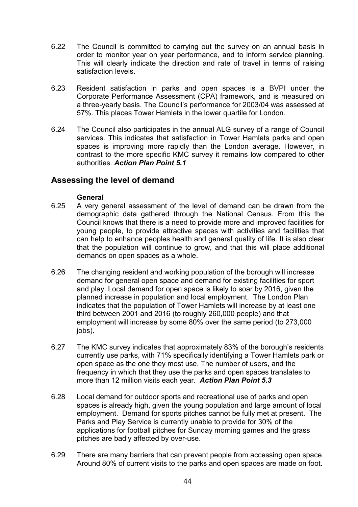- 6.22 The Council is committed to carrying out the survey on an annual basis in order to monitor year on year performance, and to inform service planning. This will clearly indicate the direction and rate of travel in terms of raising satisfaction levels.
- 6.23 Resident satisfaction in parks and open spaces is a BVPI under the Corporate Performance Assessment (CPA) framework, and is measured on a three-yearly basis. The Council's performance for 2003/04 was assessed at 57%. This places Tower Hamlets in the lower quartile for London.
- 6.24 The Council also participates in the annual ALG survey of a range of Council services. This indicates that satisfaction in Tower Hamlets parks and open spaces is improving more rapidly than the London average. However, in contrast to the more specific KMC survey it remains low compared to other authorities. Action Plan Point 5.1

## Assessing the level of demand

#### **General**

- 6.25 A very general assessment of the level of demand can be drawn from the demographic data gathered through the National Census. From this the Council knows that there is a need to provide more and improved facilities for young people, to provide attractive spaces with activities and facilities that can help to enhance peoples health and general quality of life. It is also clear that the population will continue to grow, and that this will place additional demands on open spaces as a whole.
- 6.26 The changing resident and working population of the borough will increase demand for general open space and demand for existing facilities for sport and play. Local demand for open space is likely to soar by 2016, given the planned increase in population and local employment. The London Plan indicates that the population of Tower Hamlets will increase by at least one third between 2001 and 2016 (to roughly 260,000 people) and that employment will increase by some 80% over the same period (to 273,000 jobs).
- 6.27 The KMC survey indicates that approximately 83% of the borough's residents currently use parks, with 71% specifically identifying a Tower Hamlets park or open space as the one they most use. The number of users, and the frequency in which that they use the parks and open spaces translates to more than 12 million visits each year. Action Plan Point 5.3
- 6.28 Local demand for outdoor sports and recreational use of parks and open spaces is already high, given the young population and large amount of local employment. Demand for sports pitches cannot be fully met at present. The Parks and Play Service is currently unable to provide for 30% of the applications for football pitches for Sunday morning games and the grass pitches are badly affected by over-use.
- 6.29 There are many barriers that can prevent people from accessing open space. Around 80% of current visits to the parks and open spaces are made on foot.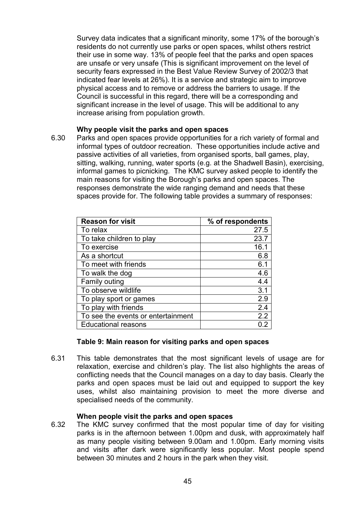Survey data indicates that a significant minority, some 17% of the borough's residents do not currently use parks or open spaces, whilst others restrict their use in some way. 13% of people feel that the parks and open spaces are unsafe or very unsafe (This is significant improvement on the level of security fears expressed in the Best Value Review Survey of 2002/3 that indicated fear levels at 26%). It is a service and strategic aim to improve physical access and to remove or address the barriers to usage. If the Council is successful in this regard, there will be a corresponding and significant increase in the level of usage. This will be additional to any increase arising from population growth.

#### Why people visit the parks and open spaces

6.30 Parks and open spaces provide opportunities for a rich variety of formal and informal types of outdoor recreation. These opportunities include active and passive activities of all varieties, from organised sports, ball games, play, sitting, walking, running, water sports (e.g. at the Shadwell Basin), exercising, informal games to picnicking. The KMC survey asked people to identify the main reasons for visiting the Borough's parks and open spaces. The responses demonstrate the wide ranging demand and needs that these spaces provide for. The following table provides a summary of responses:

| <b>Reason for visit</b>            | % of respondents |
|------------------------------------|------------------|
| To relax                           | 27.5             |
| To take children to play           | 23.7             |
| To exercise                        | 16.1             |
| As a shortcut                      | 6.8              |
| To meet with friends               | 6.1              |
| To walk the dog                    | 4.6              |
| <b>Family outing</b>               | 4.4              |
| To observe wildlife                | 3.1              |
| To play sport or games             | 2.9              |
| To play with friends               | 2.4              |
| To see the events or entertainment | 2.2              |
| <b>Educational reasons</b>         | Ո 2              |

#### Table 9: Main reason for visiting parks and open spaces

6.31 This table demonstrates that the most significant levels of usage are for relaxation, exercise and children's play. The list also highlights the areas of conflicting needs that the Council manages on a day to day basis. Clearly the parks and open spaces must be laid out and equipped to support the key uses, whilst also maintaining provision to meet the more diverse and specialised needs of the community.

#### When people visit the parks and open spaces

6.32 The KMC survey confirmed that the most popular time of day for visiting parks is in the afternoon between 1.00pm and dusk, with approximately half as many people visiting between 9.00am and 1.00pm. Early morning visits and visits after dark were significantly less popular. Most people spend between 30 minutes and 2 hours in the park when they visit.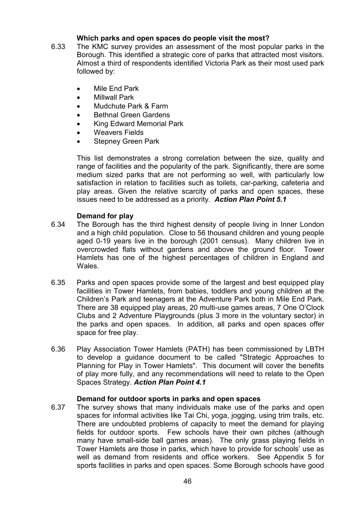#### Which parks and open spaces do people visit the most?

- 6.33 The KMC survey provides an assessment of the most popular parks in the Borough. This identified a strategic core of parks that attracted most visitors. Almost a third of respondents identified Victoria Park as their most used park followed by:
	- Mile End Park
	- Millwall Park
	- Mudchute Park & Farm
	- Bethnal Green Gardens
	- King Edward Memorial Park
	- Weavers Fields
	- **Stepney Green Park**

This list demonstrates a strong correlation between the size, quality and range of facilities and the popularity of the park. Significantly, there are some medium sized parks that are not performing so well, with particularly low satisfaction in relation to facilities such as toilets, car-parking, cafeteria and play areas. Given the relative scarcity of parks and open spaces, these issues need to be addressed as a priority. Action Plan Point 5.1

#### Demand for play

- 6.34 The Borough has the third highest density of people living in Inner London and a high child population. Close to 56 thousand children and young people aged 0-19 years live in the borough (2001 census). Many children live in overcrowded flats without gardens and above the ground floor. Tower Hamlets has one of the highest percentages of children in England and Wales.
- 6.35 Parks and open spaces provide some of the largest and best equipped play facilities in Tower Hamlets, from babies, toddlers and young children at the Children's Park and teenagers at the Adventure Park both in Mile End Park. There are 38 equipped play areas, 20 multi-use games areas, 7 One O'Clock Clubs and 2 Adventure Playgrounds (plus 3 more in the voluntary sector) in the parks and open spaces. In addition, all parks and open spaces offer space for free play.
- 6.36 Play Association Tower Hamlets (PATH) has been commissioned by LBTH to develop a guidance document to be called "Strategic Approaches to Planning for Play in Tower Hamlets". This document will cover the benefits of play more fully, and any recommendations will need to relate to the Open Spaces Strategy. Action Plan Point 4.1

#### Demand for outdoor sports in parks and open spaces

6.37 The survey shows that many individuals make use of the parks and open spaces for informal activities like Tai Chi, yoga, jogging, using trim trails, etc. There are undoubted problems of capacity to meet the demand for playing fields for outdoor sports. Few schools have their own pitches (although many have small-side ball games areas). The only grass playing fields in Tower Hamlets are those in parks, which have to provide for schools' use as well as demand from residents and office workers. See Appendix 5 for sports facilities in parks and open spaces. Some Borough schools have good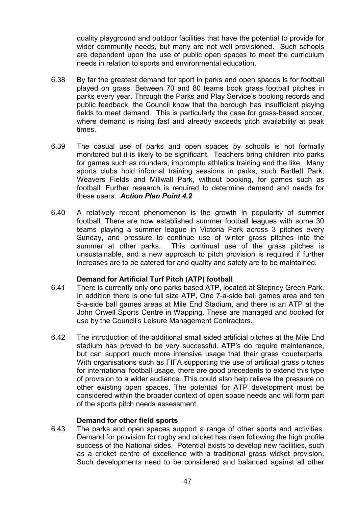quality playground and outdoor facilities that have the potential to provide for wider community needs, but many are not well provisioned. Such schools are dependent upon the use of public open spaces to meet the curriculum needs in relation to sports and environmental education.

- 6.38 By far the greatest demand for sport in parks and open spaces is for football played on grass. Between 70 and 80 teams book grass football pitches in parks every year. Through the Parks and Play Service's booking records and public feedback, the Council know that the borough has insufficient playing fields to meet demand. This is particularly the case for grass-based soccer, where demand is rising fast and already exceeds pitch availability at peak times.
- 6.39 The casual use of parks and open spaces by schools is not formally monitored but it is likely to be significant. Teachers bring children into parks for games such as rounders, impromptu athletics training and the like. Many sports clubs hold informal training sessions in parks, such Bartlett Park, Weavers Fields and Millwall Park, without booking, for games such as football. Further research is required to determine demand and needs for these users. Action Plan Point 4.2
- 6.40 A relatively recent phenomenon is the growth in popularity of summer football. There are now established summer football leagues with some 30 teams playing a summer league in Victoria Park across 3 pitches every Sunday, and pressure to continue use of winter grass pitches into the summer at other parks. This continual use of the grass pitches is unsustainable, and a new approach to pitch provision is required if further increases are to be catered for and quality and safety are to be maintained.

#### Demand for Artificial Turf Pitch (ATP) football

- 6.41 There is currently only one parks based ATP, located at Stepney Green Park. In addition there is one full size ATP, One 7-a-side ball games area and ten 5-a-side ball games areas at Mile End Stadium, and there is an ATP at the John Orwell Sports Centre in Wapping. These are managed and booked for use by the Council's Leisure Management Contractors.
- 6.42 The introduction of the additional small sided artificial pitches at the Mile End stadium has proved to be very successful. ATP's do require maintenance, but can support much more intensive usage that their grass counterparts. With organisations such as FIFA supporting the use of artificial grass pitches for international football usage, there are good precedents to extend this type of provision to a wider audience. This could also help relieve the pressure on other existing open spaces. The potential for ATP development must be considered within the broader context of open space needs and will form part of the sports pitch needs assessment.

#### Demand for other field sports

6.43 The parks and open spaces support a range of other sports and activities. Demand for provision for rugby and cricket has risen following the high profile success of the National sides. Potential exists to develop new facilities, such as a cricket centre of excellence with a traditional grass wicket provision. Such developments need to be considered and balanced against all other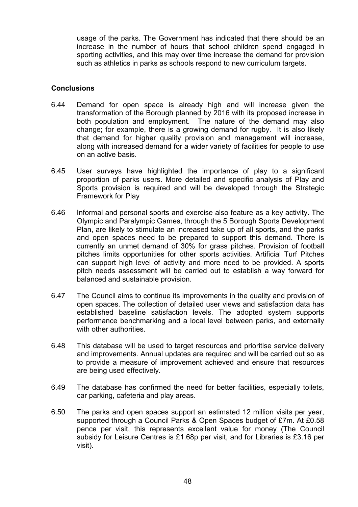usage of the parks. The Government has indicated that there should be an increase in the number of hours that school children spend engaged in sporting activities, and this may over time increase the demand for provision such as athletics in parks as schools respond to new curriculum targets.

#### **Conclusions**

- 6.44 Demand for open space is already high and will increase given the transformation of the Borough planned by 2016 with its proposed increase in both population and employment. The nature of the demand may also change; for example, there is a growing demand for rugby. It is also likely that demand for higher quality provision and management will increase, along with increased demand for a wider variety of facilities for people to use on an active basis.
- 6.45 User surveys have highlighted the importance of play to a significant proportion of parks users. More detailed and specific analysis of Play and Sports provision is required and will be developed through the Strategic Framework for Play
- 6.46 Informal and personal sports and exercise also feature as a key activity. The Olympic and Paralympic Games, through the 5 Borough Sports Development Plan, are likely to stimulate an increased take up of all sports, and the parks and open spaces need to be prepared to support this demand. There is currently an unmet demand of 30% for grass pitches. Provision of football pitches limits opportunities for other sports activities. Artificial Turf Pitches can support high level of activity and more need to be provided. A sports pitch needs assessment will be carried out to establish a way forward for balanced and sustainable provision.
- 6.47 The Council aims to continue its improvements in the quality and provision of open spaces. The collection of detailed user views and satisfaction data has established baseline satisfaction levels. The adopted system supports performance benchmarking and a local level between parks, and externally with other authorities.
- 6.48 This database will be used to target resources and prioritise service delivery and improvements. Annual updates are required and will be carried out so as to provide a measure of improvement achieved and ensure that resources are being used effectively.
- 6.49 The database has confirmed the need for better facilities, especially toilets, car parking, cafeteria and play areas.
- 6.50 The parks and open spaces support an estimated 12 million visits per year, supported through a Council Parks & Open Spaces budget of £7m. At £0.58 pence per visit, this represents excellent value for money (The Council subsidy for Leisure Centres is £1.68p per visit, and for Libraries is £3.16 per visit).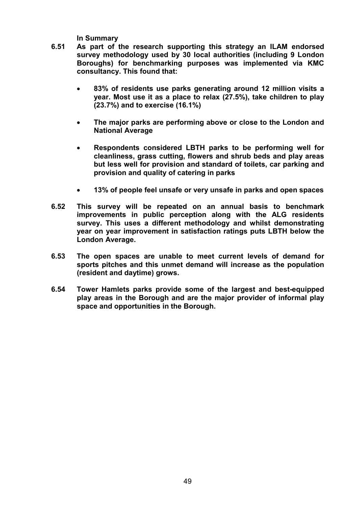In Summary

- 6.51 As part of the research supporting this strategy an ILAM endorsed survey methodology used by 30 local authorities (including 9 London Boroughs) for benchmarking purposes was implemented via KMC consultancy. This found that:
	- 83% of residents use parks generating around 12 million visits a year. Most use it as a place to relax (27.5%), take children to play (23.7%) and to exercise (16.1%)
	- The major parks are performing above or close to the London and National Average
	- Respondents considered LBTH parks to be performing well for cleanliness, grass cutting, flowers and shrub beds and play areas but less well for provision and standard of toilets, car parking and provision and quality of catering in parks
	- 13% of people feel unsafe or very unsafe in parks and open spaces
- 6.52 This survey will be repeated on an annual basis to benchmark improvements in public perception along with the ALG residents survey. This uses a different methodology and whilst demonstrating year on year improvement in satisfaction ratings puts LBTH below the London Average.
- 6.53 The open spaces are unable to meet current levels of demand for sports pitches and this unmet demand will increase as the population (resident and daytime) grows.
- 6.54 Tower Hamlets parks provide some of the largest and best-equipped play areas in the Borough and are the major provider of informal play space and opportunities in the Borough.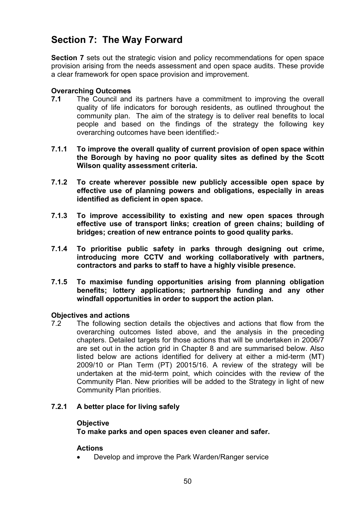# Section 7: The Way Forward

Section 7 sets out the strategic vision and policy recommendations for open space provision arising from the needs assessment and open space audits. These provide a clear framework for open space provision and improvement.

#### Overarching Outcomes

- 7.1 The Council and its partners have a commitment to improving the overall quality of life indicators for borough residents, as outlined throughout the community plan. The aim of the strategy is to deliver real benefits to local people and based on the findings of the strategy the following key overarching outcomes have been identified:-
- 7.1.1 To improve the overall quality of current provision of open space within the Borough by having no poor quality sites as defined by the Scott Wilson quality assessment criteria.
- 7.1.2 To create wherever possible new publicly accessible open space by effective use of planning powers and obligations, especially in areas identified as deficient in open space.
- 7.1.3 To improve accessibility to existing and new open spaces through effective use of transport links; creation of green chains; building of bridges; creation of new entrance points to good quality parks.
- 7.1.4 To prioritise public safety in parks through designing out crime, introducing more CCTV and working collaboratively with partners, contractors and parks to staff to have a highly visible presence.
- 7.1.5 To maximise funding opportunities arising from planning obligation benefits; lottery applications; partnership funding and any other windfall opportunities in order to support the action plan.

## Objectives and actions

7.2 The following section details the objectives and actions that flow from the overarching outcomes listed above, and the analysis in the preceding chapters. Detailed targets for those actions that will be undertaken in 2006/7 are set out in the action grid in Chapter 8 and are summarised below. Also listed below are actions identified for delivery at either a mid-term (MT) 2009/10 or Plan Term (PT) 20015/16. A review of the strategy will be undertaken at the mid-term point, which coincides with the review of the Community Plan. New priorities will be added to the Strategy in light of new Community Plan priorities.

## 7.2.1 A better place for living safely

#### **Objective**

## To make parks and open spaces even cleaner and safer.

#### Actions

• Develop and improve the Park Warden/Ranger service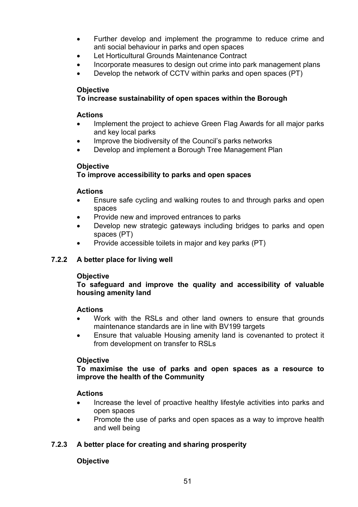- Further develop and implement the programme to reduce crime and anti social behaviour in parks and open spaces
- Let Horticultural Grounds Maintenance Contract
- Incorporate measures to design out crime into park management plans
- Develop the network of CCTV within parks and open spaces (PT)

#### **Objective**

## To increase sustainability of open spaces within the Borough

#### Actions

- Implement the project to achieve Green Flag Awards for all major parks and key local parks
- Improve the biodiversity of the Council's parks networks
- Develop and implement a Borough Tree Management Plan

#### **Objective**

## To improve accessibility to parks and open spaces

#### Actions

- Ensure safe cycling and walking routes to and through parks and open spaces
- Provide new and improved entrances to parks
- Develop new strategic gateways including bridges to parks and open spaces (PT)
- Provide accessible toilets in major and key parks (PT)

## 7.2.2 A better place for living well

## **Objective**

#### To safeguard and improve the quality and accessibility of valuable housing amenity land

## Actions

- Work with the RSLs and other land owners to ensure that grounds maintenance standards are in line with BV199 targets
- Ensure that valuable Housing amenity land is covenanted to protect it from development on transfer to RSLs

## **Objective**

To maximise the use of parks and open spaces as a resource to improve the health of the Community

## Actions

- Increase the level of proactive healthy lifestyle activities into parks and open spaces
- Promote the use of parks and open spaces as a way to improve health and well being

## 7.2.3 A better place for creating and sharing prosperity

## **Objective**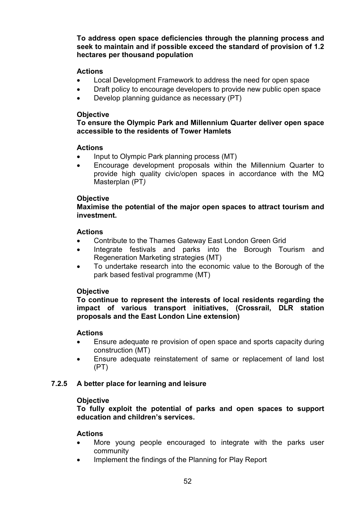To address open space deficiencies through the planning process and seek to maintain and if possible exceed the standard of provision of 1.2 hectares per thousand population

#### Actions

- Local Development Framework to address the need for open space
- Draft policy to encourage developers to provide new public open space
- Develop planning guidance as necessary (PT)

#### **Objective**

#### To ensure the Olympic Park and Millennium Quarter deliver open space accessible to the residents of Tower Hamlets

#### Actions

- Input to Olympic Park planning process (MT)
- Encourage development proposals within the Millennium Quarter to provide high quality civic/open spaces in accordance with the MQ Masterplan (PT)

#### **Objective**

#### Maximise the potential of the major open spaces to attract tourism and investment.

#### Actions

- Contribute to the Thames Gateway East London Green Grid
- Integrate festivals and parks into the Borough Tourism and Regeneration Marketing strategies (MT)
- To undertake research into the economic value to the Borough of the park based festival programme (MT)

## **Objective**

To continue to represent the interests of local residents regarding the impact of various transport initiatives, (Crossrail, DLR station proposals and the East London Line extension)

## Actions

- Ensure adequate re provision of open space and sports capacity during construction (MT)
- Ensure adequate reinstatement of same or replacement of land lost (PT)

## 7.2.5 A better place for learning and leisure

#### **Objective**

To fully exploit the potential of parks and open spaces to support education and children's services.

#### Actions

- More young people encouraged to integrate with the parks user community
- Implement the findings of the Planning for Play Report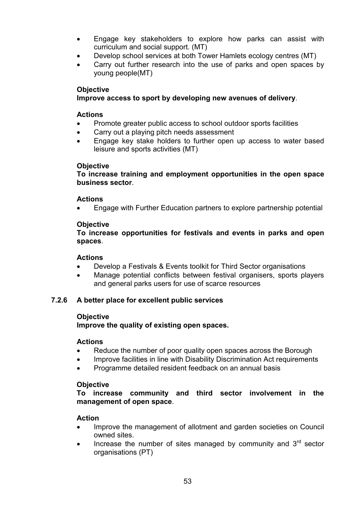- Engage key stakeholders to explore how parks can assist with curriculum and social support. (MT)
- Develop school services at both Tower Hamlets ecology centres (MT)
- Carry out further research into the use of parks and open spaces by young people(MT)

#### **Objective**

## Improve access to sport by developing new avenues of delivery.

#### Actions

- Promote greater public access to school outdoor sports facilities
- Carry out a playing pitch needs assessment
- Engage key stake holders to further open up access to water based leisure and sports activities (MT)

#### **Objective**

To increase training and employment opportunities in the open space business sector.

## Actions

• Engage with Further Education partners to explore partnership potential

## **Objective**

To increase opportunities for festivals and events in parks and open spaces.

## Actions

- Develop a Festivals & Events toolkit for Third Sector organisations
- Manage potential conflicts between festival organisers, sports players and general parks users for use of scarce resources

## 7.2.6 A better place for excellent public services

## **Objective**

Improve the quality of existing open spaces.

## Actions

- Reduce the number of poor quality open spaces across the Borough
- Improve facilities in line with Disability Discrimination Act requirements
- Programme detailed resident feedback on an annual basis

## **Objective**

To increase community and third sector involvement in the management of open space.

## Action

- Improve the management of allotment and garden societies on Council owned sites.
- Increase the number of sites managed by community and  $3<sup>rd</sup>$  sector organisations (PT)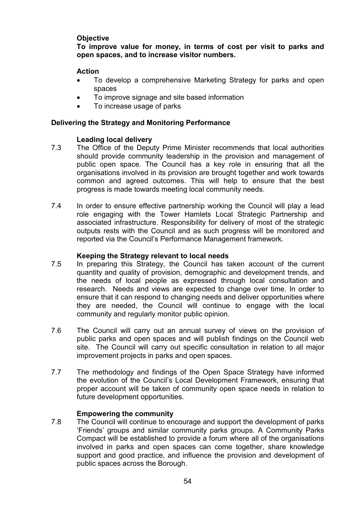#### **Objective**

To improve value for money, in terms of cost per visit to parks and open spaces, and to increase visitor numbers.

#### Action

- To develop a comprehensive Marketing Strategy for parks and open spaces
- To improve signage and site based information
- To increase usage of parks

#### Delivering the Strategy and Monitoring Performance

#### Leading local delivery

- 7.3 The Office of the Deputy Prime Minister recommends that local authorities should provide community leadership in the provision and management of public open space. The Council has a key role in ensuring that all the organisations involved in its provision are brought together and work towards common and agreed outcomes. This will help to ensure that the best progress is made towards meeting local community needs.
- 7.4 In order to ensure effective partnership working the Council will play a lead role engaging with the Tower Hamlets Local Strategic Partnership and associated infrastructure. Responsibility for delivery of most of the strategic outputs rests with the Council and as such progress will be monitored and reported via the Council's Performance Management framework.

#### Keeping the Strategy relevant to local needs

- 7.5 In preparing this Strategy, the Council has taken account of the current quantity and quality of provision, demographic and development trends, and the needs of local people as expressed through local consultation and research. Needs and views are expected to change over time. In order to ensure that it can respond to changing needs and deliver opportunities where they are needed, the Council will continue to engage with the local community and regularly monitor public opinion.
- 7.6 The Council will carry out an annual survey of views on the provision of public parks and open spaces and will publish findings on the Council web site. The Council will carry out specific consultation in relation to all major improvement projects in parks and open spaces.
- 7.7 The methodology and findings of the Open Space Strategy have informed the evolution of the Council's Local Development Framework, ensuring that proper account will be taken of community open space needs in relation to future development opportunities.

#### Empowering the community

7.8 The Council will continue to encourage and support the development of parks 'Friends' groups and similar community parks groups. A Community Parks Compact will be established to provide a forum where all of the organisations involved in parks and open spaces can come together, share knowledge support and good practice, and influence the provision and development of public spaces across the Borough.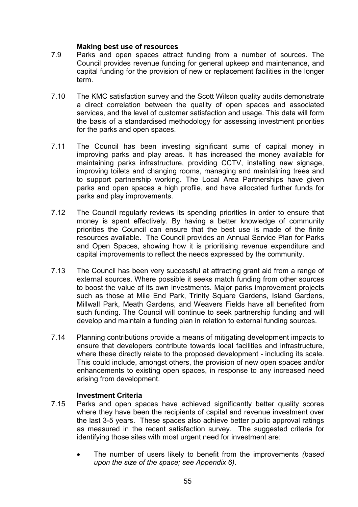#### Making best use of resources

- 7.9 Parks and open spaces attract funding from a number of sources. The Council provides revenue funding for general upkeep and maintenance, and capital funding for the provision of new or replacement facilities in the longer term.
- 7.10 The KMC satisfaction survey and the Scott Wilson quality audits demonstrate a direct correlation between the quality of open spaces and associated services, and the level of customer satisfaction and usage. This data will form the basis of a standardised methodology for assessing investment priorities for the parks and open spaces.
- 7.11 The Council has been investing significant sums of capital money in improving parks and play areas. It has increased the money available for maintaining parks infrastructure, providing CCTV, installing new signage, improving toilets and changing rooms, managing and maintaining trees and to support partnership working. The Local Area Partnerships have given parks and open spaces a high profile, and have allocated further funds for parks and play improvements.
- 7.12 The Council regularly reviews its spending priorities in order to ensure that money is spent effectively. By having a better knowledge of community priorities the Council can ensure that the best use is made of the finite resources available. The Council provides an Annual Service Plan for Parks and Open Spaces, showing how it is prioritising revenue expenditure and capital improvements to reflect the needs expressed by the community.
- 7.13 The Council has been very successful at attracting grant aid from a range of external sources. Where possible it seeks match funding from other sources to boost the value of its own investments. Major parks improvement projects such as those at Mile End Park, Trinity Square Gardens, Island Gardens, Millwall Park, Meath Gardens, and Weavers Fields have all benefited from such funding. The Council will continue to seek partnership funding and will develop and maintain a funding plan in relation to external funding sources.
- 7.14 Planning contributions provide a means of mitigating development impacts to ensure that developers contribute towards local facilities and infrastructure, where these directly relate to the proposed development - including its scale. This could include, amongst others, the provision of new open spaces and/or enhancements to existing open spaces, in response to any increased need arising from development.

## Investment Criteria

- 7.15 Parks and open spaces have achieved significantly better quality scores where they have been the recipients of capital and revenue investment over the last 3-5 years. These spaces also achieve better public approval ratings as measured in the recent satisfaction survey. The suggested criteria for identifying those sites with most urgent need for investment are:
	- The number of users likely to benefit from the improvements (based upon the size of the space; see Appendix 6).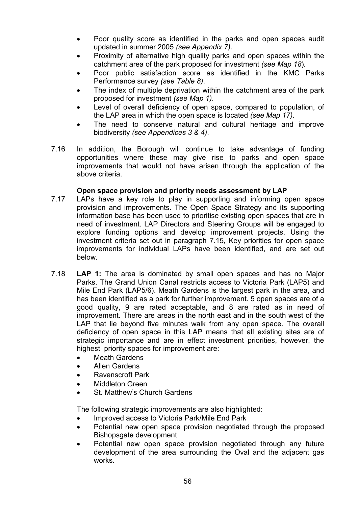- Poor quality score as identified in the parks and open spaces audit updated in summer 2005 (see Appendix 7).
- Proximity of alternative high quality parks and open spaces within the catchment area of the park proposed for investment (see Map 18).
- Poor public satisfaction score as identified in the KMC Parks Performance survey (see Table 8).
- The index of multiple deprivation within the catchment area of the park proposed for investment (see Map 1).
- Level of overall deficiency of open space, compared to population, of the LAP area in which the open space is located (see Map 17).
- The need to conserve natural and cultural heritage and improve biodiversity (see Appendices 3 & 4).
- 7.16 In addition, the Borough will continue to take advantage of funding opportunities where these may give rise to parks and open space improvements that would not have arisen through the application of the above criteria.

#### Open space provision and priority needs assessment by LAP

- 7.17 LAPs have a key role to play in supporting and informing open space provision and improvements. The Open Space Strategy and its supporting information base has been used to prioritise existing open spaces that are in need of investment. LAP Directors and Steering Groups will be engaged to explore funding options and develop improvement projects. Using the investment criteria set out in paragraph 7.15, Key priorities for open space improvements for individual LAPs have been identified, and are set out below.
- 7.18 LAP 1: The area is dominated by small open spaces and has no Major Parks. The Grand Union Canal restricts access to Victoria Park (LAP5) and Mile End Park (LAP5/6). Meath Gardens is the largest park in the area, and has been identified as a park for further improvement. 5 open spaces are of a good quality, 9 are rated acceptable, and 8 are rated as in need of improvement. There are areas in the north east and in the south west of the LAP that lie beyond five minutes walk from any open space. The overall deficiency of open space in this LAP means that all existing sites are of strategic importance and are in effect investment priorities, however, the highest priority spaces for improvement are:
	- **Meath Gardens**
	- Allen Gardens
	- Ravenscroft Park
	- Middleton Green
	- St. Matthew's Church Gardens

The following strategic improvements are also highlighted:

- Improved access to Victoria Park/Mile End Park
- Potential new open space provision negotiated through the proposed Bishopsgate development
- Potential new open space provision negotiated through any future development of the area surrounding the Oval and the adjacent gas works.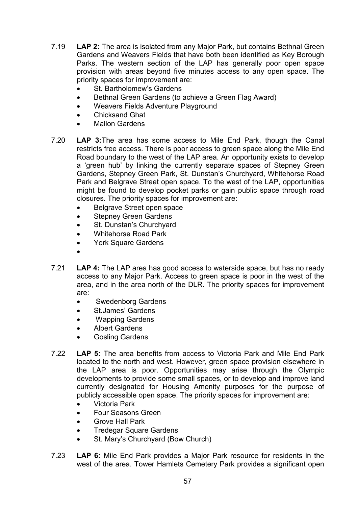- 7.19 LAP 2: The area is isolated from any Major Park, but contains Bethnal Green Gardens and Weavers Fields that have both been identified as Key Borough Parks. The western section of the LAP has generally poor open space provision with areas beyond five minutes access to any open space. The priority spaces for improvement are:
	- St. Bartholomew's Gardens
	- Bethnal Green Gardens (to achieve a Green Flag Award)
	- Weavers Fields Adventure Playground
	- Chicksand Ghat
	- Mallon Gardens
- 7.20 LAP 3:The area has some access to Mile End Park, though the Canal restricts free access. There is poor access to green space along the Mile End Road boundary to the west of the LAP area. An opportunity exists to develop a 'green hub' by linking the currently separate spaces of Stepney Green Gardens, Stepney Green Park, St. Dunstan's Churchyard, Whitehorse Road Park and Belgrave Street open space. To the west of the LAP, opportunities might be found to develop pocket parks or gain public space through road closures. The priority spaces for improvement are:
	- Belgrave Street open space
	- **Stepney Green Gardens**
	- St. Dunstan's Churchyard
	- Whitehorse Road Park
	- York Square Gardens
	- •
- 7.21 LAP 4: The LAP area has good access to waterside space, but has no ready access to any Major Park. Access to green space is poor in the west of the area, and in the area north of the DLR. The priority spaces for improvement are:
	- Swedenborg Gardens
	- St.James' Gardens
	- Wapping Gardens
	- Albert Gardens
	- Gosling Gardens
- 7.22 LAP 5: The area benefits from access to Victoria Park and Mile End Park located to the north and west. However, green space provision elsewhere in the LAP area is poor. Opportunities may arise through the Olympic developments to provide some small spaces, or to develop and improve land currently designated for Housing Amenity purposes for the purpose of publicly accessible open space. The priority spaces for improvement are:
	- Victoria Park
	- Four Seasons Green
	- Grove Hall Park
	- Tredegar Square Gardens
	- St. Mary's Churchyard (Bow Church)
- 7.23 LAP 6: Mile End Park provides a Major Park resource for residents in the west of the area. Tower Hamlets Cemetery Park provides a significant open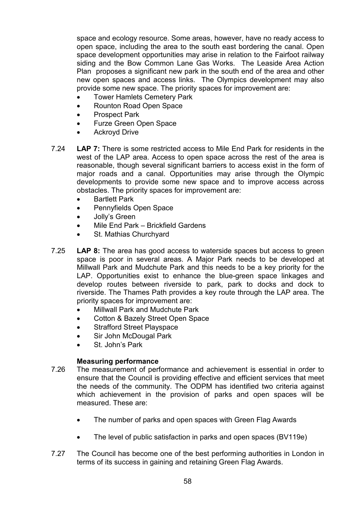space and ecology resource. Some areas, however, have no ready access to open space, including the area to the south east bordering the canal. Open space development opportunities may arise in relation to the Fairfoot railway siding and the Bow Common Lane Gas Works. The Leaside Area Action Plan proposes a significant new park in the south end of the area and other new open spaces and access links. The Olympics development may also provide some new space. The priority spaces for improvement are:

- **Tower Hamlets Cemetery Park**
- Rounton Road Open Space
- Prospect Park
- Furze Green Open Space
- Ackroyd Drive
- 7.24 LAP 7: There is some restricted access to Mile End Park for residents in the west of the LAP area. Access to open space across the rest of the area is reasonable, though several significant barriers to access exist in the form of major roads and a canal. Opportunities may arise through the Olympic developments to provide some new space and to improve access across obstacles. The priority spaces for improvement are:
	- Bartlett Park
	- Pennyfields Open Space
	- Jolly's Green
	- Mile End Park Brickfield Gardens
	- St. Mathias Churchyard
- 7.25 LAP 8: The area has good access to waterside spaces but access to green space is poor in several areas. A Major Park needs to be developed at Millwall Park and Mudchute Park and this needs to be a key priority for the LAP. Opportunities exist to enhance the blue-green space linkages and develop routes between riverside to park, park to docks and dock to riverside. The Thames Path provides a key route through the LAP area. The priority spaces for improvement are:
	- Millwall Park and Mudchute Park
	- Cotton & Bazely Street Open Space
	- Strafford Street Playspace
	- Sir John McDougal Park
	- St. John's Park

## Measuring performance

- 7.26 The measurement of performance and achievement is essential in order to ensure that the Council is providing effective and efficient services that meet the needs of the community. The ODPM has identified two criteria against which achievement in the provision of parks and open spaces will be measured. These are:
	- The number of parks and open spaces with Green Flag Awards
	- The level of public satisfaction in parks and open spaces (BV119e)
- 7.27 The Council has become one of the best performing authorities in London in terms of its success in gaining and retaining Green Flag Awards.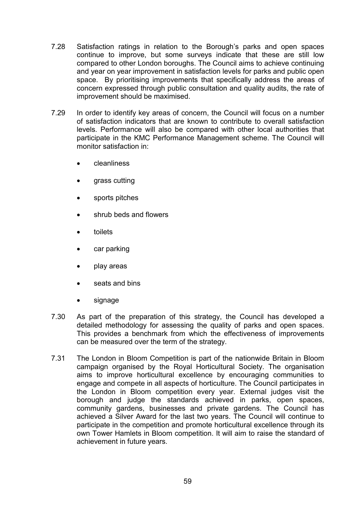- 7.28 Satisfaction ratings in relation to the Borough's parks and open spaces continue to improve, but some surveys indicate that these are still low compared to other London boroughs. The Council aims to achieve continuing and year on year improvement in satisfaction levels for parks and public open space. By prioritising improvements that specifically address the areas of concern expressed through public consultation and quality audits, the rate of improvement should be maximised.
- 7.29 In order to identify key areas of concern, the Council will focus on a number of satisfaction indicators that are known to contribute to overall satisfaction levels. Performance will also be compared with other local authorities that participate in the KMC Performance Management scheme. The Council will monitor satisfaction in:
	- cleanliness
	- grass cutting
	- sports pitches
	- shrub beds and flowers
	- toilets
	- car parking
	- play areas
	- seats and bins
	- signage
- 7.30 As part of the preparation of this strategy, the Council has developed a detailed methodology for assessing the quality of parks and open spaces. This provides a benchmark from which the effectiveness of improvements can be measured over the term of the strategy.
- 7.31 The London in Bloom Competition is part of the nationwide Britain in Bloom campaign organised by the Royal Horticultural Society. The organisation aims to improve horticultural excellence by encouraging communities to engage and compete in all aspects of horticulture. The Council participates in the London in Bloom competition every year. External judges visit the borough and judge the standards achieved in parks, open spaces, community gardens, businesses and private gardens. The Council has achieved a Silver Award for the last two years. The Council will continue to participate in the competition and promote horticultural excellence through its own Tower Hamlets in Bloom competition. It will aim to raise the standard of achievement in future years.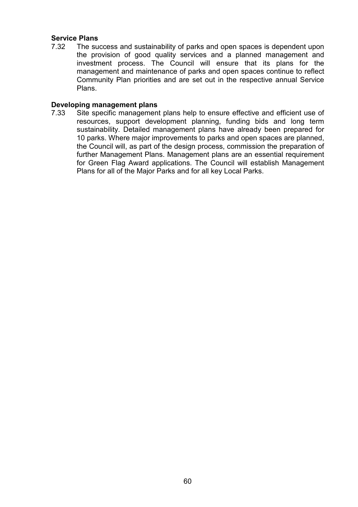#### Service Plans

7.32 The success and sustainability of parks and open spaces is dependent upon the provision of good quality services and a planned management and investment process. The Council will ensure that its plans for the management and maintenance of parks and open spaces continue to reflect Community Plan priorities and are set out in the respective annual Service Plans.

#### Developing management plans

7.33 Site specific management plans help to ensure effective and efficient use of resources, support development planning, funding bids and long term sustainability. Detailed management plans have already been prepared for 10 parks. Where major improvements to parks and open spaces are planned, the Council will, as part of the design process, commission the preparation of further Management Plans. Management plans are an essential requirement for Green Flag Award applications. The Council will establish Management Plans for all of the Major Parks and for all key Local Parks.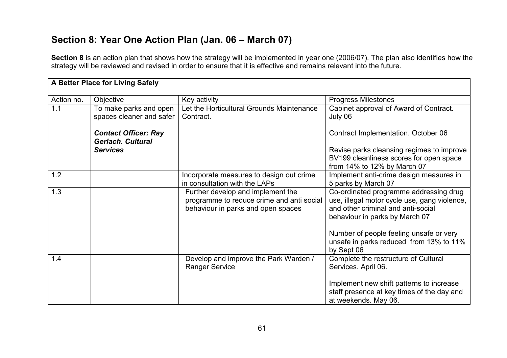# Section 8: Year One Action Plan (Jan. 06 – March 07)

Section 8 is an action plan that shows how the strategy will be implemented in year one (2006/07). The plan also identifies how the strategy will be reviewed and revised in order to ensure that it is effective and remains relevant into the future.

| A Better Place for Living Safely |                                                         |                                                                                                                      |                                                                                                                                                                |  |
|----------------------------------|---------------------------------------------------------|----------------------------------------------------------------------------------------------------------------------|----------------------------------------------------------------------------------------------------------------------------------------------------------------|--|
| Action no.                       | Objective                                               | Key activity                                                                                                         | <b>Progress Milestones</b>                                                                                                                                     |  |
| 1.1                              | To make parks and open<br>spaces cleaner and safer      | Let the Horticultural Grounds Maintenance<br>Contract.                                                               | Cabinet approval of Award of Contract.<br>July 06                                                                                                              |  |
|                                  | <b>Contact Officer: Ray</b><br><b>Gerlach. Cultural</b> |                                                                                                                      | Contract Implementation. October 06                                                                                                                            |  |
|                                  | <b>Services</b>                                         |                                                                                                                      | Revise parks cleansing regimes to improve<br>BV199 cleanliness scores for open space<br>from 14% to 12% by March 07                                            |  |
| 1.2                              |                                                         | Incorporate measures to design out crime<br>in consultation with the LAPs                                            | Implement anti-crime design measures in<br>5 parks by March 07                                                                                                 |  |
| 1.3                              |                                                         | Further develop and implement the<br>programme to reduce crime and anti social<br>behaviour in parks and open spaces | Co-ordinated programme addressing drug<br>use, illegal motor cycle use, gang violence,<br>and other criminal and anti-social<br>behaviour in parks by March 07 |  |
|                                  |                                                         |                                                                                                                      | Number of people feeling unsafe or very<br>unsafe in parks reduced from 13% to 11%<br>by Sept 06                                                               |  |
| 1.4                              |                                                         | Develop and improve the Park Warden /<br><b>Ranger Service</b>                                                       | Complete the restructure of Cultural<br>Services. April 06.                                                                                                    |  |
|                                  |                                                         |                                                                                                                      | Implement new shift patterns to increase<br>staff presence at key times of the day and<br>at weekends. May 06.                                                 |  |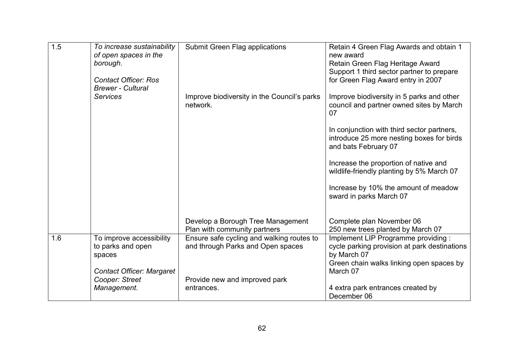| 1.5 |                                  |                                             |                                              |
|-----|----------------------------------|---------------------------------------------|----------------------------------------------|
|     | To increase sustainability       | Submit Green Flag applications              | Retain 4 Green Flag Awards and obtain 1      |
|     | of open spaces in the            |                                             | new award                                    |
|     | borough.                         |                                             | Retain Green Flag Heritage Award             |
|     |                                  |                                             | Support 1 third sector partner to prepare    |
|     | <b>Contact Officer: Ros</b>      |                                             | for Green Flag Award entry in 2007           |
|     | <b>Brewer - Cultural</b>         |                                             |                                              |
|     | <b>Services</b>                  | Improve biodiversity in the Council's parks | Improve biodiversity in 5 parks and other    |
|     |                                  | network.                                    | council and partner owned sites by March     |
|     |                                  |                                             | 07                                           |
|     |                                  |                                             |                                              |
|     |                                  |                                             | In conjunction with third sector partners,   |
|     |                                  |                                             | introduce 25 more nesting boxes for birds    |
|     |                                  |                                             |                                              |
|     |                                  |                                             | and bats February 07                         |
|     |                                  |                                             | Increase the proportion of native and        |
|     |                                  |                                             |                                              |
|     |                                  |                                             | wildlife-friendly planting by 5% March 07    |
|     |                                  |                                             | Increase by 10% the amount of meadow         |
|     |                                  |                                             | sward in parks March 07                      |
|     |                                  |                                             |                                              |
|     |                                  |                                             |                                              |
|     |                                  | Develop a Borough Tree Management           | Complete plan November 06                    |
|     |                                  | Plan with community partners                | 250 new trees planted by March 07            |
| 1.6 | To improve accessibility         | Ensure safe cycling and walking routes to   | Implement LIP Programme providing :          |
|     |                                  |                                             |                                              |
|     | to parks and open                | and through Parks and Open spaces           | cycle parking provision at park destinations |
|     | spaces                           |                                             | by March 07                                  |
|     |                                  |                                             | Green chain walks linking open spaces by     |
|     | <b>Contact Officer: Margaret</b> |                                             | March 07                                     |
|     | Cooper: Street                   | Provide new and improved park               |                                              |
|     | Management.                      | entrances.                                  | 4 extra park entrances created by            |
|     |                                  |                                             | December 06                                  |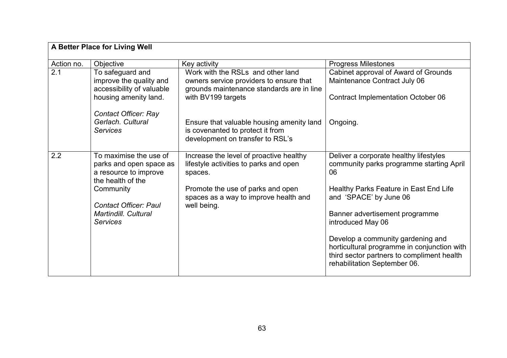| A Better Place for Living Well |                                                                                                                                                                      |                                                                                                                                                                                           |                                                                                                                                                                                                |  |
|--------------------------------|----------------------------------------------------------------------------------------------------------------------------------------------------------------------|-------------------------------------------------------------------------------------------------------------------------------------------------------------------------------------------|------------------------------------------------------------------------------------------------------------------------------------------------------------------------------------------------|--|
| Action no.                     | Objective                                                                                                                                                            | Key activity                                                                                                                                                                              | <b>Progress Milestones</b>                                                                                                                                                                     |  |
| 2.1                            | To safeguard and<br>improve the quality and<br>accessibility of valuable<br>housing amenity land.                                                                    | Work with the RSLs and other land<br>owners service providers to ensure that<br>grounds maintenance standards are in line<br>with BV199 targets                                           | Cabinet approval of Award of Grounds<br>Maintenance Contract July 06<br><b>Contract Implementation October 06</b>                                                                              |  |
|                                | <b>Contact Officer: Ray</b><br>Gerlach. Cultural<br><b>Services</b>                                                                                                  | Ensure that valuable housing amenity land<br>is covenanted to protect it from<br>development on transfer to RSL's                                                                         | Ongoing.                                                                                                                                                                                       |  |
| 2.2                            | To maximise the use of<br>parks and open space as<br>a resource to improve<br>the health of the<br>Community<br><b>Contact Officer: Paul</b><br>Martindill, Cultural | Increase the level of proactive healthy<br>lifestyle activities to parks and open<br>spaces.<br>Promote the use of parks and open<br>spaces as a way to improve health and<br>well being. | Deliver a corporate healthy lifestyles<br>community parks programme starting April<br>06<br>Healthy Parks Feature in East End Life<br>and 'SPACE' by June 06<br>Banner advertisement programme |  |
|                                | <b>Services</b>                                                                                                                                                      |                                                                                                                                                                                           | introduced May 06<br>Develop a community gardening and<br>horticultural programme in conjunction with<br>third sector partners to compliment health<br>rehabilitation September 06.            |  |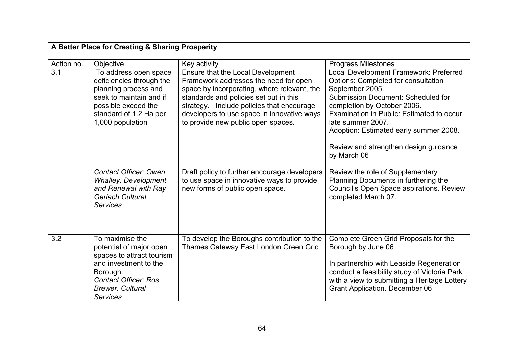|                  | A Better Place for Creating & Sharing Prosperity                                                                                                                                          |                                                                                                                                                                                                                                                                                                      |                                                                                                                                                                                                                                                                                                                                                  |  |
|------------------|-------------------------------------------------------------------------------------------------------------------------------------------------------------------------------------------|------------------------------------------------------------------------------------------------------------------------------------------------------------------------------------------------------------------------------------------------------------------------------------------------------|--------------------------------------------------------------------------------------------------------------------------------------------------------------------------------------------------------------------------------------------------------------------------------------------------------------------------------------------------|--|
| Action no.       | Objective                                                                                                                                                                                 | Key activity                                                                                                                                                                                                                                                                                         | <b>Progress Milestones</b>                                                                                                                                                                                                                                                                                                                       |  |
| $\overline{3.1}$ | To address open space<br>deficiencies through the<br>planning process and<br>seek to maintain and if<br>possible exceed the<br>standard of 1.2 Ha per<br>1,000 population                 | Ensure that the Local Development<br>Framework addresses the need for open<br>space by incorporating, where relevant, the<br>standards and policies set out in this<br>strategy. Include policies that encourage<br>developers to use space in innovative ways<br>to provide new public open spaces. | Local Development Framework: Preferred<br>Options: Completed for consultation<br>September 2005.<br><b>Submission Document: Scheduled for</b><br>completion by October 2006.<br>Examination in Public: Estimated to occur<br>late summer 2007.<br>Adoption: Estimated early summer 2008.<br>Review and strengthen design guidance<br>by March 06 |  |
|                  | <b>Contact Officer: Owen</b><br><b>Whalley, Development</b><br>and Renewal with Ray<br><b>Gerlach Cultural</b><br><b>Services</b>                                                         | Draft policy to further encourage developers<br>to use space in innovative ways to provide<br>new forms of public open space.                                                                                                                                                                        | Review the role of Supplementary<br>Planning Documents in furthering the<br>Council's Open Space aspirations. Review<br>completed March 07.                                                                                                                                                                                                      |  |
| 3.2              | To maximise the<br>potential of major open<br>spaces to attract tourism<br>and investment to the<br>Borough.<br><b>Contact Officer: Ros</b><br><b>Brewer, Cultural</b><br><b>Services</b> | To develop the Boroughs contribution to the<br>Thames Gateway East London Green Grid                                                                                                                                                                                                                 | Complete Green Grid Proposals for the<br>Borough by June 06<br>In partnership with Leaside Regeneration<br>conduct a feasibility study of Victoria Park<br>with a view to submitting a Heritage Lottery<br><b>Grant Application. December 06</b>                                                                                                 |  |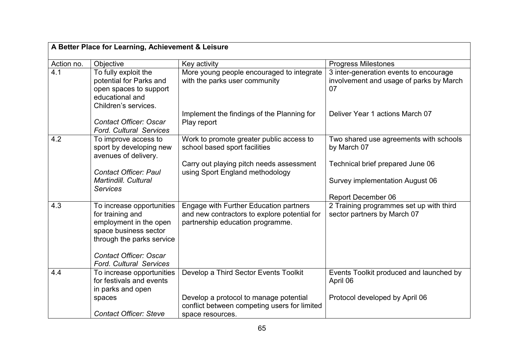| A Better Place for Learning, Achievement & Leisure |                                                                                                                                                                |                                                                                                                            |                                                                                         |
|----------------------------------------------------|----------------------------------------------------------------------------------------------------------------------------------------------------------------|----------------------------------------------------------------------------------------------------------------------------|-----------------------------------------------------------------------------------------|
| Action no.                                         | Objective                                                                                                                                                      | Key activity                                                                                                               | <b>Progress Milestones</b>                                                              |
| 4.1                                                | To fully exploit the<br>potential for Parks and<br>open spaces to support<br>educational and<br>Children's services.                                           | More young people encouraged to integrate<br>with the parks user community                                                 | 3 inter-generation events to encourage<br>involvement and usage of parks by March<br>07 |
|                                                    | <b>Contact Officer: Oscar</b><br><b>Ford. Cultural Services</b>                                                                                                | Implement the findings of the Planning for<br>Play report                                                                  | Deliver Year 1 actions March 07                                                         |
| 4.2                                                | To improve access to<br>sport by developing new<br>avenues of delivery.                                                                                        | Work to promote greater public access to<br>school based sport facilities                                                  | Two shared use agreements with schools<br>by March 07                                   |
|                                                    |                                                                                                                                                                | Carry out playing pitch needs assessment                                                                                   | Technical brief prepared June 06                                                        |
|                                                    | <b>Contact Officer: Paul</b><br>Martindill. Cultural<br><b>Services</b>                                                                                        | using Sport England methodology                                                                                            | Survey implementation August 06                                                         |
|                                                    |                                                                                                                                                                |                                                                                                                            | <b>Report December 06</b>                                                               |
| 4.3                                                | To increase opportunities<br>for training and<br>employment in the open<br>space business sector<br>through the parks service<br><b>Contact Officer: Oscar</b> | Engage with Further Education partners<br>and new contractors to explore potential for<br>partnership education programme. | 2 Training programmes set up with third<br>sector partners by March 07                  |
|                                                    | <b>Ford. Cultural Services</b>                                                                                                                                 |                                                                                                                            |                                                                                         |
| 4.4                                                | To increase opportunities<br>for festivals and events<br>in parks and open                                                                                     | Develop a Third Sector Events Toolkit                                                                                      | Events Toolkit produced and launched by<br>April 06                                     |
|                                                    | spaces                                                                                                                                                         | Develop a protocol to manage potential<br>conflict between competing users for limited                                     | Protocol developed by April 06                                                          |
|                                                    | <b>Contact Officer: Steve</b>                                                                                                                                  | space resources.                                                                                                           |                                                                                         |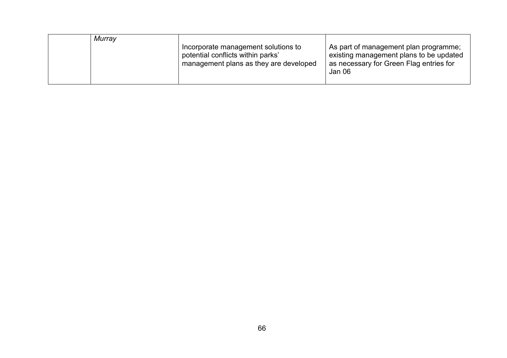| Murray |                                                                                                                    |                                                                                                                                       |
|--------|--------------------------------------------------------------------------------------------------------------------|---------------------------------------------------------------------------------------------------------------------------------------|
|        | Incorporate management solutions to<br>potential conflicts within parks'<br>management plans as they are developed | As part of management plan programme;<br>existing management plans to be updated<br>as necessary for Green Flag entries for<br>Jan 06 |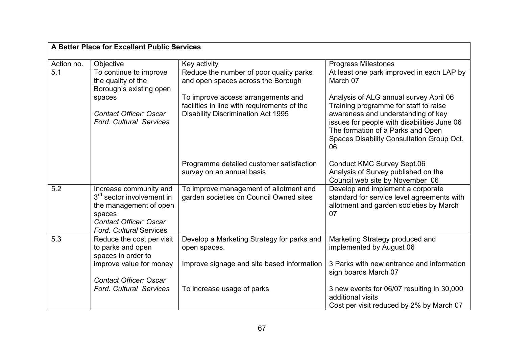|                  | A Better Place for Excellent Public Services                                                                                                                           |                                                                                   |                                                                                                                                                                           |  |  |
|------------------|------------------------------------------------------------------------------------------------------------------------------------------------------------------------|-----------------------------------------------------------------------------------|---------------------------------------------------------------------------------------------------------------------------------------------------------------------------|--|--|
| Action no.       | Objective                                                                                                                                                              | Key activity                                                                      | <b>Progress Milestones</b>                                                                                                                                                |  |  |
| $\overline{5.1}$ | To continue to improve<br>the quality of the<br>Borough's existing open                                                                                                | Reduce the number of poor quality parks<br>and open spaces across the Borough     | At least one park improved in each LAP by<br>March 07                                                                                                                     |  |  |
|                  | spaces                                                                                                                                                                 | To improve access arrangements and<br>facilities in line with requirements of the | Analysis of ALG annual survey April 06<br>Training programme for staff to raise                                                                                           |  |  |
|                  | <b>Contact Officer: Oscar</b><br><b>Ford. Cultural Services</b>                                                                                                        | <b>Disability Discrimination Act 1995</b>                                         | awareness and understanding of key<br>issues for people with disabilities June 06<br>The formation of a Parks and Open<br>Spaces Disability Consultation Group Oct.<br>06 |  |  |
|                  |                                                                                                                                                                        | Programme detailed customer satisfaction<br>survey on an annual basis             | <b>Conduct KMC Survey Sept.06</b><br>Analysis of Survey published on the<br>Council web site by November 06                                                               |  |  |
| 5.2              | Increase community and<br>3 <sup>rd</sup> sector involvement in<br>the management of open<br>spaces<br><b>Contact Officer: Oscar</b><br><b>Ford. Cultural Services</b> | To improve management of allotment and<br>garden societies on Council Owned sites | Develop and implement a corporate<br>standard for service level agreements with<br>allotment and garden societies by March<br>07                                          |  |  |
| $\overline{5.3}$ | Reduce the cost per visit<br>to parks and open<br>spaces in order to                                                                                                   | Develop a Marketing Strategy for parks and<br>open spaces.                        | Marketing Strategy produced and<br>implemented by August 06                                                                                                               |  |  |
|                  | improve value for money<br><b>Contact Officer: Oscar</b>                                                                                                               | Improve signage and site based information                                        | 3 Parks with new entrance and information<br>sign boards March 07                                                                                                         |  |  |
|                  | <b>Ford, Cultural Services</b>                                                                                                                                         | To increase usage of parks                                                        | 3 new events for 06/07 resulting in 30,000<br>additional visits                                                                                                           |  |  |
|                  |                                                                                                                                                                        |                                                                                   | Cost per visit reduced by 2% by March 07                                                                                                                                  |  |  |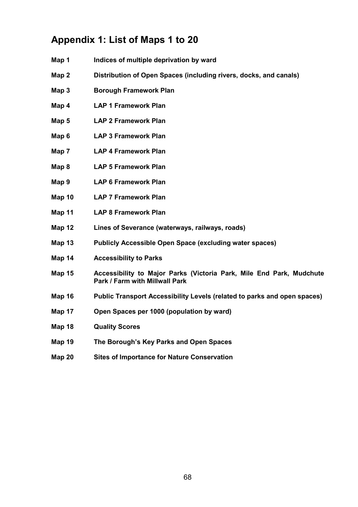# Appendix 1: List of Maps 1 to 20

- Map 1 Indices of multiple deprivation by ward
- Map 2 Distribution of Open Spaces (including rivers, docks, and canals)
- Map 3 Borough Framework Plan
- Map 4 LAP 1 Framework Plan
- Map 5 LAP 2 Framework Plan
- Map 6 LAP 3 Framework Plan
- Map 7 LAP 4 Framework Plan
- Map 8 LAP 5 Framework Plan
- Map 9 LAP 6 Framework Plan
- Map 10 LAP 7 Framework Plan
- Map 11 LAP 8 Framework Plan
- Map 12 Lines of Severance (waterways, railways, roads)
- Map 13 Publicly Accessible Open Space (excluding water spaces)
- Map 14 Accessibility to Parks
- Map 15 Accessibility to Major Parks (Victoria Park, Mile End Park, Mudchute Park / Farm with Millwall Park
- Map 16 Public Transport Accessibility Levels (related to parks and open spaces)
- Map 17 Open Spaces per 1000 (population by ward)
- Map 18 Quality Scores
- Map 19 The Borough's Key Parks and Open Spaces
- Map 20 Sites of Importance for Nature Conservation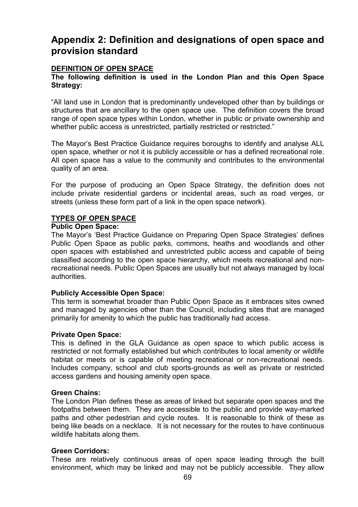## Appendix 2: Definition and designations of open space and provision standard

#### DEFINITION OF OPEN SPACE

#### The following definition is used in the London Plan and this Open Space Strategy:

"All land use in London that is predominantly undeveloped other than by buildings or structures that are ancillary to the open space use. The definition covers the broad range of open space types within London, whether in public or private ownership and whether public access is unrestricted, partially restricted or restricted."

The Mayor's Best Practice Guidance requires boroughs to identify and analyse ALL open space, whether or not it is publicly accessible or has a defined recreational role. All open space has a value to the community and contributes to the environmental quality of an area.

For the purpose of producing an Open Space Strategy, the definition does not include private residential gardens or incidental areas, such as road verges, or streets (unless these form part of a link in the open space network).

#### TYPES OF OPEN SPACE

#### Public Open Space:

The Mayor's 'Best Practice Guidance on Preparing Open Space Strategies' defines Public Open Space as public parks, commons, heaths and woodlands and other open spaces with established and unrestricted public access and capable of being classified according to the open space hierarchy, which meets recreational and nonrecreational needs. Public Open Spaces are usually but not always managed by local authorities.

#### Publicly Accessible Open Space:

This term is somewhat broader than Public Open Space as it embraces sites owned and managed by agencies other than the Council, including sites that are managed primarily for amenity to which the public has traditionally had access.

#### Private Open Space:

This is defined in the GLA Guidance as open space to which public access is restricted or not formally established but which contributes to local amenity or wildlife habitat or meets or is capable of meeting recreational or non-recreational needs. Includes company, school and club sports-grounds as well as private or restricted access gardens and housing amenity open space.

#### Green Chains:

The London Plan defines these as areas of linked but separate open spaces and the footpaths between them. They are accessible to the public and provide way-marked paths and other pedestrian and cycle routes. It is reasonable to think of these as being like beads on a necklace. It is not necessary for the routes to have continuous wildlife habitats along them.

#### Green Corridors:

These are relatively continuous areas of open space leading through the built environment, which may be linked and may not be publicly accessible. They allow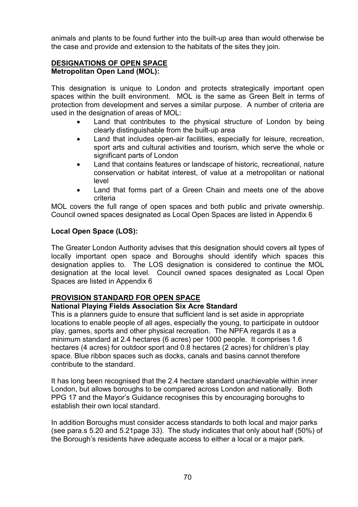animals and plants to be found further into the built-up area than would otherwise be the case and provide and extension to the habitats of the sites they join.

#### DESIGNATIONS OF OPEN SPACE Metropolitan Open Land (MOL):

This designation is unique to London and protects strategically important open spaces within the built environment. MOL is the same as Green Belt in terms of protection from development and serves a similar purpose. A number of criteria are used in the designation of areas of MOL:

- Land that contributes to the physical structure of London by being clearly distinguishable from the built-up area
- Land that includes open-air facilities, especially for leisure, recreation, sport arts and cultural activities and tourism, which serve the whole or significant parts of London
- Land that contains features or landscape of historic, recreational, nature conservation or habitat interest, of value at a metropolitan or national level
- Land that forms part of a Green Chain and meets one of the above criteria

MOL covers the full range of open spaces and both public and private ownership. Council owned spaces designated as Local Open Spaces are listed in Appendix 6

## Local Open Space (LOS):

The Greater London Authority advises that this designation should covers all types of locally important open space and Boroughs should identify which spaces this designation applies to. The LOS designation is considered to continue the MOL designation at the local level. Council owned spaces designated as Local Open Spaces are listed in Appendix 6

## PROVISION STANDARD FOR OPEN SPACE

## National Playing Fields Association Six Acre Standard

This is a planners guide to ensure that sufficient land is set aside in appropriate locations to enable people of all ages, especially the young, to participate in outdoor play, games, sports and other physical recreation. The NPFA regards it as a minimum standard at 2.4 hectares (6 acres) per 1000 people. It comprises 1.6 hectares (4 acres) for outdoor sport and 0.8 hectares (2 acres) for children's play space. Blue ribbon spaces such as docks, canals and basins cannot therefore contribute to the standard.

It has long been recognised that the 2.4 hectare standard unachievable within inner London, but allows boroughs to be compared across London and nationally. Both PPG 17 and the Mayor's Guidance recognises this by encouraging boroughs to establish their own local standard.

In addition Boroughs must consider access standards to both local and major parks (see para.s 5.20 and 5.21page 33). The study indicates that only about half (50%) of the Borough's residents have adequate access to either a local or a major park.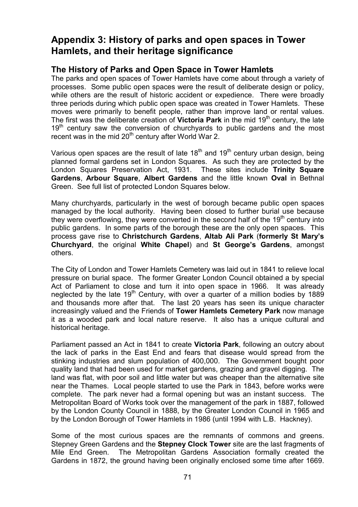# Appendix 3: History of parks and open spaces in Tower Hamlets, and their heritage significance

## The History of Parks and Open Space in Tower Hamlets

The parks and open spaces of Tower Hamlets have come about through a variety of processes. Some public open spaces were the result of deliberate design or policy, while others are the result of historic accident or expedience. There were broadly three periods during which public open space was created in Tower Hamlets. These moves were primarily to benefit people, rather than improve land or rental values. The first was the deliberate creation of **Victoria Park** in the mid 19<sup>th</sup> century, the late  $19<sup>th</sup>$  century saw the conversion of churchyards to public gardens and the most recent was in the mid  $20<sup>th</sup>$  century after World War 2.

Various open spaces are the result of late  $18<sup>th</sup>$  and  $19<sup>th</sup>$  century urban design, being planned formal gardens set in London Squares. As such they are protected by the London Squares Preservation Act, 1931. These sites include Trinity Square Gardens, Arbour Square, Albert Gardens and the little known Oval in Bethnal Green. See full list of protected London Squares below.

Many churchyards, particularly in the west of borough became public open spaces managed by the local authority. Having been closed to further burial use because they were overflowing, they were converted in the second half of the  $19<sup>th</sup>$  century into public gardens. In some parts of the borough these are the only open spaces. This process gave rise to Christchurch Gardens, Altab Ali Park (formerly St Mary's Churchyard, the original White Chapel) and St George's Gardens, amongst others.

The City of London and Tower Hamlets Cemetery was laid out in 1841 to relieve local pressure on burial space. The former Greater London Council obtained a by special Act of Parliament to close and turn it into open space in 1966. It was already neglected by the late  $19<sup>th</sup>$  Century, with over a quarter of a million bodies by 1889 and thousands more after that. The last 20 years has seen its unique character increasingly valued and the Friends of Tower Hamlets Cemetery Park now manage it as a wooded park and local nature reserve. It also has a unique cultural and historical heritage.

Parliament passed an Act in 1841 to create Victoria Park, following an outcry about the lack of parks in the East End and fears that disease would spread from the stinking industries and slum population of 400,000. The Government bought poor quality land that had been used for market gardens, grazing and gravel digging. The land was flat, with poor soil and little water but was cheaper than the alternative site near the Thames. Local people started to use the Park in 1843, before works were complete. The park never had a formal opening but was an instant success. The Metropolitan Board of Works took over the management of the park in 1887, followed by the London County Council in 1888, by the Greater London Council in 1965 and by the London Borough of Tower Hamlets in 1986 (until 1994 with L.B. Hackney).

Some of the most curious spaces are the remnants of commons and greens. Stepney Green Gardens and the Stepney Clock Tower site are the last fragments of Mile End Green. The Metropolitan Gardens Association formally created the Gardens in 1872, the ground having been originally enclosed some time after 1669.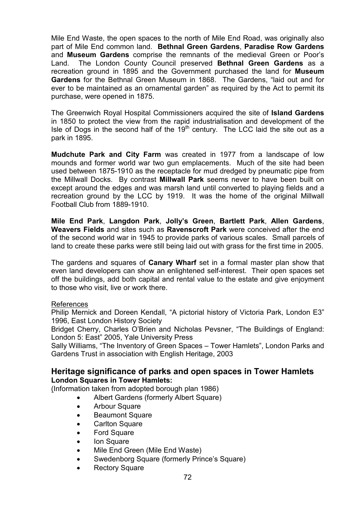Mile End Waste, the open spaces to the north of Mile End Road, was originally also part of Mile End common land. Bethnal Green Gardens, Paradise Row Gardens and Museum Gardens comprise the remnants of the medieval Green or Poor's Land. The London County Council preserved Bethnal Green Gardens as a recreation ground in 1895 and the Government purchased the land for Museum Gardens for the Bethnal Green Museum in 1868. The Gardens, "laid out and for ever to be maintained as an ornamental garden" as required by the Act to permit its purchase, were opened in 1875.

The Greenwich Royal Hospital Commissioners acquired the site of Island Gardens in 1850 to protect the view from the rapid industrialisation and development of the Isle of Dogs in the second half of the 19<sup>th</sup> century. The LCC laid the site out as a park in 1895.

Mudchute Park and City Farm was created in 1977 from a landscape of low mounds and former world war two gun emplacements. Much of the site had been used between 1875-1910 as the receptacle for mud dredged by pneumatic pipe from the Millwall Docks. By contrast Millwall Park seems never to have been built on except around the edges and was marsh land until converted to playing fields and a recreation ground by the LCC by 1919. It was the home of the original Millwall Football Club from 1889-1910.

Mile End Park, Langdon Park, Jolly's Green, Bartlett Park, Allen Gardens, Weavers Fields and sites such as Ravenscroft Park were conceived after the end of the second world war in 1945 to provide parks of various scales. Small parcels of land to create these parks were still being laid out with grass for the first time in 2005.

The gardens and squares of **Canary Wharf** set in a formal master plan show that even land developers can show an enlightened self-interest. Their open spaces set off the buildings, add both capital and rental value to the estate and give enjoyment to those who visit, live or work there.

#### References

Philip Mernick and Doreen Kendall, "A pictorial history of Victoria Park, London E3" 1996, East London History Society

Bridget Cherry, Charles O'Brien and Nicholas Pevsner, "The Buildings of England: London 5: East" 2005, Yale University Press

Sally Williams, "The Inventory of Green Spaces – Tower Hamlets", London Parks and Gardens Trust in association with English Heritage, 2003

#### Heritage significance of parks and open spaces in Tower Hamlets London Squares in Tower Hamlets:

(Information taken from adopted borough plan 1986)

- Albert Gardens (formerly Albert Square)
	- Arbour Square
	- Beaumont Square
	- Carlton Square
	- **Ford Square**
	- **Ion Square**
	- Mile End Green (Mile End Waste)
	- Swedenborg Square (formerly Prince's Square)
	- Rectory Square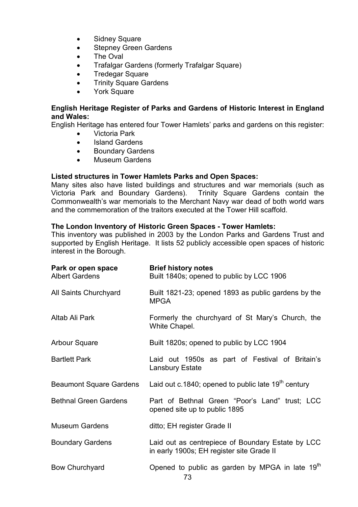- Sidney Square
- **Stepney Green Gardens**
- The Oval
- Trafalgar Gardens (formerly Trafalgar Square)
- **Tredegar Square**
- Trinity Square Gardens
- York Square

### English Heritage Register of Parks and Gardens of Historic Interest in England and Wales:

English Heritage has entered four Tower Hamlets' parks and gardens on this register:

- Victoria Park
- Island Gardens
- Boundary Gardens
- Museum Gardens

### Listed structures in Tower Hamlets Parks and Open Spaces:

Many sites also have listed buildings and structures and war memorials (such as Victoria Park and Boundary Gardens). Trinity Square Gardens contain the Commonwealth's war memorials to the Merchant Navy war dead of both world wars and the commemoration of the traitors executed at the Tower Hill scaffold.

### The London Inventory of Historic Green Spaces - Tower Hamlets:

This inventory was published in 2003 by the London Parks and Gardens Trust and supported by English Heritage. It lists 52 publicly accessible open spaces of historic interest in the Borough.

| Park or open space<br><b>Albert Gardens</b> | <b>Brief history notes</b><br>Built 1840s; opened to public by LCC 1906                        |  |  |  |  |  |
|---------------------------------------------|------------------------------------------------------------------------------------------------|--|--|--|--|--|
| All Saints Churchyard                       | Built 1821-23; opened 1893 as public gardens by the<br><b>MPGA</b>                             |  |  |  |  |  |
| Altab Ali Park                              | Formerly the churchyard of St Mary's Church, the<br>White Chapel.                              |  |  |  |  |  |
| <b>Arbour Square</b>                        | Built 1820s; opened to public by LCC 1904                                                      |  |  |  |  |  |
| <b>Bartlett Park</b>                        | Laid out 1950s as part of Festival of Britain's<br><b>Lansbury Estate</b>                      |  |  |  |  |  |
| <b>Beaumont Square Gardens</b>              | Laid out c.1840; opened to public late $19th$ century                                          |  |  |  |  |  |
| <b>Bethnal Green Gardens</b>                | Part of Bethnal Green "Poor's Land" trust; LCC<br>opened site up to public 1895                |  |  |  |  |  |
| <b>Museum Gardens</b>                       | ditto; EH register Grade II                                                                    |  |  |  |  |  |
| <b>Boundary Gardens</b>                     | Laid out as centrepiece of Boundary Estate by LCC<br>in early 1900s; EH register site Grade II |  |  |  |  |  |
| <b>Bow Churchyard</b>                       | Opened to public as garden by MPGA in late 19 <sup>th</sup><br>73.                             |  |  |  |  |  |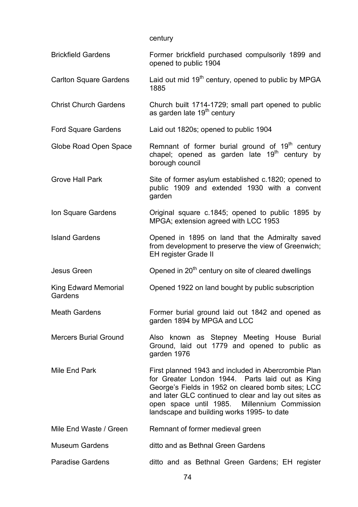century

| <b>Brickfield Gardens</b>              | Former brickfield purchased compulsorily 1899 and<br>opened to public 1904                                                                                                                                                                                                                                          |
|----------------------------------------|---------------------------------------------------------------------------------------------------------------------------------------------------------------------------------------------------------------------------------------------------------------------------------------------------------------------|
| <b>Carlton Square Gardens</b>          | Laid out mid 19 <sup>th</sup> century, opened to public by MPGA<br>1885                                                                                                                                                                                                                                             |
| <b>Christ Church Gardens</b>           | Church built 1714-1729; small part opened to public<br>as garden late 19 <sup>th</sup> century                                                                                                                                                                                                                      |
| <b>Ford Square Gardens</b>             | Laid out 1820s; opened to public 1904                                                                                                                                                                                                                                                                               |
| Globe Road Open Space                  | Remnant of former burial ground of 19 <sup>th</sup> century<br>chapel; opened as garden late 19 <sup>th</sup> century by<br>borough council                                                                                                                                                                         |
| <b>Grove Hall Park</b>                 | Site of former asylum established c.1820; opened to<br>public 1909 and extended 1930 with a convent<br>garden                                                                                                                                                                                                       |
| Ion Square Gardens                     | Original square c.1845; opened to public 1895 by<br>MPGA; extension agreed with LCC 1953                                                                                                                                                                                                                            |
| <b>Island Gardens</b>                  | Opened in 1895 on land that the Admiralty saved<br>from development to preserve the view of Greenwich;<br><b>EH register Grade II</b>                                                                                                                                                                               |
| Jesus Green                            | Opened in 20 <sup>th</sup> century on site of cleared dwellings                                                                                                                                                                                                                                                     |
| <b>King Edward Memorial</b><br>Gardens | Opened 1922 on land bought by public subscription                                                                                                                                                                                                                                                                   |
| <b>Meath Gardens</b>                   | Former burial ground laid out 1842 and opened as<br>garden 1894 by MPGA and LCC                                                                                                                                                                                                                                     |
| <b>Mercers Burial Ground</b>           | Also known as Stepney Meeting House Burial<br>Ground, laid out 1779 and opened to public as<br>garden 1976                                                                                                                                                                                                          |
| Mile End Park                          | First planned 1943 and included in Abercrombie Plan<br>for Greater London 1944. Parts laid out as King<br>George's Fields in 1952 on cleared bomb sites; LCC<br>and later GLC continued to clear and lay out sites as<br>open space until 1985. Millennium Commission<br>landscape and building works 1995- to date |
| Mile End Waste / Green                 | Remnant of former medieval green                                                                                                                                                                                                                                                                                    |
| <b>Museum Gardens</b>                  | ditto and as Bethnal Green Gardens                                                                                                                                                                                                                                                                                  |
| <b>Paradise Gardens</b>                | ditto and as Bethnal Green Gardens; EH register                                                                                                                                                                                                                                                                     |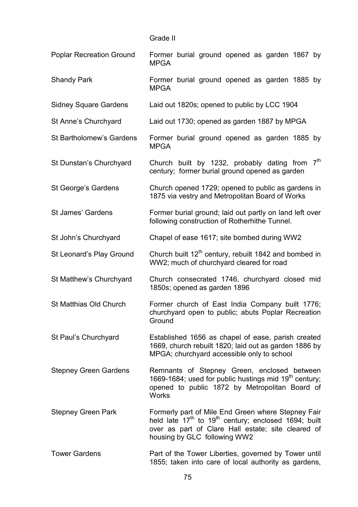| Grade II |  |
|----------|--|
|          |  |

| <b>Poplar Recreation Ground</b> | Former burial ground opened as garden 1867 by<br><b>MPGA</b>                                                                                                                                                             |  |  |  |  |  |  |
|---------------------------------|--------------------------------------------------------------------------------------------------------------------------------------------------------------------------------------------------------------------------|--|--|--|--|--|--|
| <b>Shandy Park</b>              | Former burial ground opened as garden 1885 by<br><b>MPGA</b>                                                                                                                                                             |  |  |  |  |  |  |
| <b>Sidney Square Gardens</b>    | Laid out 1820s; opened to public by LCC 1904                                                                                                                                                                             |  |  |  |  |  |  |
| St Anne's Churchyard            | Laid out 1730; opened as garden 1887 by MPGA                                                                                                                                                                             |  |  |  |  |  |  |
| <b>St Bartholomew's Gardens</b> | Former burial ground opened as garden 1885 by<br><b>MPGA</b>                                                                                                                                                             |  |  |  |  |  |  |
| St Dunstan's Churchyard         | 7 <sup>th</sup><br>Church built by 1232, probably dating from<br>century; former burial ground opened as garden                                                                                                          |  |  |  |  |  |  |
| St George's Gardens             | Church opened 1729; opened to public as gardens in<br>1875 via vestry and Metropolitan Board of Works                                                                                                                    |  |  |  |  |  |  |
| <b>St James' Gardens</b>        | Former burial ground; laid out partly on land left over<br>following construction of Rotherhithe Tunnel.                                                                                                                 |  |  |  |  |  |  |
| St John's Churchyard            | Chapel of ease 1617; site bombed during WW2                                                                                                                                                                              |  |  |  |  |  |  |
| St Leonard's Play Ground        | Church built 12 <sup>th</sup> century, rebuilt 1842 and bombed in<br>WW2; much of churchyard cleared for road                                                                                                            |  |  |  |  |  |  |
| St Matthew's Churchyard         | Church consecrated 1746, churchyard closed mid<br>1850s; opened as garden 1896                                                                                                                                           |  |  |  |  |  |  |
| St Matthias Old Church          | Former church of East India Company built 1776;<br>churchyard open to public; abuts Poplar Recreation<br>Ground                                                                                                          |  |  |  |  |  |  |
| St Paul's Churchyard            | Established 1656 as chapel of ease, parish created<br>1669, church rebuilt 1820; laid out as garden 1886 by<br>MPGA; churchyard accessible only to school                                                                |  |  |  |  |  |  |
| <b>Stepney Green Gardens</b>    | Remnants of Stepney Green, enclosed between<br>1669-1684; used for public hustings mid 19 <sup>th</sup> century;<br>opened to public 1872 by Metropolitan Board of<br><b>Works</b>                                       |  |  |  |  |  |  |
| <b>Stepney Green Park</b>       | Formerly part of Mile End Green where Stepney Fair<br>held late 17 <sup>th</sup> to 19 <sup>th</sup> century; enclosed 1694; built<br>over as part of Clare Hall estate; site cleared of<br>housing by GLC following WW2 |  |  |  |  |  |  |
| <b>Tower Gardens</b>            | Part of the Tower Liberties, governed by Tower until                                                                                                                                                                     |  |  |  |  |  |  |

1855; taken into care of local authority as gardens,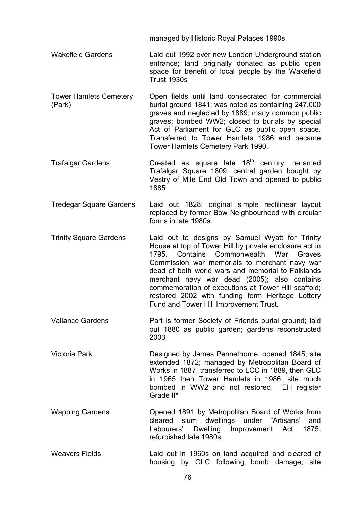managed by Historic Royal Palaces 1990s

- Wakefield Gardens Laid out 1992 over new London Underground station entrance; land originally donated as public open space for benefit of local people by the Wakefield Trust 1930s
- Tower Hamlets Cemetery (Park) Open fields until land consecrated for commercial burial ground 1841; was noted as containing 247,000 graves and neglected by 1889; many common public graves; bombed WW2; closed to burials by special Act of Parliament for GLC as public open space. Transferred to Tower Hamlets 1986 and became Tower Hamlets Cemetery Park 1990.
- Trafalgar Gardens Created as square late  $18<sup>th</sup>$  century, renamed Trafalgar Square 1809; central garden bought by Vestry of Mile End Old Town and opened to public 1885
- Tredegar Square Gardens Laid out 1828; original simple rectilinear layout replaced by former Bow Neighbourhood with circular forms in late 1980s.
- Trinity Square Gardens Laid out to designs by Samuel Wyatt for Trinity House at top of Tower Hill by private enclosure act in 1795. Contains Commonwealth War Graves Commission war memorials to merchant navy war dead of both world wars and memorial to Falklands merchant navy war dead (2005); also contains commemoration of executions at Tower Hill scaffold; restored 2002 with funding form Heritage Lottery Fund and Tower Hill Improvement Trust.
- Vallance Gardens Part is former Society of Friends burial ground; laid out 1880 as public garden; gardens reconstructed 2003
- Victoria Park Designed by James Pennethorne; opened 1845; site extended 1872; managed by Metropolitan Board of Works in 1887, transferred to LCC in 1889, then GLC in 1965 then Tower Hamlets in 1986; site much bombed in WW2 and not restored. EH register Grade II\*
- Wapping Gardens Opened 1891 by Metropolitan Board of Works from cleared slum dwellings under "Artisans' and Labourers' Dwelling Improvement Act 1875; refurbished late 1980s.
- Weavers Fields Laid out in 1960s on land acquired and cleared of housing by GLC following bomb damage; site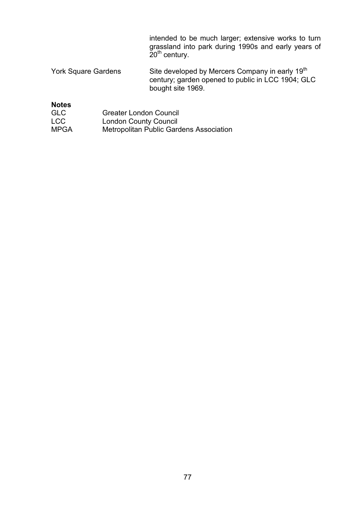intended to be much larger; extensive works to turn grassland into park during 1990s and early years of 20<sup>th</sup> century.

York Square Gardens Site developed by Mercers Company in early 19<sup>th</sup> century; garden opened to public in LCC 1904; GLC bought site 1969.

**Notes** 

| <b>GLC</b>  | <b>Greater London Council</b>                  |
|-------------|------------------------------------------------|
| <b>LCC</b>  | <b>London County Council</b>                   |
| <b>MPGA</b> | <b>Metropolitan Public Gardens Association</b> |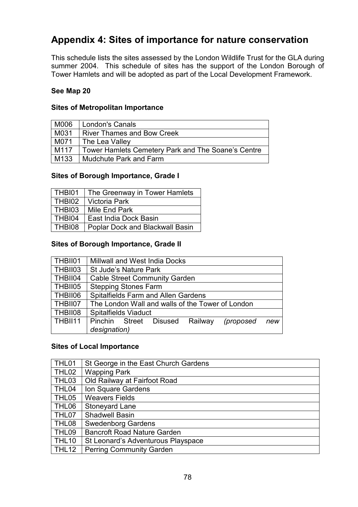### Appendix 4: Sites of importance for nature conservation

This schedule lists the sites assessed by the London Wildlife Trust for the GLA during summer 2004. This schedule of sites has the support of the London Borough of Tower Hamlets and will be adopted as part of the Local Development Framework.

### See Map 20

### Sites of Metropolitan Importance

| M006 | <b>London's Canals</b>                             |
|------|----------------------------------------------------|
| M031 | <b>River Thames and Bow Creek</b>                  |
| M071 | The Lea Valley                                     |
| M117 | Tower Hamlets Cemetery Park and The Soane's Centre |
| M133 | Mudchute Park and Farm                             |

### Sites of Borough Importance, Grade I

| THBI01 | The Greenway in Tower Hamlets          |
|--------|----------------------------------------|
| THBI02 | <b>Victoria Park</b>                   |
| THBI03 | Mile End Park                          |
| THBI04 | East India Dock Basin                  |
| THBI08 | <b>Poplar Dock and Blackwall Basin</b> |

### Sites of Borough Importance, Grade II

| THBII01 | <b>Millwall and West India Docks</b>               |  |  |  |  |  |  |  |
|---------|----------------------------------------------------|--|--|--|--|--|--|--|
| THBII03 | <b>St Jude's Nature Park</b>                       |  |  |  |  |  |  |  |
| THBII04 | <b>Cable Street Community Garden</b>               |  |  |  |  |  |  |  |
| THBII05 | <b>Stepping Stones Farm</b>                        |  |  |  |  |  |  |  |
| THBII06 | Spitalfields Farm and Allen Gardens                |  |  |  |  |  |  |  |
| THBII07 | The London Wall and walls of the Tower of London   |  |  |  |  |  |  |  |
| THBII08 | <b>Spitalfields Viaduct</b>                        |  |  |  |  |  |  |  |
| THBII11 | Pinchin Street Disused Railway<br>(proposed<br>new |  |  |  |  |  |  |  |
|         | designation)                                       |  |  |  |  |  |  |  |

### Sites of Local Importance

| THL01        | St George in the East Church Gardens |
|--------------|--------------------------------------|
| THL02        | <b>Wapping Park</b>                  |
| THL03        | Old Railway at Fairfoot Road         |
| THL04        | Ion Square Gardens                   |
| THL05        | <b>Weavers Fields</b>                |
| THL06        | Stoneyard Lane                       |
| THL07        | Shadwell Basin                       |
| THL08        | <b>Swedenborg Gardens</b>            |
| THL09        | <b>Bancroft Road Nature Garden</b>   |
| <b>THL10</b> | St Leonard's Adventurous Playspace   |
| THL12        | Perring Community Garden             |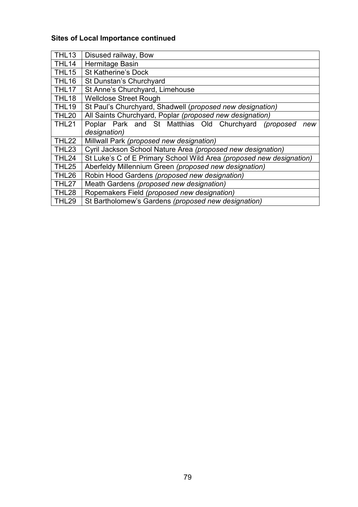### Sites of Local Importance continued

| THL <sub>13</sub> | Disused railway, Bow                                                 |
|-------------------|----------------------------------------------------------------------|
| THL14             | Hermitage Basin                                                      |
| <b>THL15</b>      | <b>St Katherine's Dock</b>                                           |
| THL16             | St Dunstan's Churchyard                                              |
| THL17             | St Anne's Churchyard, Limehouse                                      |
| THL <sub>18</sub> | <b>Wellclose Street Rough</b>                                        |
| <b>THL19</b>      | St Paul's Churchyard, Shadwell (proposed new designation)            |
| <b>THL20</b>      | All Saints Churchyard, Poplar (proposed new designation)             |
| <b>THL21</b>      | Poplar Park and St Matthias Old Churchyard (proposed<br>new          |
|                   | designation)                                                         |
| THL22             | Millwall Park (proposed new designation)                             |
| THL <sub>23</sub> | Cyril Jackson School Nature Area (proposed new designation)          |
| THL24             | St Luke's C of E Primary School Wild Area (proposed new designation) |
| <b>THL25</b>      | Aberfeldy Millennium Green (proposed new designation)                |
| THL26             | Robin Hood Gardens (proposed new designation)                        |
| THL27             | Meath Gardens (proposed new designation)                             |
| THL28             | Ropemakers Field (proposed new designation)                          |
| THL29             | St Bartholomew's Gardens (proposed new designation)                  |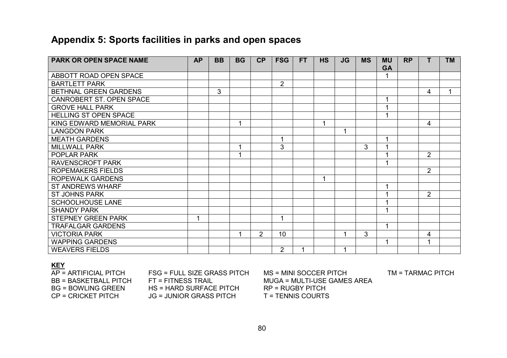### Appendix 5: Sports facilities in parks and open spaces

| <b>PARK OR OPEN SPACE NAME</b> | <b>AP</b> | <b>BB</b> | <b>BG</b> | CP             | <b>FSG</b>     | <b>FT</b> | <b>HS</b> | <b>JG</b> | <b>MS</b> | <b>MU</b><br><b>GA</b> | <b>RP</b> | т              | <b>TM</b> |
|--------------------------------|-----------|-----------|-----------|----------------|----------------|-----------|-----------|-----------|-----------|------------------------|-----------|----------------|-----------|
| ABBOTT ROAD OPEN SPACE         |           |           |           |                |                |           |           |           |           |                        |           |                |           |
| <b>BARTLETT PARK</b>           |           |           |           |                | $\overline{2}$ |           |           |           |           |                        |           |                |           |
|                                |           |           |           |                |                |           |           |           |           |                        |           |                | 1         |
| BETHNAL GREEN GARDENS          |           | 3         |           |                |                |           |           |           |           |                        |           | 4              |           |
| CANROBERT ST. OPEN SPACE       |           |           |           |                |                |           |           |           |           |                        |           |                |           |
| <b>GROVE HALL PARK</b>         |           |           |           |                |                |           |           |           |           |                        |           |                |           |
| <b>HELLING ST OPEN SPACE</b>   |           |           |           |                |                |           |           |           |           |                        |           |                |           |
| KING EDWARD MEMORIAL PARK      |           |           | 1         |                |                |           | 1         |           |           |                        |           | 4              |           |
| <b>LANGDON PARK</b>            |           |           |           |                |                |           |           | 1         |           |                        |           |                |           |
| <b>MEATH GARDENS</b>           |           |           |           |                | 1              |           |           |           |           |                        |           |                |           |
| <b>MILLWALL PARK</b>           |           |           |           |                | 3              |           |           |           | 3         |                        |           |                |           |
| POPLAR PARK                    |           |           |           |                |                |           |           |           |           |                        |           | $\overline{2}$ |           |
| <b>RAVENSCROFT PARK</b>        |           |           |           |                |                |           |           |           |           |                        |           |                |           |
| <b>ROPEMAKERS FIELDS</b>       |           |           |           |                |                |           |           |           |           |                        |           | $\overline{2}$ |           |
| <b>ROPEWALK GARDENS</b>        |           |           |           |                |                |           | 1         |           |           |                        |           |                |           |
| <b>ST ANDREWS WHARF</b>        |           |           |           |                |                |           |           |           |           |                        |           |                |           |
| <b>ST JOHNS PARK</b>           |           |           |           |                |                |           |           |           |           |                        |           | $\overline{2}$ |           |
| <b>SCHOOLHOUSE LANE</b>        |           |           |           |                |                |           |           |           |           |                        |           |                |           |
| <b>SHANDY PARK</b>             |           |           |           |                |                |           |           |           |           |                        |           |                |           |
| <b>STEPNEY GREEN PARK</b>      | 1         |           |           |                | 1              |           |           |           |           |                        |           |                |           |
| <b>TRAFALGAR GARDENS</b>       |           |           |           |                |                |           |           |           |           | 1                      |           |                |           |
| <b>VICTORIA PARK</b>           |           |           |           | $\overline{2}$ | 10             |           |           | 1         | 3         |                        |           | 4              |           |
| <b>WAPPING GARDENS</b>         |           |           |           |                |                |           |           |           |           | $\blacktriangleleft$   |           |                |           |
| <b>WEAVERS FIELDS</b>          |           |           |           |                | $\overline{2}$ |           |           | 1         |           |                        |           |                |           |

#### **KEY**

 $\overline{AP}$  = ARTIFICIAL PITCH BB = BASKETBALL PITCH FT = FITNESS TRAIL MUGA = MULTI-USE GAMES AREA BG = BOWLING GREEN HS = HARD SURFACE PITCH RP = RUGBY PITCH  $CP = CRICKET PITCH$   $JG = JUNIOR GRASS PITCH$ 

FSG = FULL SIZE GRASS PITCH

MS = MINI SOCCER PITCH TM = TARMAC PITCH

T = TENNIS COURTS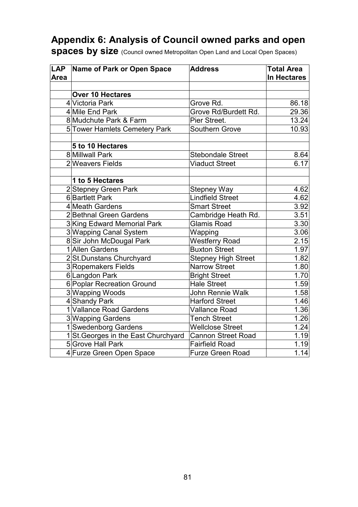## Appendix 6: Analysis of Council owned parks and open

spaces by size (Council owned Metropolitan Open Land and Local Open Spaces)

| LAP<br>Area | Name of Park or Open Space           | <b>Address</b>             | <b>Total Area</b><br>In Hectares |  |  |
|-------------|--------------------------------------|----------------------------|----------------------------------|--|--|
|             |                                      |                            |                                  |  |  |
|             | <b>Over 10 Hectares</b>              |                            |                                  |  |  |
|             | 4 Victoria Park                      | Grove Rd.                  | 86.18                            |  |  |
|             | 4 Mile End Park                      | Grove Rd/Burdett Rd.       | 29.36                            |  |  |
|             | 8 Mudchute Park & Farm               | Pier Street.               | 13.24                            |  |  |
|             | 5 Tower Hamlets Cemetery Park        | <b>Southern Grove</b>      | 10.93                            |  |  |
|             |                                      |                            |                                  |  |  |
|             | 5 to 10 Hectares                     |                            |                                  |  |  |
|             | 8 Millwall Park                      | <b>Stebondale Street</b>   | 8.64                             |  |  |
|             | 2 Weavers Fields                     | <b>Viaduct Street</b>      | $6.\overline{17}$                |  |  |
|             |                                      |                            |                                  |  |  |
|             | 1 to 5 Hectares                      |                            |                                  |  |  |
|             | 2 Stepney Green Park                 | <b>Stepney Way</b>         | 4.62                             |  |  |
|             | <b>6</b> Bartlett Park               | Lindfield Street           | 4.62                             |  |  |
|             | 4 Meath Gardens                      | <b>Smart Street</b>        | 3.92                             |  |  |
|             | 2 Bethnal Green Gardens              | Cambridge Heath Rd.        | 3.51                             |  |  |
|             | 3 King Edward Memorial Park          | <b>Glamis Road</b>         | 3.30                             |  |  |
|             | 3 Wapping Canal System               | Wapping                    | 3.06                             |  |  |
|             | 8 Sir John McDougal Park             | <b>Westferry Road</b>      | 2.15                             |  |  |
|             | 1 Allen Gardens                      | <b>Buxton Street</b>       | 1.97                             |  |  |
|             | 2St.Dunstans Churchyard              | <b>Stepney High Street</b> | 1.82                             |  |  |
|             | 3Ropemakers Fields                   | <b>Narrow Street</b>       | 1.80                             |  |  |
|             | 6Langdon Park                        | <b>Bright Street</b>       | 1.70                             |  |  |
|             | 6 Poplar Recreation Ground           | <b>Hale Street</b>         | 1.59                             |  |  |
|             | 3 Wapping Woods                      | <b>John Rennie Walk</b>    | 1.58                             |  |  |
|             | 4 Shandy Park                        | <b>Harford Street</b>      | 1.46                             |  |  |
|             | 1 Vallance Road Gardens              | <b>Vallance Road</b>       | 1.36                             |  |  |
|             | 3 Wapping Gardens                    | <b>Tench Street</b>        | 1.26                             |  |  |
|             | 1 Swedenborg Gardens                 | <b>Wellclose Street</b>    | 1.24                             |  |  |
|             | 1 St. Georges in the East Churchyard | <b>Cannon Street Road</b>  | 1.19                             |  |  |
|             | 5 Grove Hall Park                    | <b>Fairfield Road</b>      | 1.19                             |  |  |
|             | 4 Furze Green Open Space             | <b>Furze Green Road</b>    | 1.14                             |  |  |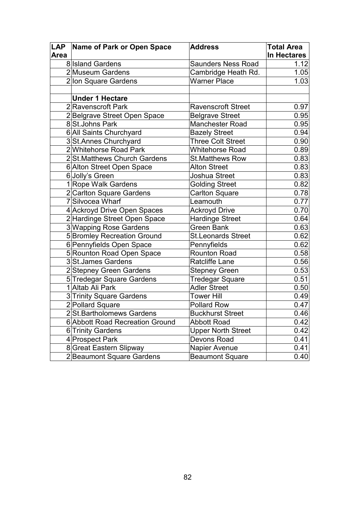|      | LAP Name of Park or Open Space  | <b>Address</b>            | <b>Total Area</b> |
|------|---------------------------------|---------------------------|-------------------|
| Area |                                 |                           | In Hectares       |
|      | 8 <b>Island Gardens</b>         | <b>Saunders Ness Road</b> | 1.12              |
|      | 2 Museum Gardens                | Cambridge Heath Rd.       | 1.05              |
|      | 2lon Square Gardens             | <b>Warner Place</b>       | 1.03              |
|      |                                 |                           |                   |
|      | <b>Under 1 Hectare</b>          |                           |                   |
|      | 2Ravenscroft Park               | <b>Ravenscroft Street</b> | 0.97              |
|      | 2Belgrave Street Open Space     | <b>Belgrave Street</b>    | 0.95              |
|      | 8St.Johns Park                  | Manchester Road           | 0.95              |
|      | 6 All Saints Churchyard         | <b>Bazely Street</b>      | 0.94              |
|      | 3St.Annes Churchyard            | <b>Three Colt Street</b>  | 0.90              |
|      | 2Whitehorse Road Park           | <b>Whitehorse Road</b>    | 0.89              |
|      | 2St.Matthews Church Gardens     | <b>St.Matthews Row</b>    | 0.83              |
|      | 6 Alton Street Open Space       | <b>Alton Street</b>       | 0.83              |
|      | 6 Jolly's Green                 | Joshua Street             | 0.83              |
|      | 1 Rope Walk Gardens             | <b>Golding Street</b>     | 0.82              |
|      | 2 Carlton Square Gardens        | <b>Carlton Square</b>     | 0.78              |
|      | 7 Silvocea Wharf                | Leamouth                  | 0.77              |
|      | 4 Ackroyd Drive Open Spaces     | <b>Ackroyd Drive</b>      | 0.70              |
|      | 2 Hardinge Street Open Space    | <b>Hardinge Street</b>    | 0.64              |
|      | 3 Wapping Rose Gardens          | <b>Green Bank</b>         | 0.63              |
|      | 5 Bromley Recreation Ground     | <b>St.Leonards Street</b> | 0.62              |
|      | 6 Pennyfields Open Space        | Pennyfields               | 0.62              |
|      | 5 Rounton Road Open Space       | <b>Rounton Road</b>       | 0.58              |
|      | 3St.James Gardens               | <b>Ratcliffe Lane</b>     | 0.56              |
|      | 2 Stepney Green Gardens         | <b>Stepney Green</b>      | 0.53              |
|      | 5 Tredegar Square Gardens       | Tredegar Square           | 0.51              |
|      | 1 Altab Ali Park                | <b>Adler Street</b>       | 0.50              |
|      | 3 Trinity Square Gardens        | <b>Tower Hill</b>         | 0.49              |
|      | 2 Pollard Square                | <b>Pollard Row</b>        | 0.47              |
|      | 2St.Bartholomews Gardens        | <b>Buckhurst Street</b>   | 0.46              |
|      | 6 Abbott Road Recreation Ground | <b>Abbott Road</b>        | 0.42              |
|      | 6 Trinity Gardens               | <b>Upper North Street</b> | 0.42              |
|      | 4 Prospect Park                 | Devons Road               | 0.41              |
|      | 8 Great Eastern Slipway         | Napier Avenue             | 0.41              |
|      | 2Beaumont Square Gardens        | <b>Beaumont Square</b>    | 0.40              |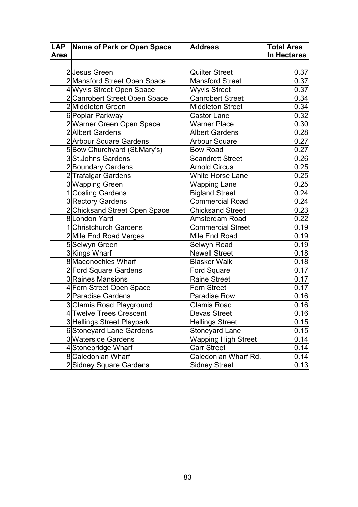|      | LAP Name of Park or Open Space | <b>Address</b>             | <b>Total Area</b> |
|------|--------------------------------|----------------------------|-------------------|
| Area |                                |                            | In Hectares       |
|      |                                |                            |                   |
|      | 2 Jesus Green                  | <b>Quilter Street</b>      | 0.37              |
|      | 2Mansford Street Open Space    | <b>Mansford Street</b>     | 0.37              |
|      | 4 Wyvis Street Open Space      | <b>Wyvis Street</b>        | 0.37              |
|      | 2 Canrobert Street Open Space  | <b>Canrobert Street</b>    | 0.34              |
|      | 2Middleton Green               | <b>Middleton Street</b>    | 0.34              |
|      | 6 Poplar Parkway               | <b>Castor Lane</b>         | 0.32              |
|      | 2 Warner Green Open Space      | <b>Warner Place</b>        | 0.30              |
|      | 2 Albert Gardens               | <b>Albert Gardens</b>      | 0.28              |
|      | 2 Arbour Square Gardens        | <b>Arbour Square</b>       | 0.27              |
|      | 5Bow Churchyard (St.Mary's)    | <b>Bow Road</b>            | 0.27              |
|      | 3 St. Johns Gardens            | <b>Scandrett Street</b>    | 0.26              |
|      | 2Boundary Gardens              | <b>Arnold Circus</b>       | 0.25              |
|      | 2 Trafalgar Gardens            | <b>White Horse Lane</b>    | 0.25              |
|      | 3 Wapping Green                | <b>Wapping Lane</b>        | 0.25              |
|      | 1Gosling Gardens               | <b>Bigland Street</b>      | 0.24              |
|      | 3 Rectory Gardens              | <b>Commercial Road</b>     | $\overline{0.24}$ |
|      | 2 Chicksand Street Open Space  | <b>Chicksand Street</b>    | 0.23              |
|      | 8 London Yard                  | Amsterdam Road             | 0.22              |
|      | 1 Christchurch Gardens         | <b>Commercial Street</b>   | 0.19              |
|      | 2 Mile End Road Verges         | Mile End Road              | 0.19              |
|      | 5 Selwyn Green                 | Selwyn Road                | 0.19              |
|      | 3Kings Wharf                   | Newell Street              | 0.18              |
|      | 8 Maconochies Wharf            | <b>Blasker Walk</b>        | 0.18              |
|      | 2 Ford Square Gardens          | <b>Ford Square</b>         | 0.17              |
|      | 3 Raines Mansions              | <b>Raine Street</b>        | 0.17              |
|      | 4 Fern Street Open Space       | <b>Fern Street</b>         | 0.17              |
|      | 2 Paradise Gardens             | <b>Paradise Row</b>        | 0.16              |
|      | 3Glamis Road Playground        | <b>Glamis Road</b>         | 0.16              |
|      | 4 Twelve Trees Crescent        | <b>Devas Street</b>        | 0.16              |
|      | 3 Hellings Street Playpark     | <b>Hellings Street</b>     | 0.15              |
|      | 6Stoneyard Lane Gardens        | Stoneyard Lane             | 0.15              |
|      | 3 Waterside Gardens            | <b>Wapping High Street</b> | 0.14              |
|      | 4 Stonebridge Wharf            | <b>Carr Street</b>         | 0.14              |
|      | 8 Caledonian Wharf             | Caledonian Wharf Rd.       | 0.14              |
|      | 2 Sidney Square Gardens        | <b>Sidney Street</b>       | 0.13              |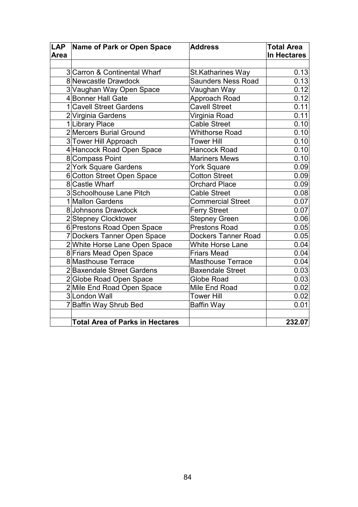|             | LAP Name of Park or Open Space         | <b>Address</b>             | <b>Total Area</b>  |
|-------------|----------------------------------------|----------------------------|--------------------|
| <b>Area</b> |                                        |                            | <b>In Hectares</b> |
|             |                                        |                            |                    |
|             | 3 Carron & Continental Wharf           | <b>St.Katharines Way</b>   | 0.13               |
|             | 8 Newcastle Drawdock                   | <b>Saunders Ness Road</b>  | 0.13               |
|             | 3 Vaughan Way Open Space               | Vaughan Way                | 0.12               |
|             | 4 Bonner Hall Gate                     | Approach Road              | 0.12               |
|             | 1 Cavell Street Gardens                | <b>Cavell Street</b>       | 0.11               |
|             | 2 Virginia Gardens                     | Virginia Road              | 0.11               |
|             | 1 Library Place                        | <b>Cable Street</b>        | 0.10               |
|             | 2 Mercers Burial Ground                | <b>Whithorse Road</b>      | 0.10               |
|             | 3 Tower Hill Approach                  | <b>Tower Hill</b>          | 0.10               |
|             | 4 Hancock Road Open Space              | <b>Hancock Road</b>        | 0.10               |
|             | 8 Compass Point                        | <b>Mariners Mews</b>       | 0.10               |
|             | 2 York Square Gardens                  | <b>York Square</b>         | 0.09               |
|             | 6 Cotton Street Open Space             | <b>Cotton Street</b>       | 0.09               |
|             | 8 Castle Wharf                         | <b>Orchard Place</b>       | 0.09               |
|             | 3 Schoolhouse Lane Pitch               | <b>Cable Street</b>        | 0.08               |
|             | 1 Mallon Gardens                       | <b>Commercial Street</b>   | 0.07               |
|             | 8 Johnsons Drawdock                    | <b>Ferry Street</b>        | 0.07               |
|             | 2Stepney Clocktower                    | <b>Stepney Green</b>       | 0.06               |
|             | 6 Prestons Road Open Space             | <b>Prestons Road</b>       | 0.05               |
|             | 7 Dockers Tanner Open Space            | <b>Dockers Tanner Road</b> | 0.05               |
|             | 2 White Horse Lane Open Space          | <b>White Horse Lane</b>    | 0.04               |
|             | 8 Friars Mead Open Space               | <b>Friars Mead</b>         | 0.04               |
|             | 8 Masthouse Terrace                    | <b>Masthouse Terrace</b>   | 0.04               |
|             | 2 Baxendale Street Gardens             | <b>Baxendale Street</b>    | 0.03               |
|             | 2Globe Road Open Space                 | Globe Road                 | 0.03               |
|             | 2Mile End Road Open Space              | Mile End Road              | 0.02               |
|             | 3London Wall                           | <b>Tower Hill</b>          | 0.02               |
|             | 7Baffin Way Shrub Bed                  | Baffin Way                 | 0.01               |
|             |                                        |                            |                    |
|             | <b>Total Area of Parks in Hectares</b> |                            | 232.07             |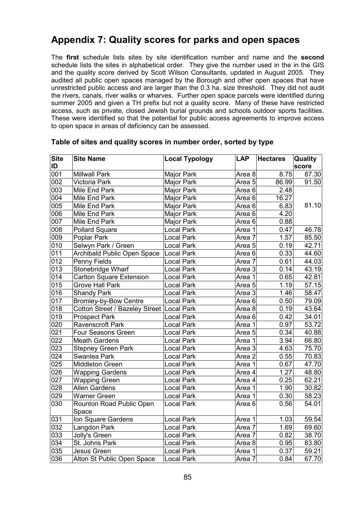### Appendix 7: Quality scores for parks and open spaces

The first schedule lists sites by site identification number and name and the second schedule lists the sites in alphabetical order. They give the number used in the in the GIS and the quality score derived by Scott Wilson Consultants, updated in August 2005. They audited all public open spaces managed by the Borough and other open spaces that have unrestricted public access and are larger than the 0.3 ha. size threshold. They did not audit the rivers, canals, river walks or wharves. Further open space parcels were identified during summer 2005 and given a TH prefix but not a quality score. Many of these have restricted access, such as private, closed Jewish burial grounds and schools outdoor sports facilities. These were identified so that the potential for public access agreements to improve access to open space in areas of deficiency can be assessed.

| <b>Site</b>      | <b>Site Name</b>                          | <b>Local Typology</b> | <b>LAP</b>        | <b>Hectares</b>    | <b>Quality</b> |
|------------------|-------------------------------------------|-----------------------|-------------------|--------------------|----------------|
| ID               |                                           |                       |                   |                    | score          |
| 001              | <b>Millwall Park</b>                      | Major Park            | Area 8            | 8.75               | 87.30          |
| 002              | <b>Victoria Park</b>                      | Major Park            | Area 5            | 86.99              | 91.50          |
| 003              | Mile End Park                             | Major Park            | Area <sub>6</sub> | 2.48               |                |
| 0 <sup>0</sup>   | Mile End Park                             | Major Park            | Area <sub>6</sub> | $\overline{16.27}$ |                |
| 005              | Mile End Park                             | Major Park            | Area <sub>6</sub> | 6.83               | 81.10          |
| 006              | Mile End Park                             | Major Park            | Area <sub>6</sub> | 4.20               |                |
| $\overline{007}$ | Mile End Park                             | Major Park            | Area <sub>6</sub> | 0.88               |                |
| 008              | <b>Pollard Square</b>                     | <b>Local Park</b>     | Area 1            | 0.47               | 46.78          |
| 009              | Poplar Park                               | <b>Local Park</b>     | Area 7            | 1.57               | 85.50          |
| 010              | Selwyn Park / Green                       | <b>Local Park</b>     | Area <sub>5</sub> | 0.19               | 42.71          |
| 011              | Archibald Public Open Space               | <b>Local Park</b>     | Area 6            | 0.33               | 44.60          |
| $\overline{012}$ | Penny Fields                              | <b>Local Park</b>     | Area 7            | 0.61               | 44.03          |
| 013              | Stonebridge Wharf                         | <b>Local Park</b>     | Area <sub>3</sub> | 0.14               | 43.19          |
| 014              | <b>Carlton Square Extension</b>           | <b>Local Park</b>     | Area 1            | 0.65               | 42.81          |
| 015              | Grove Hall Park                           | <b>Local Park</b>     | Area 5            | 1.19               | 57.15          |
| 016              | <b>Shandy Park</b>                        | <b>Local Park</b>     | Area 3            | 1.46               | 58.47          |
| 017              | Bromley-by-Bow Centre                     | <b>Local Park</b>     | Area <sub>6</sub> | 0.50               | 79.09          |
| 018              | Cotton Street / Bazeley Street Local Park |                       | Area 8            | 0.19               | 43.64          |
| 019              | <b>Prospect Park</b>                      | <b>Local Park</b>     | Area 6            | 0.42               | 34.01          |
| 020              | <b>Ravenscroft Park</b>                   | <b>Local Park</b>     | Area 1            | 0.97               | 53.72          |
| 021              | Four Seasons Green                        | <b>Local Park</b>     | Area 5            | 0.34               | 40.88          |
| 022              | <b>Meath Gardens</b>                      | <b>Local Park</b>     | Area 1            | 3.94               | 66.80          |
| 023              | <b>Stepney Green Park</b>                 | Local Park            | Area 3            | 4.63               | 75.70          |
| $\overline{024}$ | Swanlea Park                              | <b>Local Park</b>     | Area 2            | 0.55               | 70.83          |
| 025              | Middleton Green                           | <b>Local Park</b>     | Area 1            | 0.67               | 47.70          |
| 026              | <b>Wapping Gardens</b>                    | <b>Local Park</b>     | Area 4            | 1.27               | 48.80          |
| $\overline{027}$ | <b>Wapping Green</b>                      | <b>Local Park</b>     | Area 4            | 0.25               | 62.21          |
| 028              | <b>Allen Gardens</b>                      | <b>Local Park</b>     | Area 1            | 1.90               | 30.82          |
| 029              | Warner Green                              | <b>Local Park</b>     | Area 1            | 0.30               | 58.23          |
| 030              | Rounton Road Public Open                  | <b>Local Park</b>     | Area 6            | 0.56               | 54.01          |
|                  | Space                                     |                       |                   |                    |                |
| 031              | Ion Square Gardens                        | <b>Local Park</b>     | Area 1            | 1.03               | 59.54          |
| 032              | Langdon Park                              | <b>Local Park</b>     | Area 7            | 1.69               | 69.60          |
| 033              | Jolly's Green                             | <b>Local Park</b>     | Area 7            | 0.82               | 38.70          |
| 034              | St. Johns Park                            | <b>Local Park</b>     | Area 8            | 0.95               | 83.80          |
| 035              | Jesus Green                               | <b>Local Park</b>     | Area 1            | 0.37               | 59.21          |
| 036              | Alton St Public Open Space                | <b>Local Park</b>     | Area 7            | 0.84               | 67.70          |

#### Table of sites and quality scores in number order, sorted by type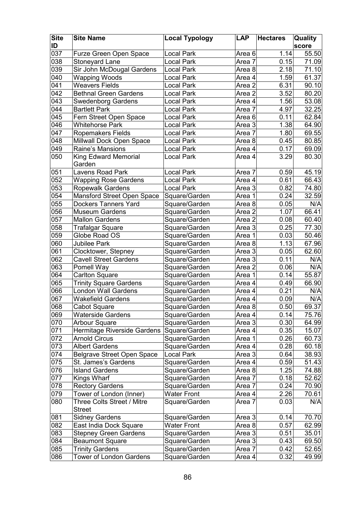| <b>Site</b>      | <b>Site Name</b>                            | <b>Local Typology</b> | <b>LAP</b>        | <b>Hectares</b> | Quality |
|------------------|---------------------------------------------|-----------------------|-------------------|-----------------|---------|
| ID               |                                             |                       |                   |                 | score   |
| 037              | Furze Green Open Space                      | <b>Local Park</b>     | Area <sub>6</sub> | 1.14            | 55.50   |
| 038              | Stoneyard Lane                              | <b>Local Park</b>     | Area 7            | 0.15            | 71.09   |
| 039              | Sir John McDougal Gardens                   | <b>Local Park</b>     | Area 8            | 2.18            | 71.10   |
| 040              | Wapping Woods                               | <b>Local Park</b>     | Area 4            | 1.59            | 61.37   |
| 041              | <b>Weavers Fields</b>                       | Local Park            | Area 2            | 6.31            | 90.10   |
| 042              | <b>Bethnal Green Gardens</b>                | <b>Local Park</b>     | Area 2            | 3.52            | 80.20   |
| 043              | <b>Swedenborg Gardens</b>                   | <b>Local Park</b>     | Area 4            | 1.56            | 53.08   |
| $\overline{044}$ | <b>Bartlett Park</b>                        | <b>Local Park</b>     | Area 7            | 4.97            | 32.25   |
| 045              | Fern Street Open Space                      | <b>Local Park</b>     | Area 6            | 0.11            | 62.84   |
| 046              | <b>Whitehorse Park</b>                      | <b>Local Park</b>     | Area 3            | 1.38            | 64.90   |
| 047              | Ropemakers Fields                           | <b>Local Park</b>     | Area 7            | 1.80            | 69.55   |
| 048              | Millwall Dock Open Space                    | <b>Local Park</b>     | Area 8            | 0.45            | 80.85   |
| 049              | Raine's Mansions                            | <b>Local Park</b>     | Area 4            | 0.17            | 69.09   |
| 050              | King Edward Memorial<br>Garden              | <b>Local Park</b>     | Area 4            | 3.29            | 80.30   |
| 051              | Lavens Road Park                            | <b>Local Park</b>     | Area 7            | 0.59            | 45.19   |
| 052              | <b>Wapping Rose Gardens</b>                 | <b>Local Park</b>     | Area 4            | 0.61            | 66.43   |
| 053              | <b>Ropewalk Gardens</b>                     | <b>Local Park</b>     | Area 3            | 0.82            | 74.80   |
| 054              | Mansford Street Open Space                  | Square/Garden         | Area 1            | 0.24            | 32.59   |
| 055              | <b>Dockers Tanners Yard</b>                 | Square/Garden         | Area 8            | 0.05            | N/A     |
| 056              | <b>Museum Gardens</b>                       | Square/Garden         | Area 2            | 1.07            | 66.41   |
| 057              | <b>Mallon Gardens</b>                       | Square/Garden         | Area 2            | 0.08            | 60.40   |
| 058              | Trafalgar Square                            | Square/Garden         | Area 3            | 0.25            | 77.30   |
| 059              | Globe Road OS                               | Square/Garden         | Area 1            | 0.03            | 50.46   |
| 060              | Jubilee Park                                | Square/Garden         | Area 8            | 1.13            | 67.96   |
| 061              | Clocktower, Stepney                         | Square/Garden         | Area 3            | 0.05            | 62.60   |
| 062              | <b>Cavell Street Gardens</b>                | Square/Garden         | Area 3            | 0.11            | N/A     |
| 063              | Pomell Way                                  | Square/Garden         | Area 2            | 0.06            | N/A     |
| 064              | <b>Carlton Square</b>                       | Square/Garden         | Area 1            | 0.14            | 55.87   |
| 065              | <b>Trinity Square Gardens</b>               | Square/Garden         | Area 4            | 0.49            | 66.90   |
| 066              | <b>London Wall Gardens</b>                  | Square/Garden         | Area 4            | 0.21            | N/A     |
| 067              | <b>Wakefield Gardens</b>                    | Square/Garden         | Area 4            | 0.09            | N/A     |
| 068              | Cabot Square                                | Square/Garden         | Area 8            | 0.50            | 69.37   |
| 069              | <b>Waterside Gardens</b>                    | Square/Garden         | Area 4            | 0.14            | 75.76   |
| 070              | <b>Arbour Square</b>                        | Square/Garden         | Area 3            | 0.30            | 64.99   |
| 071              | Hermitage Riverside Gardens                 | Square/Garden         | Area 4            | 0.35            | 15.07   |
| $\overline{072}$ | <b>Arnold Circus</b>                        | Square/Garden         | Area 1            | 0.26            | 60.73   |
| 073              | <b>Albert Gardens</b>                       | Square/Garden         | Area 4            | 0.28            | 60.18   |
| 074              | <b>Belgrave Street Open Space</b>           | <b>Local Park</b>     | Area 3            | 0.64            | 38.93   |
| 075              | St. James's Gardens                         | Square/Garden         | Area 4            | 0.59            | 51.43   |
| 076              | <b>Island Gardens</b>                       | Square/Garden         | Area 8            | 1.25            | 74.88   |
| 077              | Kings Wharf                                 | Square/Garden         | Area 7            | 0.18            | 52.62   |
| 078              | <b>Rectory Gardens</b>                      | Square/Garden         | Area 7            | 0.24            | 70.90   |
| 079              | Tower of London (Inner)                     | <b>Water Front</b>    | Area 4            | 2.26            | 70.61   |
| 080              | Three Colts Street / Mitre<br><b>Street</b> | Square/Garden         | Area 7            | 0.03            | N/A     |
| 081              | <b>Sidney Gardens</b>                       | Square/Garden         | Area 3            | 0.14            | 70.70   |
| 082              | East India Dock Square                      | <b>Water Front</b>    | Area 8            | 0.57            | 62.99   |
| 083              | <b>Stepney Green Gardens</b>                | Square/Garden         | Area 3            | 0.51            | 35.01   |
| 084              | <b>Beaumont Square</b>                      | Square/Garden         | Area 3            | 0.43            | 69.50   |
| 085              | <b>Trinity Gardens</b>                      | Square/Garden         | Area 7            | 0.42            | 52.65   |
| 086              | <b>Tower of London Gardens</b>              | Square/Garden         | Area 4            | 0.32            | 49.99   |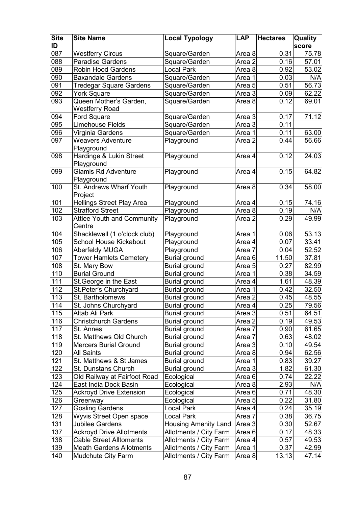| <b>Site</b><br>ID | <b>Site Name</b>                                     | <b>Local Typology</b>          | <b>LAP</b>        | <b>Hectares</b> | Quality<br>score |
|-------------------|------------------------------------------------------|--------------------------------|-------------------|-----------------|------------------|
| 087               | <b>Westferry Circus</b>                              |                                | Area 8            | 0.31            | 75.78            |
| 088               | <b>Paradise Gardens</b>                              | Square/Garden<br>Square/Garden |                   | 0.16            | 57.01            |
| 089               | <b>Robin Hood Gardens</b>                            | <b>Local Park</b>              | Area <sub>2</sub> | 0.92            | 53.02            |
| 090               | <b>Baxandale Gardens</b>                             |                                | Area 8            | 0.03            | N/A              |
| 091               |                                                      | Square/Garden                  | Area 1            | 0.51            | 56.73            |
| 092               | <b>Tredegar Square Gardens</b><br><b>York Square</b> | Square/Garden                  | Area 5<br>Area 3  |                 | 62.22            |
|                   | Queen Mother's Garden,                               | Square/Garden                  |                   | 0.09<br>0.12    | 69.01            |
| 093               | Westferry Road                                       | Square/Garden                  | Area 8            |                 |                  |
| 094               | <b>Ford Square</b>                                   | Square/Garden                  | Area 3            | 0.17            | 71.12            |
| 095               | <b>Limehouse Fields</b>                              | Square/Garden                  | Area 3            | 0.11            |                  |
| 096               | Virginia Gardens                                     | Square/Garden                  | Area 1            | 0.11            | 63.00            |
| 097               | <b>Weavers Adventure</b>                             | Playground                     | Area <sub>2</sub> | 0.44            | 56.66            |
|                   | Playground                                           |                                |                   |                 |                  |
| 098               | Hardinge & Lukin Street<br>Playground                | Playground                     | Area 4            | 0.12            | 24.03            |
| 099               | <b>Glamis Rd Adventure</b>                           | Playground                     | Area 4            | 0.15            | 64.82            |
|                   | Playground                                           |                                |                   |                 |                  |
| 100               | St. Andrews Wharf Youth<br>Project                   | Playground                     | Area 8            | 0.34            | 58.00            |
| 101               | <b>Hellings Street Play Area</b>                     | Playground                     | Area 4            | 0.15            | 74.16            |
| 102               | <b>Strafford Street</b>                              | Playground                     | Area 8            | 0.19            | N/A              |
| 103               | <b>Attlee Youth and Community</b><br>Centre          | Playground                     | Area 2            | 0.29            | 49.99            |
| 104               | Shacklewell (1 o'clock club)                         | Playground                     | Area 1            | 0.06            | 53.13            |
| 105               | <b>School House Kickabout</b>                        | Playground                     | Area 4            | 0.07            | 33.41            |
| 106               | <b>Aberfeldy MUGA</b>                                | Playground                     | Area 7            | 0.04            | 52.52            |
| 107               | <b>Tower Hamlets Cemetery</b>                        | Burial ground                  | Area 6            | 11.50           | 37.81            |
| 108               | St. Mary Bow                                         | <b>Burial ground</b>           | Area <sub>5</sub> | 0.27            | 82.99            |
| 110               | <b>Burial Ground</b>                                 | <b>Burial ground</b>           | Area 1            | 0.38            | 34.59            |
| 111               | St. George in the East                               | <b>Burial ground</b>           | Area 4            | 1.61            | 48.39            |
| 112               | St. Peter's Churchyard                               | <b>Burial ground</b>           | Area 1            | 0.42            | 32.50            |
| 113               | St. Bartholomews                                     | <b>Burial ground</b>           | Area 2            | 0.45            | 48.55            |
| 114               | St. Johns Churchyard                                 | <b>Burial ground</b>           | Area 4            | 0.25            | 79.56            |
| 115               | Altab Ali Park                                       | <b>Burial ground</b>           | Area 3            | 0.51            | 64.51            |
| 116               | <b>Christchurch Gardens</b>                          | <b>Burial ground</b>           | Area 2            | 0.19            | 49.53            |
| 117               | St. Annes                                            | <b>Burial ground</b>           | Area 7            | 0.90            | 61.65            |
| 118               | St. Matthews Old Church                              | <b>Burial ground</b>           | Area 7            | 0.63            | 48.02            |
| 119               | <b>Mercers Burial Ground</b>                         | <b>Burial ground</b>           | Area 3            | 0.10            | 49.54            |
| 120               | <b>All Saints</b>                                    | <b>Burial ground</b>           | Area 8            | 0.94            | 62.56            |
| 121               | St. Matthews & St James                              | <b>Burial ground</b>           | Area 1            | 0.83            | 39.27            |
| 122               | St. Dunstans Church                                  | <b>Burial ground</b>           | Area 3            | 1.82            | 61.30            |
| 123               | Old Railway at Fairfoot Road                         | Ecological                     | Area 6            | 0.74            | 22.22            |
| 124               | East India Dock Basin                                | Ecological                     | Area 8            | 2.93            | N/A              |
| 125               | <b>Ackroyd Drive Extension</b>                       | Ecological                     | Area <sub>6</sub> | 0.71            | 48.30            |
| 126               | Greenway                                             | Ecological                     | Area 5            | 0.22            | 31.80            |
| 127               | <b>Gosling Gardens</b>                               | <b>Local Park</b>              | Area 4            | 0.24            | 35.19            |
| 128               | Wyvis Street Open space                              | Local Park                     | Area 7            | 0.38            | 36.75            |
| 131               | <b>Jubilee Gardens</b>                               | Housing Amenity Land           | Area 3            | 0.30            | 52.67            |
| 137               | <b>Ackroyd Drive Allotments</b>                      | Allotments / City Farm         | Area 6            | 0.17            | 48.33            |
| 138               | <b>Cable Street Alltoments</b>                       | Allotments / City Farm         | Area 4            | 0.57            | 49.53            |
| 139               | <b>Meath Gardens Allotments</b>                      | Allotments / City Farm         | Area 1            | 0.37            | 42.99            |
| 140               | Mudchute City Farm                                   | Allotments / City Farm         | Area 8            | 13.13           | 47.14            |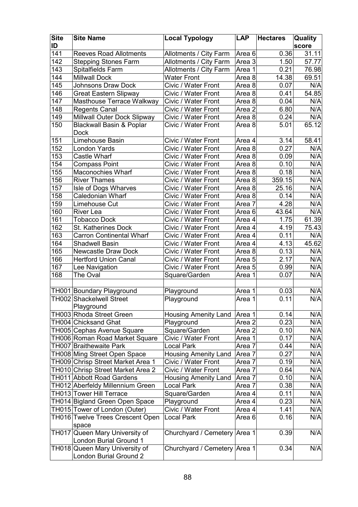| <b>Site</b><br>ID | <b>Site Name</b>                                                  | <b>Local Typology</b>             | <b>LAP</b>        | <b>Hectares</b> | Quality<br>score |
|-------------------|-------------------------------------------------------------------|-----------------------------------|-------------------|-----------------|------------------|
| 141               | <b>Reeves Road Allotments</b>                                     | Allotments / City Farm            | Area 6            | 0.36            | 31.11            |
| 142               | <b>Stepping Stones Farm</b>                                       | Allotments / City Farm            | Area 3            | 1.50            | 57.77            |
| 143               | Spitalfields Farm                                                 | Allotments / City Farm            | Area 1            | 0.21            | 76.98            |
| 144               | <b>Millwall Dock</b>                                              | <b>Water Front</b>                | Area 8            | 14.38           | 69.51            |
| 145               | <b>Johnsons Draw Dock</b>                                         | Civic / Water Front               | Area 8            | 0.07            | N/A              |
| 146               | <b>Great Eastern Slipway</b>                                      | Civic / Water Front               | Area 8            | 0.41            | 54.85            |
| 147               | Masthouse Terrace Walkway                                         | Civic / Water Front               | Area 8            | 0.04            | N/A              |
| 148               | <b>Regents Canal</b>                                              | Civic / Water Front               | Area 2            | 6.80            | N/A              |
| 149               | Millwall Outer Dock Slipway                                       | Civic / Water Front               | Area 8            | 0.24            | N/A              |
| 150               | <b>Blackwall Basin &amp; Poplar</b>                               | Civic / Water Front               | Area 8            | 5.01            | 65.12            |
|                   | <b>Dock</b>                                                       |                                   |                   |                 |                  |
| 151               | Limehouse Basin                                                   | Civic / Water Front               | Area 4            | 3.14            | 58.41            |
| 152               | London Yards                                                      | Civic / Water Front               | Area 8            | 0.27            | N/A              |
| 153               | <b>Castle Wharf</b>                                               | Civic / Water Front               | Area 8            | 0.09            | N/A              |
| 154               | <b>Compass Point</b>                                              | Civic / Water Front               | Area 8            | 0.10            | N/A              |
| 155               | Maconochies Wharf                                                 | Civic / Water Front               | Area 8            | 0.18            | N/A              |
| 156               | <b>River Thames</b>                                               | Civic / Water Front               | Area 8            | 359.15          | N/A              |
| 157               | Isle of Dogs Wharves                                              | Civic / Water Front               | Area 8            | 25.16           | N/A              |
| 158               | Caledonian Wharf                                                  | Civic / Water Front               | Area 8            | 0.14            | N/A              |
| 159               | Limehouse Cut                                                     | Civic / Water Front               | Area 7            | 4.28            | N/A              |
| 160               | <b>River Lea</b>                                                  | Civic / Water Front               | Area 6            | 43.64           | N/A              |
| 161               | <b>Tobacco Dock</b>                                               | Civic / Water Front               | Area 4            | 1.75            | 61.39            |
| 162               | St. Katherines Dock                                               | Civic / Water Front               | Area 4            | 4.19            | 75.43            |
| 163               | <b>Carron Continental Wharf</b>                                   | Civic / Water Front               | Area 4            | 0.11            | N/A              |
| 164               | <b>Shadwell Basin</b>                                             | Civic / Water Front               | Area 4            | 4.13            | 45.62            |
| 165               | Newcastle Draw Dock                                               | Civic / Water Front               | Area 8            | 0.13            | N/A              |
| 166               | <b>Hertford Union Canal</b>                                       | Civic / Water Front               | Area <sub>5</sub> | 2.17            | N/A              |
| 167               | Lee Navigation                                                    | Civic / Water Front               | Area 5            | 0.99            | N/A              |
| 168               | The Oval                                                          | Square/Garden                     | Area 1            | 0.07            | N/A              |
|                   |                                                                   |                                   |                   |                 |                  |
|                   | TH001 Boundary Playground                                         | Playground                        | Area 1            | 0.03            | N/A              |
|                   | TH002 Shackelwell Street                                          | Playground                        | Area 1            | 0.11            | N/A              |
|                   | Playground                                                        |                                   |                   |                 |                  |
|                   | TH003 Rhoda Street Green                                          | Housing Amenity Land              | Area 1            | 0.14            | N/A              |
|                   | TH004 Chicksand Ghat                                              | Playground                        | Area 2            | 0.23            | N/A              |
|                   | TH005 Cephas Avenue Square                                        | Square/Garden                     | Area 2            | 0.10            | N/A              |
|                   | TH006 Roman Road Market Square                                    | Civic / Water Front               | Area 1            | 0.17            | N/A              |
|                   | TH007 Braithewaite Park                                           | <b>Local Park</b>                 | Area 7            | 0.44            | N/A              |
|                   | TH008 Ming Street Open Space                                      | <b>Housing Amenity Land</b>       | Area 7            | 0.27            | N/A              |
|                   | TH009 Chrisp Street Market Area 1                                 | Civic / Water Front               | Area 7            | 0.19            | N/A              |
|                   | TH010 Chrisp Street Market Area 2                                 | Civic / Water Front               | Area 7            | 0.64            | N/A              |
|                   | TH011 Abbott Road Gardens                                         | <b>Housing Amenity Land</b>       | Area 7            | 0.10            | N/A              |
|                   | TH012 Aberfeldy Millennium Green                                  | <b>Local Park</b>                 | Area 7            | 0.38            | N/A              |
|                   | TH013 Tower Hill Terrace                                          | Square/Garden                     | Area 4            | 0.11            | N/A              |
|                   | TH014 Bigland Green Open Space                                    | Playground<br>Civic / Water Front | Area 4            | 0.23<br>1.41    | N/A<br>N/A       |
|                   | TH015 Tower of London (Outer)<br>TH016 Twelve Trees Crescent Open | <b>Local Park</b>                 | Area 4<br>Area 6  | 0.16            | N/A              |
|                   | space                                                             |                                   |                   |                 |                  |
|                   | TH017 Queen Mary University of                                    | Churchyard / Cemetery Area 1      |                   | 0.39            | N/A              |
|                   | London Burial Ground 1<br>TH018 Queen Mary University of          | Churchyard / Cemetery Area 1      |                   | 0.34            | N/A              |
|                   | London Burial Ground 2                                            |                                   |                   |                 |                  |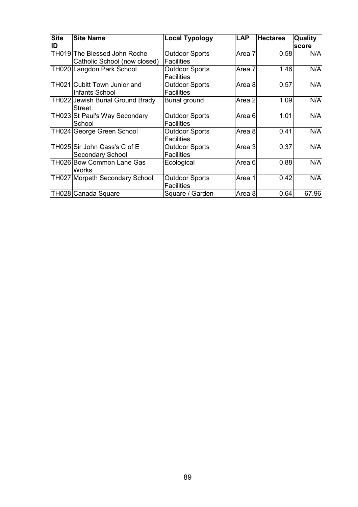| <b>Site</b><br>ID | <b>Site Name</b>                                             | <b>Local Typology</b>                      | <b>LAP</b>        | <b>Hectares</b> | Quality<br>score |
|-------------------|--------------------------------------------------------------|--------------------------------------------|-------------------|-----------------|------------------|
|                   | TH019 The Blessed John Roche<br>Catholic School (now closed) | <b>Outdoor Sports</b><br><b>Facilities</b> | Area 7            | 0.58            | N/A              |
|                   | TH020 Langdon Park School                                    | <b>Outdoor Sports</b><br><b>Facilities</b> | Area 7            | 1.46            | N/A              |
|                   | TH021 Cubitt Town Junior and<br>Infants School               | <b>Outdoor Sports</b><br><b>Facilities</b> | Area 8            | 0.57            | N/A              |
|                   | TH022 Jewish Burial Ground Brady<br>Street                   | <b>Burial ground</b>                       | Area <sub>2</sub> | 1.09            | N/A              |
|                   | TH023 St Paul's Way Secondary<br>School                      | <b>Outdoor Sports</b><br><b>Facilities</b> | Area 6            | 1.01            | N/A              |
|                   | TH024 George Green School                                    | <b>Outdoor Sports</b><br><b>Facilities</b> | Area 8            | 0.41            | N/A              |
|                   | TH025 Sir John Cass's C of E<br>Secondary School             | <b>Outdoor Sports</b><br><b>Facilities</b> | Area 3            | 0.37            | N/A              |
|                   | TH026 Bow Common Lane Gas<br>Works                           | Ecological                                 | Area 6            | 0.88            | N/A              |
|                   | TH027 Morpeth Secondary School                               | <b>Outdoor Sports</b><br><b>Facilities</b> | Area 1            | 0.42            | N/A              |
|                   | TH028 Canada Square                                          | Square / Garden                            | Area 8            | 0.64            | 67.96            |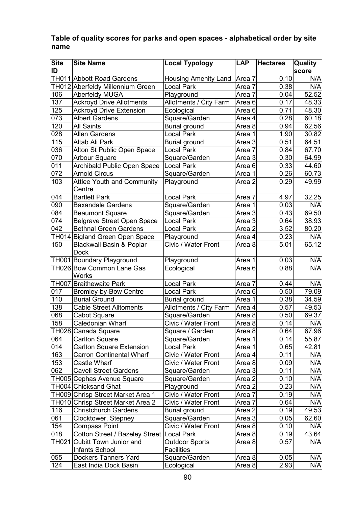### Table of quality scores for parks and open spaces - alphabetical order by site name

| <b>Site</b> | <b>Site Name</b>                                   | <b>Local Typology</b>  | <b>LAP</b>        | <b>Hectares</b> | Quality |
|-------------|----------------------------------------------------|------------------------|-------------------|-----------------|---------|
| ID          |                                                    |                        |                   |                 | score   |
|             | TH011 Abbott Road Gardens                          | Housing Amenity Land   | Area 7            | 0.10            | N/A     |
|             | TH012 Aberfeldy Millennium Green                   | <b>Local Park</b>      | Area 7            | 0.38            | N/A     |
| 106         | <b>Aberfeldy MUGA</b>                              | Playground             | Area 7            | 0.04            | 52.52   |
| 137         | <b>Ackroyd Drive Allotments</b>                    | Allotments / City Farm | Area <sub>6</sub> | 0.17            | 48.33   |
| 125         | <b>Ackroyd Drive Extension</b>                     | Ecological             | Area 6            | 0.71            | 48.30   |
| 073         | <b>Albert Gardens</b>                              | Square/Garden          | Area 4            | 0.28            | 60.18   |
| 120         | <b>All Saints</b>                                  | <b>Burial ground</b>   | Area 8            | 0.94            | 62.56   |
| 028         | Allen Gardens                                      | <b>Local Park</b>      | Area 1            | 1.90            | 30.82   |
| 115         | Altab Ali Park                                     | <b>Burial ground</b>   | Area 3            | 0.51            | 64.51   |
| 036         | Alton St Public Open Space                         | <b>Local Park</b>      | Area 7            | 0.84            | 67.70   |
| 070         | <b>Arbour Square</b>                               | Square/Garden          | Area 3            | 0.30            | 64.99   |
| 011         | <b>Archibald Public Open Space</b>                 | <b>Local Park</b>      | Area <sub>6</sub> | 0.33            | 44.60   |
| 072         | <b>Arnold Circus</b>                               | Square/Garden          | Area 1            | 0.26            | 60.73   |
| 103         | <b>Attlee Youth and Community</b><br>Centre        | Playground             | Area <sub>2</sub> | 0.29            | 49.99   |
| 044         | <b>Bartlett Park</b>                               | <b>Local Park</b>      | Area 7            | 4.97            | 32.25   |
| 090         | <b>Baxandale Gardens</b>                           | Square/Garden          | Area 1            | 0.03            | N/A     |
| 084         | <b>Beaumont Square</b>                             | Square/Garden          | Area 3            | 0.43            | 69.50   |
| 074         | <b>Belgrave Street Open Space</b>                  | <b>Local Park</b>      | Area 3            | 0.64            | 38.93   |
| 042         | <b>Bethnal Green Gardens</b>                       | Local Park             | Area 2            | 3.52            | 80.20   |
|             | TH014 Bigland Green Open Space                     | Playground             | Area 4            | 0.23            | N/A     |
| 150         | <b>Blackwall Basin &amp; Poplar</b><br><b>Dock</b> | Civic / Water Front    | Area 8            | 5.01            | 65.12   |
|             | TH001 Boundary Playground                          | Playground             | Area 1            | 0.03            | N/A     |
|             | TH026 Bow Common Lane Gas<br><b>Works</b>          | Ecological             | Area <sub>6</sub> | 0.88            | N/A     |
|             | TH007 Braithewaite Park                            | <b>Local Park</b>      | Area 7            | 0.44            | N/A     |
| 017         | <b>Bromley-by-Bow Centre</b>                       | <b>Local Park</b>      | Area 6            | 0.50            | 79.09   |
| 110         | <b>Burial Ground</b>                               | <b>Burial ground</b>   | Area 1            | 0.38            | 34.59   |
| 138         | <b>Cable Street Alltoments</b>                     | Allotments / City Farm | Area 4            | 0.57            | 49.53   |
| 068         | Cabot Square                                       | Square/Garden          | Area 8            | 0.50            | 69.37   |
| 158         | Caledonian Wharf                                   | Civic / Water Front    | Area 8            | 0.14            | N/A     |
|             | TH028 Canada Square                                | Square / Garden        | Area 8            | 0.64            | 67.96   |
| 064         | <b>Carlton Square</b>                              | Square/Garden          | Area 1            | 0.14            | 55.87   |
| 014         | <b>Carlton Square Extension</b>                    | <b>Local Park</b>      | Area 1            | 0.65            | 42.81   |
| 163         | <b>Carron Continental Wharf</b>                    | Civic / Water Front    | Area 4            | 0.11            | N/A     |
| 153         | Castle Wharf                                       | Civic / Water Front    | Area 8            | 0.09            | N/A     |
| 062         | <b>Cavell Street Gardens</b>                       | Square/Garden          | Area 3            | 0.11            | N/A     |
|             | TH005 Cephas Avenue Square                         | Square/Garden          | Area 2            | 0.10            | N/A     |
|             | TH004 Chicksand Ghat                               | Playground             | Area 2            | 0.23            | N/A     |
|             | TH009 Chrisp Street Market Area 1                  | Civic / Water Front    | Area 7            | 0.19            | N/A     |
|             | TH010 Chrisp Street Market Area 2                  | Civic / Water Front    | Area 7            | 0.64            | N/A     |
| 116         | <b>Christchurch Gardens</b>                        | <b>Burial ground</b>   | Area 2            | 0.19            | 49.53   |
| 061         | Clocktower, Stepney                                | Square/Garden          | Area 3            | 0.05            | 62.60   |
| 154         | <b>Compass Point</b>                               | Civic / Water Front    | Area 8            | 0.10            | N/A     |
| 018         | Cotton Street / Bazeley Street                     | <b>Local Park</b>      | Area 8            | 0.19            | 43.64   |
| TH021       | Cubitt Town Junior and                             | <b>Outdoor Sports</b>  | Area 8            | 0.57            | N/A     |
|             | Infants School                                     | <b>Facilities</b>      |                   |                 |         |
| 055         | Dockers Tanners Yard                               | Square/Garden          | Area 8            | 0.05            | N/A     |
| 124         | East India Dock Basin                              | Ecological             | Area 8            | 2.93            | N/A     |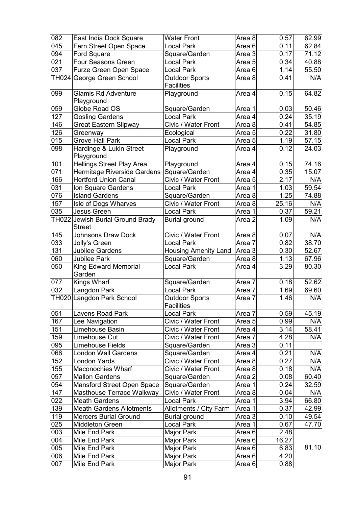| 082           | East India Dock Square                      | <b>Water Front</b>                         | Area 8 | 0.57              | 62.99 |
|---------------|---------------------------------------------|--------------------------------------------|--------|-------------------|-------|
| 045           | Fern Street Open Space                      | Local Park                                 | Area 6 | 0.11              | 62.84 |
| 094           | Ford Square                                 | Square/Garden                              | Area 3 | 0.17              | 71.12 |
| 021           | Four Seasons Green                          | <b>Local Park</b>                          | Area 5 | $\overline{0.34}$ | 40.88 |
| 037           | Furze Green Open Space                      | <b>Local Park</b>                          | Area 6 | 1.14              | 55.50 |
| TH024         | George Green School                         | <b>Outdoor Sports</b><br><b>Facilities</b> | Area 8 | 0.41              | N/A   |
| 099           | <b>Glamis Rd Adventure</b>                  | Playground                                 | Area 4 | 0.15              | 64.82 |
|               | Playground                                  |                                            |        |                   |       |
| $ 059\rangle$ | Globe Road OS                               | Square/Garden                              | Area 1 | 0.03              | 50.46 |
| 127           | <b>Gosling Gardens</b>                      | <b>Local Park</b>                          | Area 4 | 0.24              | 35.19 |
| 146           | <b>Great Eastern Slipway</b>                | Civic / Water Front                        | Area 8 | 0.41              | 54.85 |
| 126           | Greenway                                    | Ecological                                 | Area 5 | 0.22              | 31.80 |
| 015           | <b>Grove Hall Park</b>                      | <b>Local Park</b>                          | Area 5 | 1.19              | 57.15 |
| 098           | Hardinge & Lukin Street<br>Playground       | Playground                                 | Area 4 | 0.12              | 24.03 |
| 101           | <b>Hellings Street Play Area</b>            | Playground                                 | Area 4 | 0.15              | 74.16 |
| 071           | Hermitage Riverside Gardens                 | Square/Garden                              | Area 4 | 0.35              | 15.07 |
| 166           | <b>Hertford Union Canal</b>                 | Civic / Water Front                        | Area 5 | 2.17              | N/A   |
| 031           | Ion Square Gardens                          | <b>Local Park</b>                          | Area 1 | 1.03              | 59.54 |
| 076           | <b>Island Gardens</b>                       | Square/Garden                              | Area 8 | 1.25              | 74.88 |
| 157           | Isle of Dogs Wharves                        | Civic / Water Front                        | Area 8 | 25.16             | N/A   |
| 035           | Jesus Green                                 | <b>Local Park</b>                          | Area 1 | 0.37              | 59.21 |
| TH022         | Jewish Burial Ground Brady<br><b>Street</b> | <b>Burial ground</b>                       | Area 2 | 1.09              | N/A   |
| 145           | <b>Johnsons Draw Dock</b>                   | Civic / Water Front                        | Area 8 | 0.07              | N/A   |
| 033           | Jolly's Green                               | <b>Local Park</b>                          | Area 7 | 0.82              | 38.70 |
| 131           | Jubilee Gardens                             | <b>Housing Amenity Land</b>                | Area 3 | 0.30              | 52.67 |
| 060           | <b>Jubilee Park</b>                         | Square/Garden                              | Area 8 | 1.13              | 67.96 |
| 050           | <b>King Edward Memorial</b><br>Garden       | <b>Local Park</b>                          | Area 4 | 3.29              | 80.30 |
| 077           | Kings Wharf                                 | Square/Garden                              | Area 7 | 0.18              | 52.62 |
| 032           | Langdon Park                                | <b>Local Park</b>                          | Area 7 | 1.69              | 69.60 |
|               | TH020 Langdon Park School                   | <b>Outdoor Sports</b>                      | Area 7 | 1.46              | N/A   |
| 051           | Lavens Road Park                            | <b>Facilities</b><br><b>Local Park</b>     | Area 7 | 0.59              | 45.19 |
| 167           | Lee Navigation                              | Civic / Water Front                        | Area 5 | 0.99              | N/A   |
| 151           | Limehouse Basin                             | Civic / Water Front                        | Area 4 | 3.14              | 58.41 |
| 159           | Limehouse Cut                               | Civic / Water Front                        | Area 7 | 4.28              | N/A   |
| 095           | Limehouse Fields                            | Square/Garden                              | Area 3 | 0.11              |       |
| 066           | <b>London Wall Gardens</b>                  | Square/Garden                              | Area 4 | 0.21              | N/A   |
| 152           | London Yards                                | Civic / Water Front                        | Area 8 | 0.27              | N/A   |
| 155           | <b>Maconochies Wharf</b>                    | Civic / Water Front                        | Area 8 | 0.18              | N/A   |
| 057           | <b>Mallon Gardens</b>                       | Square/Garden                              | Area 2 | 0.08              | 60.40 |
| 054           | Mansford Street Open Space                  | Square/Garden                              | Area 1 | 0.24              | 32.59 |
| 147           | Masthouse Terrace Walkway                   | Civic / Water Front                        | Area 8 | 0.04              | N/A   |
| 022           | <b>Meath Gardens</b>                        | Local Park                                 | Area 1 | 3.94              | 66.80 |
| 139           | <b>Meath Gardens Allotments</b>             | Allotments / City Farm                     | Area 1 | 0.37              | 42.99 |
| 119           | <b>Mercers Burial Ground</b>                | <b>Burial ground</b>                       | Area 3 | 0.10              | 49.54 |
| 025           | <b>Middleton Green</b>                      | <b>Local Park</b>                          | Area 1 | 0.67              | 47.70 |
| 003           | Mile End Park                               | Major Park                                 | Area 6 | 2.48              |       |
| 004           | Mile End Park                               | Major Park                                 | Area 6 | 16.27             |       |
| 005           | Mile End Park                               | Major Park                                 | Area 6 | 6.83              | 81.10 |
| 006           | Mile End Park                               | Major Park                                 | Area 6 | 4.20              |       |
| 007           | Mile End Park                               | Major Park                                 | Area 6 | 0.88              |       |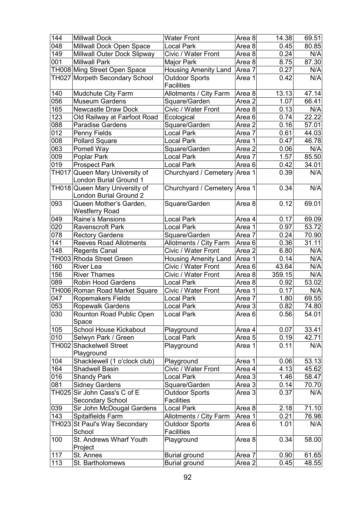| 144              | <b>Millwall Dock</b>           | <b>Water Front</b>           | Area 8            | 14.38  | 69.51 |
|------------------|--------------------------------|------------------------------|-------------------|--------|-------|
| 048              | Millwall Dock Open Space       | <b>Local Park</b>            | Area 8            | 0.45   | 80.85 |
| 149              | Millwall Outer Dock Slipway    | Civic / Water Front          | Area 8            | 0.24   | N/A   |
| 001              | <b>Millwall Park</b>           | Major Park                   | Area 8            | 8.75   | 87.30 |
|                  | TH008 Ming Street Open Space   | Housing Amenity Land         | Area 7            | 0.27   | N/A   |
|                  | TH027 Morpeth Secondary School | <b>Outdoor Sports</b>        | Area 1            | 0.42   | N/A   |
|                  |                                | <b>Facilities</b>            |                   |        |       |
| 140              | Mudchute City Farm             | Allotments / City Farm       | Area 8            | 13.13  | 47.14 |
| 056              | <b>Museum Gardens</b>          | Square/Garden                | Area 2            | 1.07   | 66.41 |
| 165              | Newcastle Draw Dock            | Civic / Water Front          | Area 8            | 0.13   | N/A   |
| 123              | Old Railway at Fairfoot Road   | Ecological                   | Area 6            | 0.74   | 22.22 |
| 088              | <b>Paradise Gardens</b>        | Square/Garden                | Area 2            | 0.16   | 57.01 |
| 012              | Penny Fields                   | <b>Local Park</b>            | Area 7            | 0.61   | 44.03 |
| 008              | <b>Pollard Square</b>          | <b>Local Park</b>            | Area 1            | 0.47   | 46.78 |
| 063              | Pomell Way                     | Square/Garden                | Area 2            | 0.06   | N/A   |
| 009              | Poplar Park                    | <b>Local Park</b>            | Area 7            | 1.57   | 85.50 |
| 019              | <b>Prospect Park</b>           | <b>Local Park</b>            | Area 6            | 0.42   | 34.01 |
|                  | TH017 Queen Mary University of | Churchyard / Cemetery Area 1 |                   | 0.39   | N/A   |
|                  | London Burial Ground 1         |                              |                   |        |       |
|                  | TH018 Queen Mary University of | Churchyard / Cemetery Area 1 |                   | 0.34   | N/A   |
|                  | London Burial Ground 2         |                              |                   |        |       |
| 093              | Queen Mother's Garden,         | Square/Garden                | Area 8            | 0.12   | 69.01 |
|                  | Westferry Road                 |                              |                   |        |       |
| 049              | Raine's Mansions               | <b>Local Park</b>            | Area 4            | 0.17   | 69.09 |
| 020              | Ravenscroft Park               | <b>Local Park</b>            | Area 1            | 0.97   | 53.72 |
| $\overline{078}$ | <b>Rectory Gardens</b>         | Square/Garden                | Area 7            | 0.24   | 70.90 |
| $\overline{141}$ | <b>Reeves Road Allotments</b>  | Allotments / City Farm       | Area 6            | 0.36   | 31.11 |
| 148              | <b>Regents Canal</b>           | Civic / Water Front          | Area <sub>2</sub> | 6.80   | N/A   |
|                  | TH003 Rhoda Street Green       | <b>Housing Amenity Land</b>  | Area 1            | 0.14   | N/A   |
| 160              | <b>River Lea</b>               | Civic / Water Front          | Area <sub>6</sub> | 43.64  | N/A   |
| 156              | <b>River Thames</b>            | Civic / Water Front          | Area 8            | 359.15 | N/A   |
| 089              | Robin Hood Gardens             | <b>Local Park</b>            | Area 8            | 0.92   | 53.02 |
|                  | TH006 Roman Road Market Square | Civic / Water Front          | Area 1            | 0.17   | N/A   |
| 047              | <b>Ropemakers Fields</b>       | <b>Local Park</b>            | Area 7            | 1.80   | 69.55 |
| 053              | Ropewalk Gardens               | <b>Local Park</b>            | Area 3            | 0.82   | 74.80 |
| 030              | Rounton Road Public Open       | <b>Local Park</b>            | Area 6            | 0.56   | 54.01 |
|                  | Space                          |                              |                   |        |       |
| 105              | School House Kickabout         | Playground                   | Area 4            | 0.07   | 33.41 |
| 010              | Selwyn Park / Green            | Local Park                   | Area 5            | 0.19   | 42.71 |
| <b>TH002</b>     | <b>Shackelwell Street</b>      | Playground                   | Area 1            | 0.11   | N/A   |
|                  | Playground                     |                              |                   |        |       |
| 104              | Shacklewell (1 o'clock club)   | Playground                   | Area 1            | 0.06   | 53.13 |
| 164              | Shadwell Basin                 | Civic / Water Front          | Area 4            | 4.13   | 45.62 |
| 016              | <b>Shandy Park</b>             | <b>Local Park</b>            | Area 3            | 1.46   | 58.47 |
| 081              | <b>Sidney Gardens</b>          | Square/Garden                | Area 3            | 0.14   | 70.70 |
|                  | TH025 Sir John Cass's C of E   | <b>Outdoor Sports</b>        | Area 3            | 0.37   | N/A   |
|                  | Secondary School               | <b>Facilities</b>            |                   |        |       |
| 039              | Sir John McDougal Gardens      | <b>Local Park</b>            | Area 8            | 2.18   | 71.10 |
| 143              | Spitalfields Farm              | Allotments / City Farm       | Area 1            | 0.21   | 76.98 |
| TH023            | St Paul's Way Secondary        | <b>Outdoor Sports</b>        | Area 6            | 1.01   | N/A   |
|                  | School                         | <b>Facilities</b>            |                   |        |       |
| 100              | St. Andrews Wharf Youth        | Playground                   | Area 8            | 0.34   | 58.00 |
|                  | Project                        |                              |                   |        |       |
| 117              | St. Annes                      | <b>Burial ground</b>         | Area 7            | 0.90   | 61.65 |
| 113              | St. Bartholomews               | <b>Burial ground</b>         | Area 2            | 0.45   | 48.55 |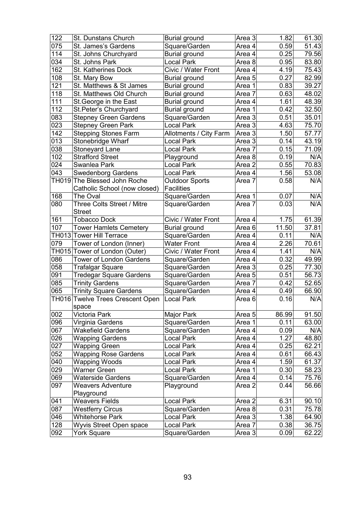| 122              | St. Dunstans Church              | <b>Burial ground</b>   | Area 3            | 1.82  | 61.30 |
|------------------|----------------------------------|------------------------|-------------------|-------|-------|
| 075              | St. James's Gardens              | Square/Garden          | Area 4            | 0.59  | 51.43 |
| 114              | St. Johns Churchyard             | <b>Burial ground</b>   | Area 4            | 0.25  | 79.56 |
| 034              | St. Johns Park                   | Local Park             | Area 8            | 0.95  | 83.80 |
| 162              | <b>St. Katherines Dock</b>       | Civic / Water Front    | Area 4            | 4.19  | 75.43 |
| 108              | St. Mary Bow                     | Burial ground          | Area 5            | 0.27  | 82.99 |
| 121              | St. Matthews & St James          | <b>Burial ground</b>   | Area 1            | 0.83  | 39.27 |
| 118              | St. Matthews Old Church          | <b>Burial ground</b>   | Area 7            | 0.63  | 48.02 |
| 111              | St. George in the East           | <b>Burial ground</b>   | Area 4            | 1.61  | 48.39 |
| 112              | St. Peter's Churchyard           | <b>Burial ground</b>   | Area 1            | 0.42  | 32.50 |
| 083              | <b>Stepney Green Gardens</b>     | Square/Garden          | Area 3            | 0.51  | 35.01 |
| 023              | <b>Stepney Green Park</b>        | Local Park             | Area 3            | 4.63  | 75.70 |
| $\overline{142}$ | <b>Stepping Stones Farm</b>      | Allotments / City Farm | Area $3$          | 1.50  | 57.77 |
| 013              | Stonebridge Wharf                | Local Park             | Area 3            | 0.14  | 43.19 |
| 038              | Stoneyard Lane                   | <b>Local Park</b>      | Area 7            | 0.15  | 71.09 |
| 102              | <b>Strafford Street</b>          | Playground             | Area 8            | 0.19  | N/A   |
| 024              | Swanlea Park                     | Local Park             | Area <sub>2</sub> | 0.55  | 70.83 |
| 043              | <b>Swedenborg Gardens</b>        | <b>Local Park</b>      | Area 4            | 1.56  | 53.08 |
|                  | TH019 The Blessed John Roche     | <b>Outdoor Sports</b>  | Area 7            | 0.58  | N/A   |
|                  | Catholic School (now closed)     | <b>Facilities</b>      |                   |       |       |
| 168              | The Oval                         | Square/Garden          | Area 1            | 0.07  | N/A   |
| 080              | Three Colts Street / Mitre       | Square/Garden          | Area 7            | 0.03  | N/A   |
|                  | <b>Street</b>                    |                        |                   |       |       |
| 161              | <b>Tobacco Dock</b>              | Civic / Water Front    | Area 4            | 1.75  | 61.39 |
| 107              | <b>Tower Hamlets Cemetery</b>    | <b>Burial ground</b>   | Area 6            | 11.50 | 37.81 |
|                  | TH013 Tower Hill Terrace         | Square/Garden          | Area 4            | 0.11  | N/A   |
| 079              | Tower of London (Inner)          | <b>Water Front</b>     | Area 4            | 2.26  | 70.61 |
|                  | TH015 Tower of London (Outer)    | Civic / Water Front    | Area 4            | 1.41  | N/A   |
| 086              | <b>Tower of London Gardens</b>   | Square/Garden          | Area 4            | 0.32  | 49.99 |
| 058              | <b>Trafalgar Square</b>          | Square/Garden          | Area 3            | 0.25  | 77.30 |
| 091              | <b>Tredegar Square Gardens</b>   | Square/Garden          | Area 5            | 0.51  | 56.73 |
| 085              | <b>Trinity Gardens</b>           | Square/Garden          | Area 7            | 0.42  | 52.65 |
| 065              | <b>Trinity Square Gardens</b>    | Square/Garden          | Area 4            | 0.49  | 66.90 |
|                  | TH016 Twelve Trees Crescent Open | <b>Local Park</b>      | Area 6            | 0.16  | N/A   |
|                  | space                            |                        |                   |       |       |
| 002              | Victoria Park                    | Major Park             | Area <sub>5</sub> | 86.99 | 91.50 |
| 096              | Virginia Gardens                 | Square/Garden          | Area 1            | 0.11  | 63.00 |
| 067              | <b>Wakefield Gardens</b>         | Square/Garden          | Area 4            | 0.09  | N/A   |
| 026              | <b>Wapping Gardens</b>           | Local Park             | Area 4            | 1.27  | 48.80 |
| 027              | <b>Wapping Green</b>             | Local Park             | Area 4            | 0.25  | 62.21 |
| 052              | <b>Wapping Rose Gardens</b>      | Local Park             | Area 4            | 0.61  | 66.43 |
| 040              | Wapping Woods                    | Local Park             | Area 4            | 1.59  | 61.37 |
| 029              | Warner Green                     | Local Park             | Area 1            | 0.30  | 58.23 |
| 069              | <b>Waterside Gardens</b>         | Square/Garden          | Area 4            | 0.14  | 75.76 |
| 097              | <b>Weavers Adventure</b>         | Playground             | Area 2            | 0.44  | 56.66 |
|                  | Playground                       |                        |                   |       |       |
| 041              | <b>Weavers Fields</b>            | Local Park             | Area 2            | 6.31  | 90.10 |
| 087              | <b>Westferry Circus</b>          | Square/Garden          | Area 8            | 0.31  | 75.78 |
| 046              | <b>Whitehorse Park</b>           | Local Park             | Area 3            | 1.38  | 64.90 |
| 128              | Wyvis Street Open space          | Local Park             | Area 7            | 0.38  | 36.75 |
| 092              | <b>York Square</b>               | Square/Garden          | Area 3            | 0.09  | 62.22 |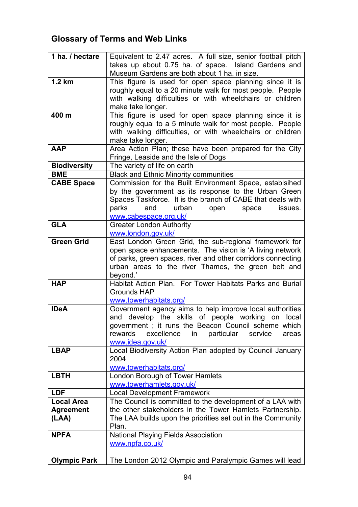# Glossary of Terms and Web Links

| 1 ha. / hectare     | Equivalent to 2.47 acres. A full size, senior football pitch  |
|---------------------|---------------------------------------------------------------|
|                     | takes up about 0.75 ha. of space. Island Gardens and          |
|                     | Museum Gardens are both about 1 ha. in size.                  |
| $1.2 \text{ km}$    | This figure is used for open space planning since it is       |
|                     | roughly equal to a 20 minute walk for most people. People     |
|                     | with walking difficulties or with wheelchairs or children     |
|                     | make take longer.                                             |
| 400 m               | This figure is used for open space planning since it is       |
|                     | roughly equal to a 5 minute walk for most people. People      |
|                     | with walking difficulties, or with wheelchairs or children    |
|                     | make take longer.                                             |
| <b>AAP</b>          | Area Action Plan; these have been prepared for the City       |
|                     | Fringe, Leaside and the Isle of Dogs                          |
| <b>Biodiversity</b> | The variety of life on earth                                  |
| <b>BME</b>          | <b>Black and Ethnic Minority communities</b>                  |
| <b>CABE Space</b>   | Commission for the Built Environment Space, establsihed       |
|                     | by the government as its response to the Urban Green          |
|                     | Spaces Taskforce. It is the branch of CABE that deals with    |
|                     | parks<br>urban<br>and<br>open<br>issues.<br>space             |
|                     | www.cabespace.org.uk/                                         |
| <b>GLA</b>          | <b>Greater London Authority</b>                               |
|                     | www.london.gov.uk/                                            |
| <b>Green Grid</b>   | East London Green Grid, the sub-regional framework for        |
|                     | open space enhancements. The vision is 'A living network      |
|                     | of parks, green spaces, river and other corridors connecting  |
|                     | urban areas to the river Thames, the green belt and           |
|                     | beyond.'                                                      |
| <b>HAP</b>          | Habitat Action Plan. For Tower Habitats Parks and Burial      |
|                     | <b>Grounds HAP</b>                                            |
|                     | www.towerhabitats.org/                                        |
| <b>IDeA</b>         | Government agency aims to help improve local authorities      |
|                     | and develop the skills of people working on<br>local          |
|                     | government; it runs the Beacon Council scheme which           |
|                     | rewards<br>excellence<br>particular<br>service<br>in<br>areas |
|                     | www.idea.gov.uk/                                              |
| <b>LBAP</b>         | Local Biodiversity Action Plan adopted by Council January     |
|                     | 2004                                                          |
|                     | www.towerhabitats.org/                                        |
| <b>LBTH</b>         | <b>London Borough of Tower Hamlets</b>                        |
|                     | www.towerhamlets.gov.uk/                                      |
| <b>LDF</b>          | <b>Local Development Framework</b>                            |
| <b>Local Area</b>   | The Council is committed to the development of a LAA with     |
| <b>Agreement</b>    | the other stakeholders in the Tower Hamlets Partnership.      |
| (LAA)               | The LAA builds upon the priorities set out in the Community   |
|                     | Plan.                                                         |
| <b>NPFA</b>         | <b>National Playing Fields Association</b>                    |
|                     | www.npfa.co.uk/                                               |
|                     |                                                               |
| <b>Olympic Park</b> | The London 2012 Olympic and Paralympic Games will lead        |